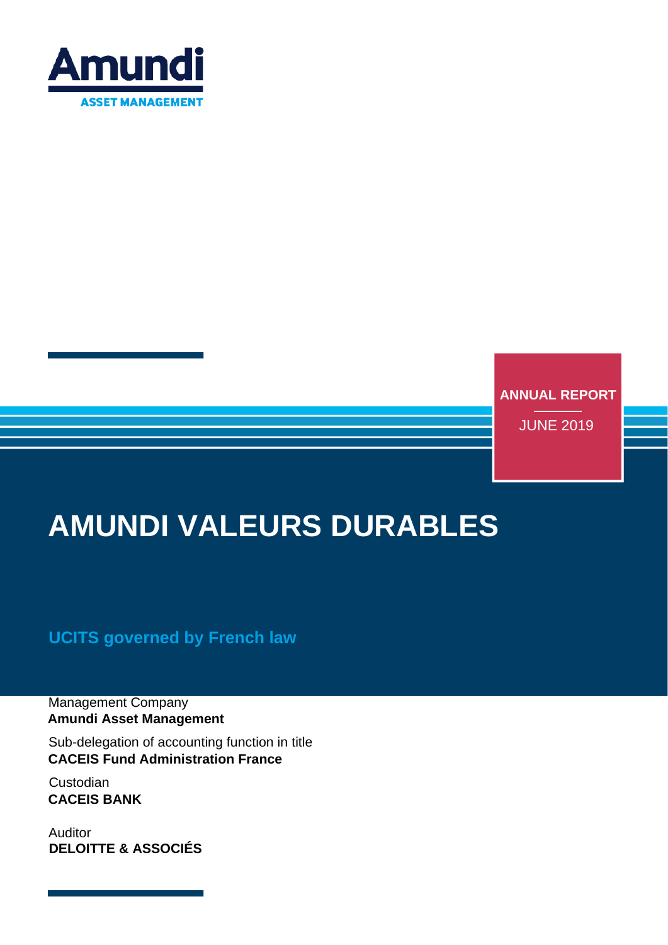

**ANNUAL REPORT**

JUNE 2019

# **AMUNDI VALEURS DURABLES**

### **UCITS governed by French law**

Management Company **Amundi Asset Management**

Sub-delegation of accounting function in title **CACEIS Fund Administration France**

Custodian **CACEIS BANK**

Auditor **DELOITTE & ASSOCIÉS**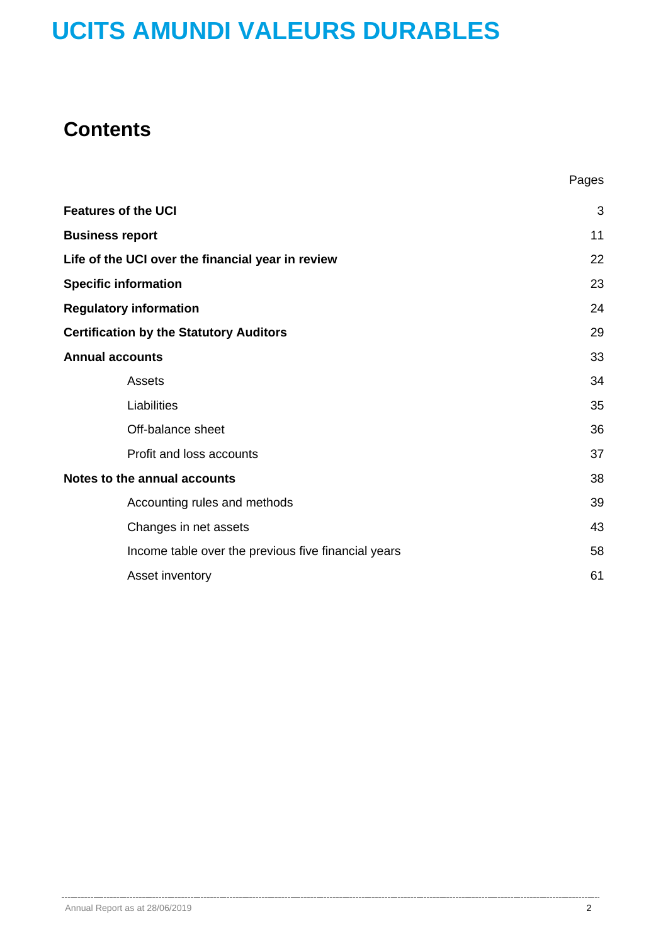## **Contents**

| <b>Features of the UCI</b>                          | 3  |
|-----------------------------------------------------|----|
| <b>Business report</b>                              | 11 |
| Life of the UCI over the financial year in review   | 22 |
| <b>Specific information</b>                         | 23 |
| <b>Regulatory information</b>                       | 24 |
| <b>Certification by the Statutory Auditors</b>      | 29 |
| <b>Annual accounts</b>                              | 33 |
| Assets                                              | 34 |
| Liabilities                                         | 35 |
| Off-balance sheet                                   | 36 |
| Profit and loss accounts                            | 37 |
| Notes to the annual accounts                        | 38 |
| Accounting rules and methods                        | 39 |
| Changes in net assets                               | 43 |
| Income table over the previous five financial years | 58 |
| Asset inventory                                     | 61 |

Pages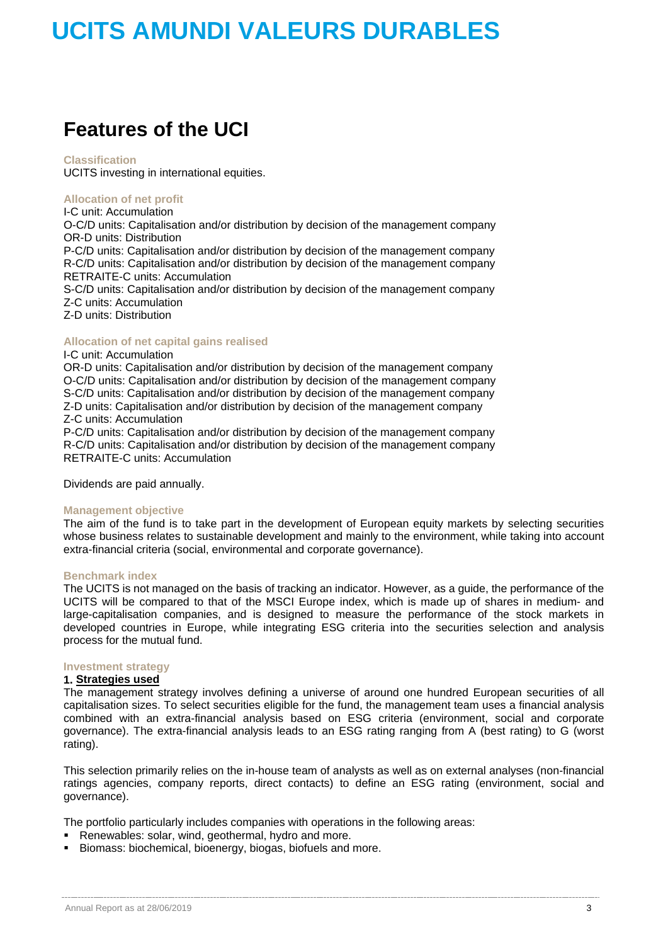## **Features of the UCI**

### **Classification**

UCITS investing in international equities.

### **Allocation of net profit**

I-C unit: Accumulation O-C/D units: Capitalisation and/or distribution by decision of the management company OR-D units: Distribution

P-C/D units: Capitalisation and/or distribution by decision of the management company R-C/D units: Capitalisation and/or distribution by decision of the management company RETRAITE-C units: Accumulation

S-C/D units: Capitalisation and/or distribution by decision of the management company Z-C units: Accumulation

Z-D units: Distribution

### **Allocation of net capital gains realised**

### I-C unit: Accumulation

OR-D units: Capitalisation and/or distribution by decision of the management company O-C/D units: Capitalisation and/or distribution by decision of the management company S-C/D units: Capitalisation and/or distribution by decision of the management company Z-D units: Capitalisation and/or distribution by decision of the management company Z-C units: Accumulation

P-C/D units: Capitalisation and/or distribution by decision of the management company R-C/D units: Capitalisation and/or distribution by decision of the management company RETRAITE-C units: Accumulation

Dividends are paid annually.

### **Management objective**

The aim of the fund is to take part in the development of European equity markets by selecting securities whose business relates to sustainable development and mainly to the environment, while taking into account extra-financial criteria (social, environmental and corporate governance).

### **Benchmark index**

The UCITS is not managed on the basis of tracking an indicator. However, as a guide, the performance of the UCITS will be compared to that of the MSCI Europe index, which is made up of shares in medium- and large-capitalisation companies, and is designed to measure the performance of the stock markets in developed countries in Europe, while integrating ESG criteria into the securities selection and analysis process for the mutual fund.

### **Investment strategy**

### **1. Strategies used**

The management strategy involves defining a universe of around one hundred European securities of all capitalisation sizes. To select securities eligible for the fund, the management team uses a financial analysis combined with an extra-financial analysis based on ESG criteria (environment, social and corporate governance). The extra-financial analysis leads to an ESG rating ranging from A (best rating) to G (worst rating).

This selection primarily relies on the in-house team of analysts as well as on external analyses (non-financial ratings agencies, company reports, direct contacts) to define an ESG rating (environment, social and governance).

The portfolio particularly includes companies with operations in the following areas:

- **Renewables: solar, wind, geothermal, hydro and more.**
- Biomass: biochemical, bioenergy, biogas, biofuels and more.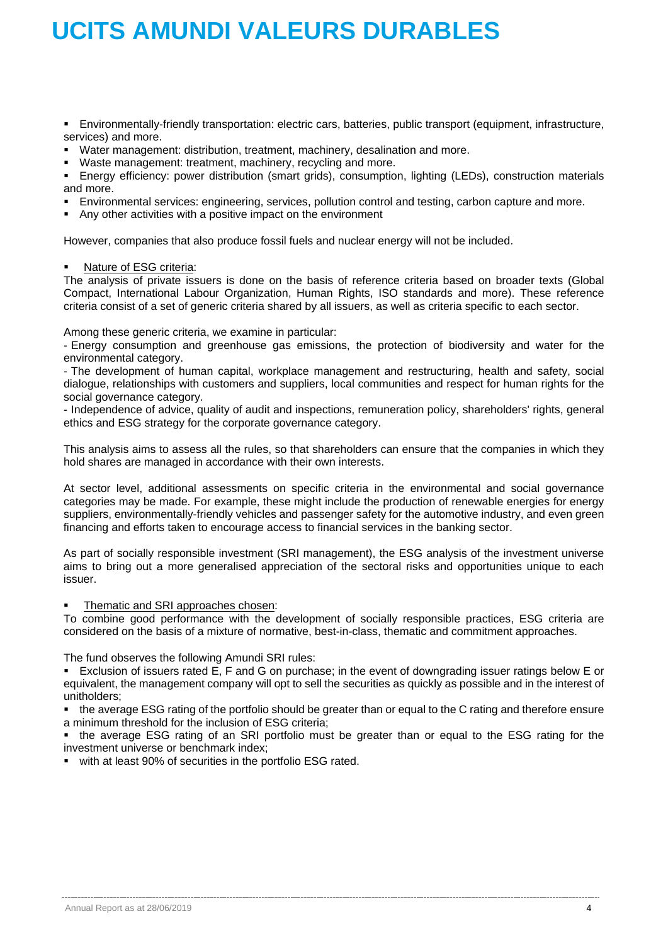Environmentally-friendly transportation: electric cars, batteries, public transport (equipment, infrastructure, services) and more.

- Water management: distribution, treatment, machinery, desalination and more.
- Waste management: treatment, machinery, recycling and more.

 Energy efficiency: power distribution (smart grids), consumption, lighting (LEDs), construction materials and more.

- Environmental services: engineering, services, pollution control and testing, carbon capture and more.
- Any other activities with a positive impact on the environment

However, companies that also produce fossil fuels and nuclear energy will not be included.

### Nature of ESG criteria:

The analysis of private issuers is done on the basis of reference criteria based on broader texts (Global Compact, International Labour Organization, Human Rights, ISO standards and more). These reference criteria consist of a set of generic criteria shared by all issuers, as well as criteria specific to each sector.

Among these generic criteria, we examine in particular:

- Energy consumption and greenhouse gas emissions, the protection of biodiversity and water for the environmental category.

- The development of human capital, workplace management and restructuring, health and safety, social dialogue, relationships with customers and suppliers, local communities and respect for human rights for the social governance category.

- Independence of advice, quality of audit and inspections, remuneration policy, shareholders' rights, general ethics and ESG strategy for the corporate governance category.

This analysis aims to assess all the rules, so that shareholders can ensure that the companies in which they hold shares are managed in accordance with their own interests.

At sector level, additional assessments on specific criteria in the environmental and social governance categories may be made. For example, these might include the production of renewable energies for energy suppliers, environmentally-friendly vehicles and passenger safety for the automotive industry, and even green financing and efforts taken to encourage access to financial services in the banking sector.

As part of socially responsible investment (SRI management), the ESG analysis of the investment universe aims to bring out a more generalised appreciation of the sectoral risks and opportunities unique to each issuer.

Thematic and SRI approaches chosen:

To combine good performance with the development of socially responsible practices, ESG criteria are considered on the basis of a mixture of normative, best-in-class, thematic and commitment approaches.

The fund observes the following Amundi SRI rules:

 Exclusion of issuers rated E, F and G on purchase; in the event of downgrading issuer ratings below E or equivalent, the management company will opt to sell the securities as quickly as possible and in the interest of unitholders;

• the average ESG rating of the portfolio should be greater than or equal to the C rating and therefore ensure a minimum threshold for the inclusion of ESG criteria;

 the average ESG rating of an SRI portfolio must be greater than or equal to the ESG rating for the investment universe or benchmark index;

with at least 90% of securities in the portfolio ESG rated.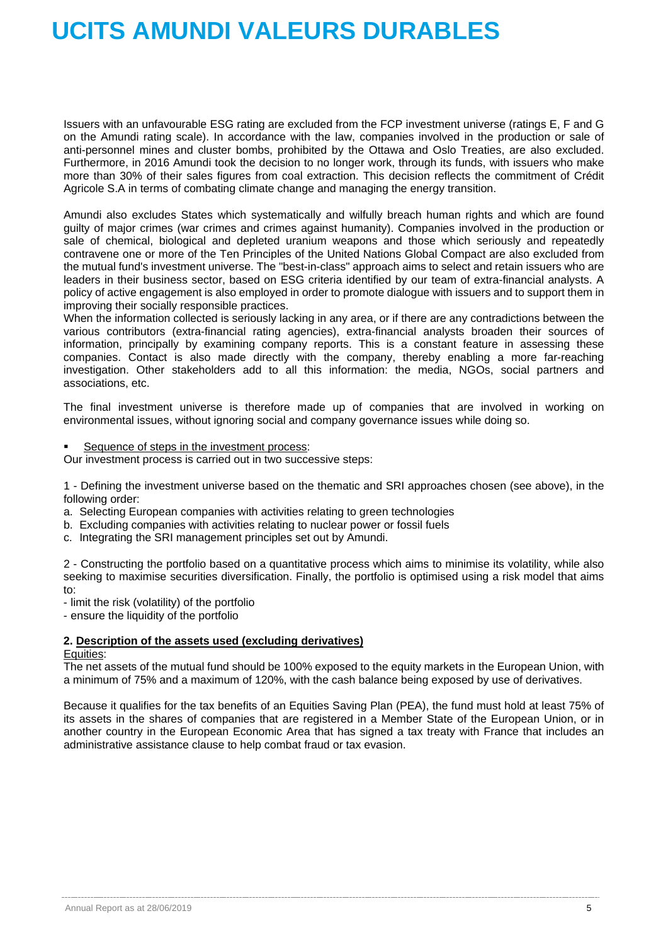Issuers with an unfavourable ESG rating are excluded from the FCP investment universe (ratings E, F and G on the Amundi rating scale). In accordance with the law, companies involved in the production or sale of anti-personnel mines and cluster bombs, prohibited by the Ottawa and Oslo Treaties, are also excluded. Furthermore, in 2016 Amundi took the decision to no longer work, through its funds, with issuers who make more than 30% of their sales figures from coal extraction. This decision reflects the commitment of Crédit Agricole S.A in terms of combating climate change and managing the energy transition.

Amundi also excludes States which systematically and wilfully breach human rights and which are found guilty of major crimes (war crimes and crimes against humanity). Companies involved in the production or sale of chemical, biological and depleted uranium weapons and those which seriously and repeatedly contravene one or more of the Ten Principles of the United Nations Global Compact are also excluded from the mutual fund's investment universe. The "best-in-class" approach aims to select and retain issuers who are leaders in their business sector, based on ESG criteria identified by our team of extra-financial analysts. A policy of active engagement is also employed in order to promote dialogue with issuers and to support them in improving their socially responsible practices.

When the information collected is seriously lacking in any area, or if there are any contradictions between the various contributors (extra-financial rating agencies), extra-financial analysts broaden their sources of information, principally by examining company reports. This is a constant feature in assessing these companies. Contact is also made directly with the company, thereby enabling a more far-reaching investigation. Other stakeholders add to all this information: the media, NGOs, social partners and associations, etc.

The final investment universe is therefore made up of companies that are involved in working on environmental issues, without ignoring social and company governance issues while doing so.

Sequence of steps in the investment process:

Our investment process is carried out in two successive steps:

1 - Defining the investment universe based on the thematic and SRI approaches chosen (see above), in the following order:

- a. Selecting European companies with activities relating to green technologies
- b. Excluding companies with activities relating to nuclear power or fossil fuels
- c. Integrating the SRI management principles set out by Amundi.

2 - Constructing the portfolio based on a quantitative process which aims to minimise its volatility, while also seeking to maximise securities diversification. Finally, the portfolio is optimised using a risk model that aims to:

- limit the risk (volatility) of the portfolio

- ensure the liquidity of the portfolio

### **2. Description of the assets used (excluding derivatives)**

### Equities:

The net assets of the mutual fund should be 100% exposed to the equity markets in the European Union, with a minimum of 75% and a maximum of 120%, with the cash balance being exposed by use of derivatives.

Because it qualifies for the tax benefits of an Equities Saving Plan (PEA), the fund must hold at least 75% of its assets in the shares of companies that are registered in a Member State of the European Union, or in another country in the European Economic Area that has signed a tax treaty with France that includes an administrative assistance clause to help combat fraud or tax evasion.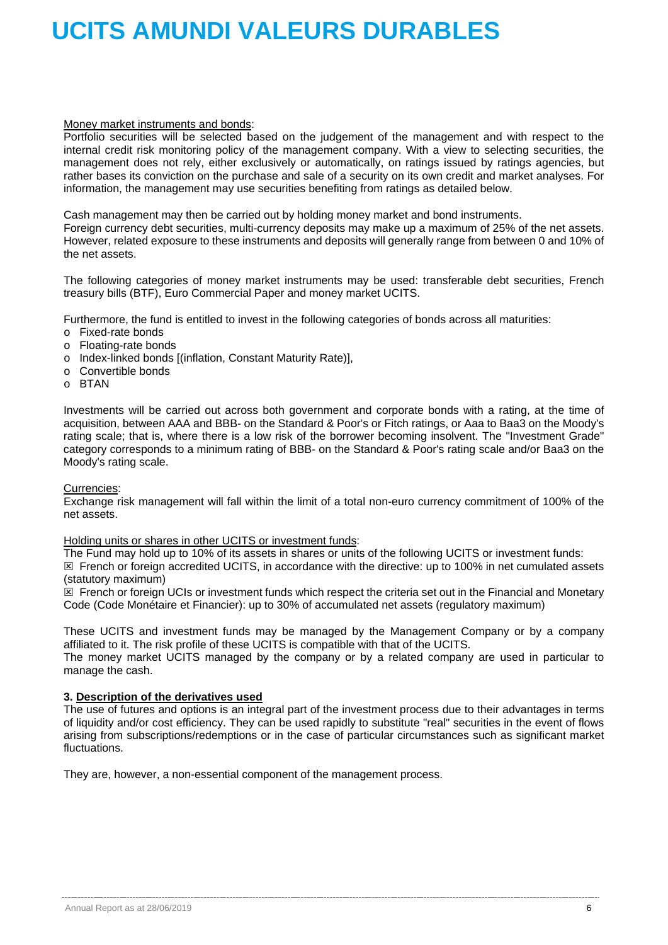### Money market instruments and bonds:

Portfolio securities will be selected based on the judgement of the management and with respect to the internal credit risk monitoring policy of the management company. With a view to selecting securities, the management does not rely, either exclusively or automatically, on ratings issued by ratings agencies, but rather bases its conviction on the purchase and sale of a security on its own credit and market analyses. For information, the management may use securities benefiting from ratings as detailed below.

Cash management may then be carried out by holding money market and bond instruments.

Foreign currency debt securities, multi-currency deposits may make up a maximum of 25% of the net assets. However, related exposure to these instruments and deposits will generally range from between 0 and 10% of the net assets.

The following categories of money market instruments may be used: transferable debt securities, French treasury bills (BTF), Euro Commercial Paper and money market UCITS.

Furthermore, the fund is entitled to invest in the following categories of bonds across all maturities:

- o Fixed-rate bonds
- o Floating-rate bonds
- o Index-linked bonds [(inflation, Constant Maturity Rate)],
- $\circ$  Convertible bonds<br> $\circ$  BTAN
- **BTAN**

Investments will be carried out across both government and corporate bonds with a rating, at the time of acquisition, between AAA and BBB- on the Standard & Poor's or Fitch ratings, or Aaa to Baa3 on the Moody's rating scale; that is, where there is a low risk of the borrower becoming insolvent. The "Investment Grade" category corresponds to a minimum rating of BBB- on the Standard & Poor's rating scale and/or Baa3 on the Moody's rating scale.

### Currencies:

Exchange risk management will fall within the limit of a total non-euro currency commitment of 100% of the net assets.

### Holding units or shares in other UCITS or investment funds:

The Fund may hold up to 10% of its assets in shares or units of the following UCITS or investment funds:

 $\boxtimes$  French or foreign accredited UCITS, in accordance with the directive: up to 100% in net cumulated assets (statutory maximum)

 $\boxtimes$  French or foreign UCIs or investment funds which respect the criteria set out in the Financial and Monetary Code (Code Monétaire et Financier): up to 30% of accumulated net assets (regulatory maximum)

These UCITS and investment funds may be managed by the Management Company or by a company affiliated to it. The risk profile of these UCITS is compatible with that of the UCITS.

The money market UCITS managed by the company or by a related company are used in particular to manage the cash.

### **3. Description of the derivatives used**

The use of futures and options is an integral part of the investment process due to their advantages in terms of liquidity and/or cost efficiency. They can be used rapidly to substitute "real" securities in the event of flows arising from subscriptions/redemptions or in the case of particular circumstances such as significant market fluctuations.

They are, however, a non-essential component of the management process.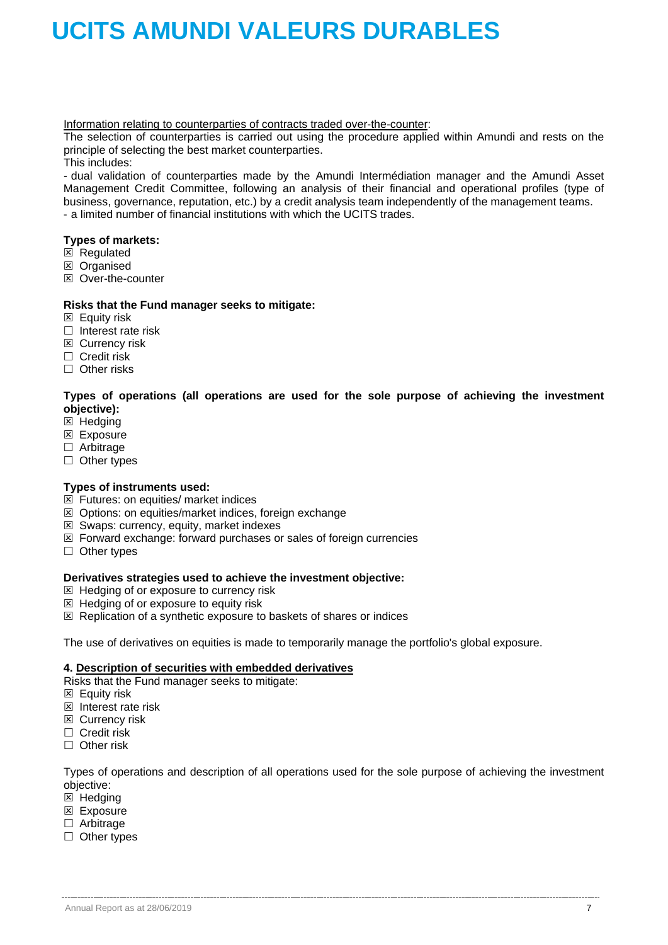Information relating to counterparties of contracts traded over-the-counter:

The selection of counterparties is carried out using the procedure applied within Amundi and rests on the principle of selecting the best market counterparties.

This includes:

- dual validation of counterparties made by the Amundi Intermédiation manager and the Amundi Asset Management Credit Committee, following an analysis of their financial and operational profiles (type of business, governance, reputation, etc.) by a credit analysis team independently of the management teams. - a limited number of financial institutions with which the UCITS trades.

### **Types of markets:**

- $\overline{\boxtimes}$  Regulated
- **E** Organised
- $\boxtimes$  Over-the-counter

### **Risks that the Fund manager seeks to mitigate:**

- $\boxtimes$  Equity risk
- $\Box$  Interest rate risk
- **EX** Currency risk
- $\Box$  Credit risk
- $\Box$  Other risks

**Types of operations (all operations are used for the sole purpose of achieving the investment objective):**

- $\boxtimes$  Hedging
- **Exposure**
- □ Arbitrage
- $\Box$  Other types

### **Types of instruments used:**

- $\overline{\boxtimes}$  Futures: on equities/ market indices
- $\boxtimes$  Options: on equities/market indices, foreign exchange
- $\boxtimes$  Swaps: currency, equity, market indexes
- $\boxtimes$  Forward exchange: forward purchases or sales of foreign currencies
- $\Box$  Other types

### **Derivatives strategies used to achieve the investment objective:**

- $\boxtimes$  Hedging of or exposure to currency risk
- $\boxtimes$  Hedging of or exposure to equity risk
- $\boxtimes$  Replication of a synthetic exposure to baskets of shares or indices

The use of derivatives on equities is made to temporarily manage the portfolio's global exposure.

### **4. Description of securities with embedded derivatives**

Risks that the Fund manager seeks to mitigate:

- **Equity risk**
- $\boxtimes$  Interest rate risk
- **EX** Currency risk
- $\Box$  Credit risk
- □ Other risk

Types of operations and description of all operations used for the sole purpose of achieving the investment objective:

- $\boxtimes$  Hedging
- **Exposure**
- □ Arbitrage
- $\Box$  Other types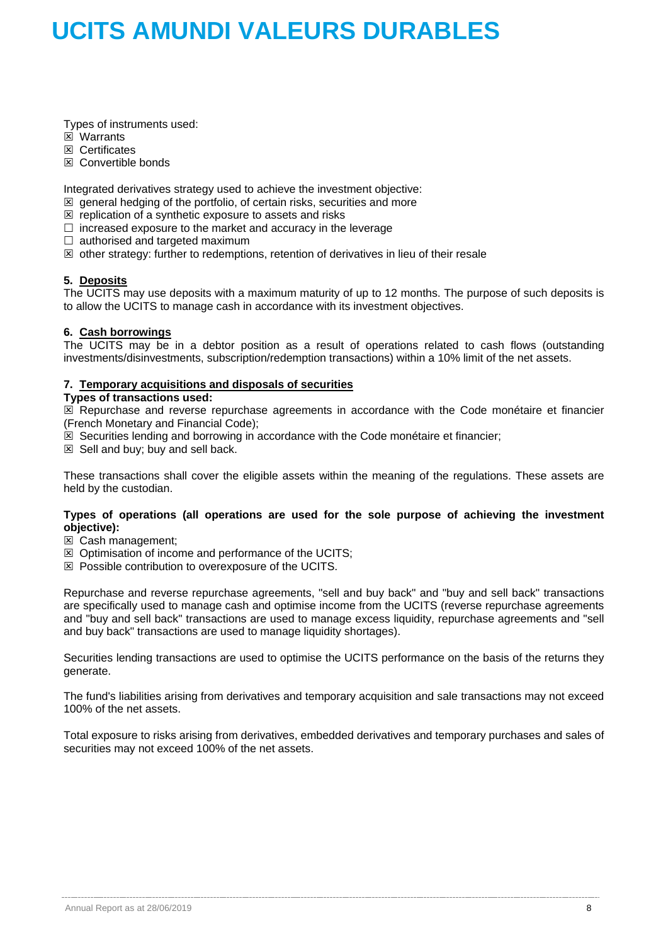Types of instruments used:

- **E** Warrants
- **E** Certificates
- $\boxtimes$  Convertible bonds

Integrated derivatives strategy used to achieve the investment objective:

- $\boxtimes$  general hedging of the portfolio, of certain risks, securities and more
- $\boxtimes$  replication of a synthetic exposure to assets and risks
- $\Box$  increased exposure to the market and accuracy in the leverage
- $\Box$  authorised and targeted maximum
- $\boxtimes$  other strategy: further to redemptions, retention of derivatives in lieu of their resale

### **5. Deposits**

The UCITS may use deposits with a maximum maturity of up to 12 months. The purpose of such deposits is to allow the UCITS to manage cash in accordance with its investment objectives.

### **6. Cash borrowings**

The UCITS may be in a debtor position as a result of operations related to cash flows (outstanding investments/disinvestments, subscription/redemption transactions) within a 10% limit of the net assets.

### **7. Temporary acquisitions and disposals of securities**

### **Types of transactions used:**

 $\boxtimes$  Repurchase and reverse repurchase agreements in accordance with the Code monétaire et financier (French Monetary and Financial Code);

- $\mathbb{\overline{Z}}$  Securities lending and borrowing in accordance with the Code monétaire et financier;
- $\boxtimes$  Sell and buy; buy and sell back.

These transactions shall cover the eligible assets within the meaning of the regulations. These assets are held by the custodian.

### **Types of operations (all operations are used for the sole purpose of achieving the investment objective):**

- Cash management;
- $\boxtimes$  Optimisation of income and performance of the UCITS;
- $\boxtimes$  Possible contribution to overexposure of the UCITS.

Repurchase and reverse repurchase agreements, "sell and buy back" and "buy and sell back" transactions are specifically used to manage cash and optimise income from the UCITS (reverse repurchase agreements and "buy and sell back" transactions are used to manage excess liquidity, repurchase agreements and "sell and buy back" transactions are used to manage liquidity shortages).

Securities lending transactions are used to optimise the UCITS performance on the basis of the returns they generate.

The fund's liabilities arising from derivatives and temporary acquisition and sale transactions may not exceed 100% of the net assets.

Total exposure to risks arising from derivatives, embedded derivatives and temporary purchases and sales of securities may not exceed 100% of the net assets.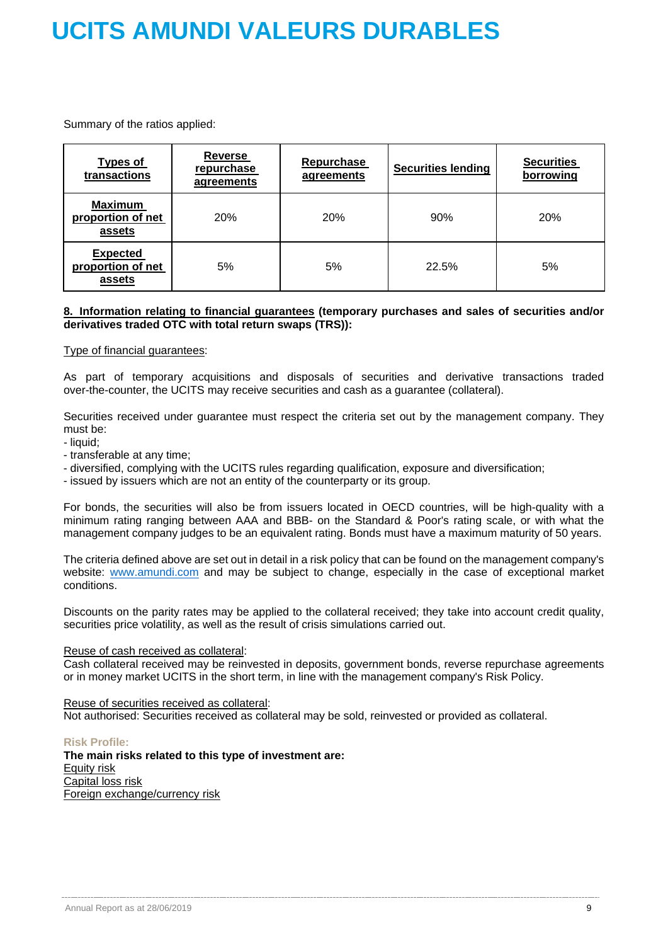Summary of the ratios applied:

| <b>Types of</b><br>transactions                | <b>Reverse</b><br>repurchase<br>agreements | <b>Repurchase</b><br>agreements | <b>Securities lending</b> | <b>Securities</b><br>borrowing |
|------------------------------------------------|--------------------------------------------|---------------------------------|---------------------------|--------------------------------|
| <b>Maximum</b><br>proportion of net<br>assets  | 20%                                        | 20%                             | 90%                       | 20%                            |
| <b>Expected</b><br>proportion of net<br>assets | 5%                                         | 5%                              | 22.5%                     | 5%                             |

### **8. Information relating to financial guarantees (temporary purchases and sales of securities and/or derivatives traded OTC with total return swaps (TRS)):**

### Type of financial guarantees:

As part of temporary acquisitions and disposals of securities and derivative transactions traded over-the-counter, the UCITS may receive securities and cash as a guarantee (collateral).

Securities received under guarantee must respect the criteria set out by the management company. They must be:

- liquid;
- transferable at any time;
- diversified, complying with the UCITS rules regarding qualification, exposure and diversification;
- issued by issuers which are not an entity of the counterparty or its group.

For bonds, the securities will also be from issuers located in OECD countries, will be high-quality with a minimum rating ranging between AAA and BBB- on the Standard & Poor's rating scale, or with what the management company judges to be an equivalent rating. Bonds must have a maximum maturity of 50 years.

The criteria defined above are set out in detail in a risk policy that can be found on the management company's website: [www.amundi.com](http://www.amundi.com/) and may be subject to change, especially in the case of exceptional market conditions.

Discounts on the parity rates may be applied to the collateral received; they take into account credit quality, securities price volatility, as well as the result of crisis simulations carried out.

### Reuse of cash received as collateral:

Cash collateral received may be reinvested in deposits, government bonds, reverse repurchase agreements or in money market UCITS in the short term, in line with the management company's Risk Policy.

### Reuse of securities received as collateral:

Not authorised: Securities received as collateral may be sold, reinvested or provided as collateral.

### **Risk Profile:**

**The main risks related to this type of investment are:** Equity risk Capital loss risk Foreign exchange/currency risk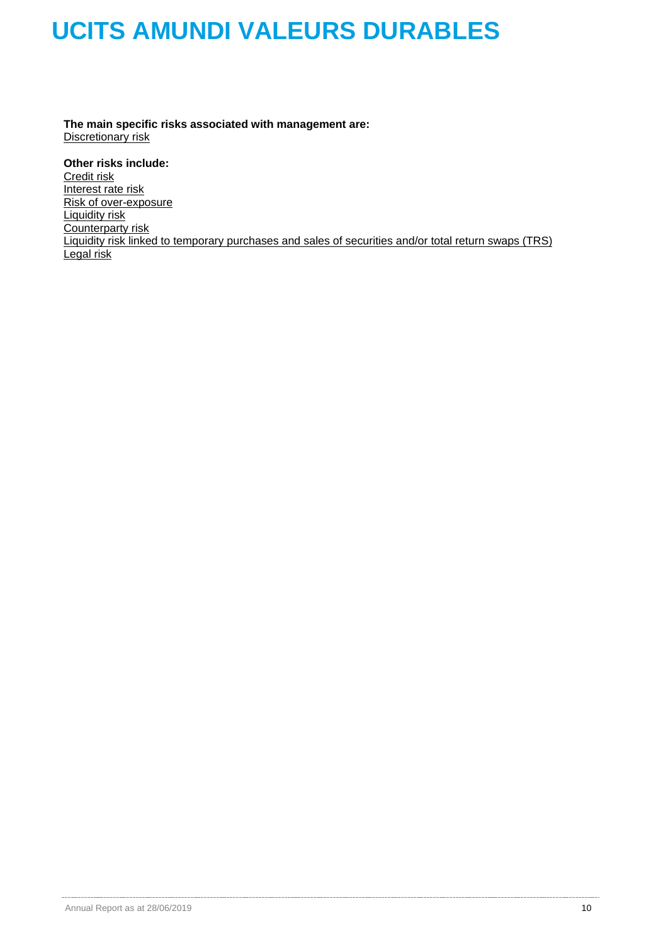**The main specific risks associated with management are:** Discretionary risk

**Other risks include:** Credit risk Interest rate risk Risk of over-exposure Liquidity risk Counterparty risk Liquidity risk linked to temporary purchases and sales of securities and/or total return swaps (TRS) Legal risk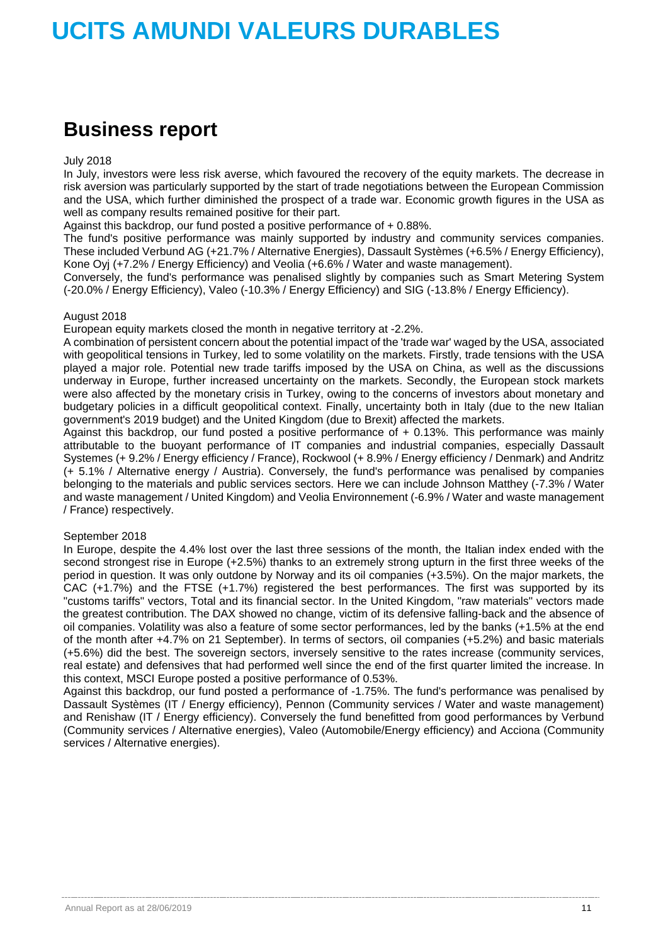## **Business report**

### July 2018

In July, investors were less risk averse, which favoured the recovery of the equity markets. The decrease in risk aversion was particularly supported by the start of trade negotiations between the European Commission and the USA, which further diminished the prospect of a trade war. Economic growth figures in the USA as well as company results remained positive for their part.

Against this backdrop, our fund posted a positive performance of + 0.88%.

The fund's positive performance was mainly supported by industry and community services companies. These included Verbund AG (+21.7% / Alternative Energies), Dassault Systèmes (+6.5% / Energy Efficiency), Kone Oyj (+7.2% / Energy Efficiency) and Veolia (+6.6% / Water and waste management).

Conversely, the fund's performance was penalised slightly by companies such as Smart Metering System (-20.0% / Energy Efficiency), Valeo (-10.3% / Energy Efficiency) and SIG (-13.8% / Energy Efficiency).

### August 2018

European equity markets closed the month in negative territory at -2.2%.

A combination of persistent concern about the potential impact of the 'trade war' waged by the USA, associated with geopolitical tensions in Turkey, led to some volatility on the markets. Firstly, trade tensions with the USA played a major role. Potential new trade tariffs imposed by the USA on China, as well as the discussions underway in Europe, further increased uncertainty on the markets. Secondly, the European stock markets were also affected by the monetary crisis in Turkey, owing to the concerns of investors about monetary and budgetary policies in a difficult geopolitical context. Finally, uncertainty both in Italy (due to the new Italian government's 2019 budget) and the United Kingdom (due to Brexit) affected the markets.

Against this backdrop, our fund posted a positive performance of + 0.13%. This performance was mainly attributable to the buoyant performance of IT companies and industrial companies, especially Dassault Systemes (+ 9.2% / Energy efficiency / France), Rockwool (+ 8.9% / Energy efficiency / Denmark) and Andritz (+ 5.1% / Alternative energy / Austria). Conversely, the fund's performance was penalised by companies belonging to the materials and public services sectors. Here we can include Johnson Matthey (-7.3% / Water and waste management / United Kingdom) and Veolia Environnement (-6.9% / Water and waste management / France) respectively.

### September 2018

In Europe, despite the 4.4% lost over the last three sessions of the month, the Italian index ended with the second strongest rise in Europe (+2.5%) thanks to an extremely strong upturn in the first three weeks of the period in question. It was only outdone by Norway and its oil companies (+3.5%). On the major markets, the CAC (+1.7%) and the FTSE (+1.7%) registered the best performances. The first was supported by its "customs tariffs" vectors, Total and its financial sector. In the United Kingdom, "raw materials" vectors made the greatest contribution. The DAX showed no change, victim of its defensive falling-back and the absence of oil companies. Volatility was also a feature of some sector performances, led by the banks (+1.5% at the end of the month after +4.7% on 21 September). In terms of sectors, oil companies (+5.2%) and basic materials (+5.6%) did the best. The sovereign sectors, inversely sensitive to the rates increase (community services, real estate) and defensives that had performed well since the end of the first quarter limited the increase. In this context, MSCI Europe posted a positive performance of 0.53%.

Against this backdrop, our fund posted a performance of -1.75%. The fund's performance was penalised by Dassault Systèmes (IT / Energy efficiency), Pennon (Community services / Water and waste management) and Renishaw (IT / Energy efficiency). Conversely the fund benefitted from good performances by Verbund (Community services / Alternative energies), Valeo (Automobile/Energy efficiency) and Acciona (Community services / Alternative energies).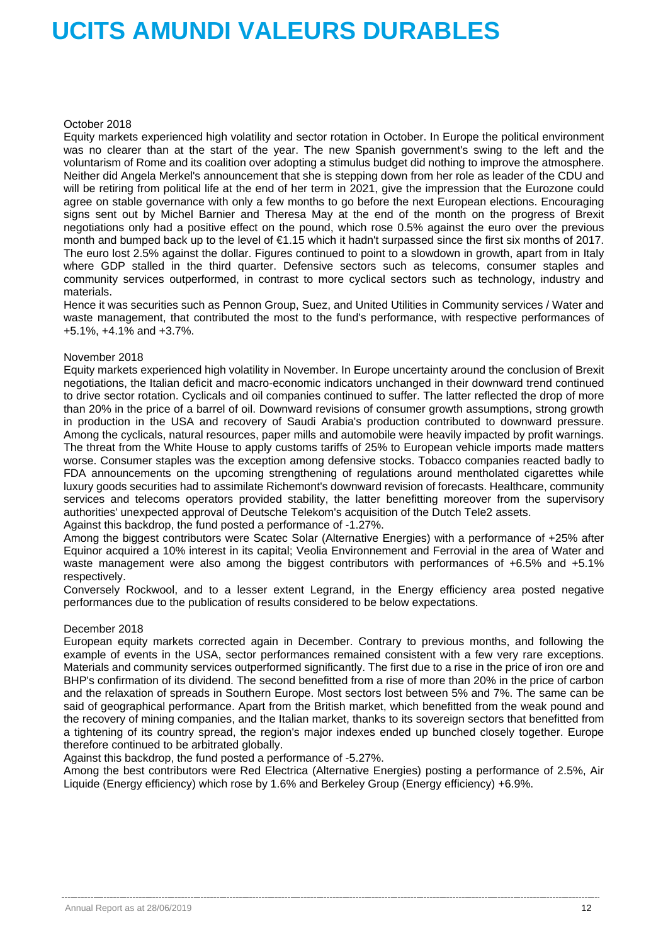### October 2018

Equity markets experienced high volatility and sector rotation in October. In Europe the political environment was no clearer than at the start of the year. The new Spanish government's swing to the left and the voluntarism of Rome and its coalition over adopting a stimulus budget did nothing to improve the atmosphere. Neither did Angela Merkel's announcement that she is stepping down from her role as leader of the CDU and will be retiring from political life at the end of her term in 2021, give the impression that the Eurozone could agree on stable governance with only a few months to go before the next European elections. Encouraging signs sent out by Michel Barnier and Theresa May at the end of the month on the progress of Brexit negotiations only had a positive effect on the pound, which rose 0.5% against the euro over the previous month and bumped back up to the level of €1.15 which it hadn't surpassed since the first six months of 2017. The euro lost 2.5% against the dollar. Figures continued to point to a slowdown in growth, apart from in Italy where GDP stalled in the third quarter. Defensive sectors such as telecoms, consumer staples and community services outperformed, in contrast to more cyclical sectors such as technology, industry and materials.

Hence it was securities such as Pennon Group, Suez, and United Utilities in Community services / Water and waste management, that contributed the most to the fund's performance, with respective performances of +5.1%, +4.1% and +3.7%.

### November 2018

Equity markets experienced high volatility in November. In Europe uncertainty around the conclusion of Brexit negotiations, the Italian deficit and macro-economic indicators unchanged in their downward trend continued to drive sector rotation. Cyclicals and oil companies continued to suffer. The latter reflected the drop of more than 20% in the price of a barrel of oil. Downward revisions of consumer growth assumptions, strong growth in production in the USA and recovery of Saudi Arabia's production contributed to downward pressure. Among the cyclicals, natural resources, paper mills and automobile were heavily impacted by profit warnings. The threat from the White House to apply customs tariffs of 25% to European vehicle imports made matters worse. Consumer staples was the exception among defensive stocks. Tobacco companies reacted badly to FDA announcements on the upcoming strengthening of regulations around mentholated cigarettes while luxury goods securities had to assimilate Richemont's downward revision of forecasts. Healthcare, community services and telecoms operators provided stability, the latter benefitting moreover from the supervisory authorities' unexpected approval of Deutsche Telekom's acquisition of the Dutch Tele2 assets. Against this backdrop, the fund posted a performance of -1.27%.

Among the biggest contributors were Scatec Solar (Alternative Energies) with a performance of +25% after Equinor acquired a 10% interest in its capital; Veolia Environnement and Ferrovial in the area of Water and waste management were also among the biggest contributors with performances of +6.5% and +5.1% respectively.

Conversely Rockwool, and to a lesser extent Legrand, in the Energy efficiency area posted negative performances due to the publication of results considered to be below expectations.

### December 2018

European equity markets corrected again in December. Contrary to previous months, and following the example of events in the USA, sector performances remained consistent with a few very rare exceptions. Materials and community services outperformed significantly. The first due to a rise in the price of iron ore and BHP's confirmation of its dividend. The second benefitted from a rise of more than 20% in the price of carbon and the relaxation of spreads in Southern Europe. Most sectors lost between 5% and 7%. The same can be said of geographical performance. Apart from the British market, which benefitted from the weak pound and the recovery of mining companies, and the Italian market, thanks to its sovereign sectors that benefitted from a tightening of its country spread, the region's major indexes ended up bunched closely together. Europe therefore continued to be arbitrated globally.

Against this backdrop, the fund posted a performance of -5.27%.

Among the best contributors were Red Electrica (Alternative Energies) posting a performance of 2.5%, Air Liquide (Energy efficiency) which rose by 1.6% and Berkeley Group (Energy efficiency) +6.9%.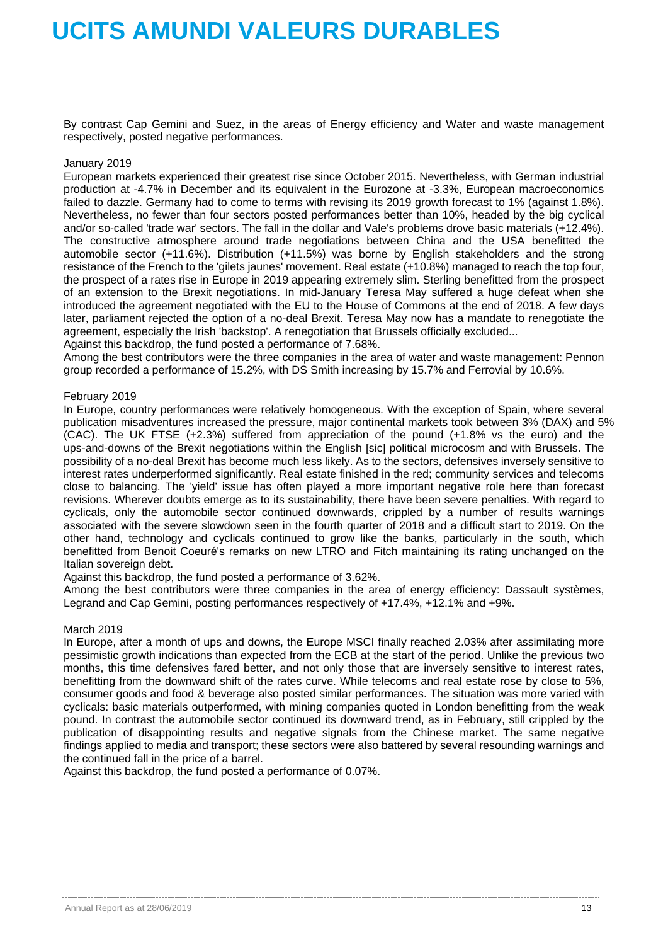By contrast Cap Gemini and Suez, in the areas of Energy efficiency and Water and waste management respectively, posted negative performances.

### January 2019

European markets experienced their greatest rise since October 2015. Nevertheless, with German industrial production at -4.7% in December and its equivalent in the Eurozone at -3.3%, European macroeconomics failed to dazzle. Germany had to come to terms with revising its 2019 growth forecast to 1% (against 1.8%). Nevertheless, no fewer than four sectors posted performances better than 10%, headed by the big cyclical and/or so-called 'trade war' sectors. The fall in the dollar and Vale's problems drove basic materials (+12.4%). The constructive atmosphere around trade negotiations between China and the USA benefitted the automobile sector (+11.6%). Distribution (+11.5%) was borne by English stakeholders and the strong resistance of the French to the 'gilets jaunes' movement. Real estate (+10.8%) managed to reach the top four, the prospect of a rates rise in Europe in 2019 appearing extremely slim. Sterling benefitted from the prospect of an extension to the Brexit negotiations. In mid-January Teresa May suffered a huge defeat when she introduced the agreement negotiated with the EU to the House of Commons at the end of 2018. A few days later, parliament rejected the option of a no-deal Brexit. Teresa May now has a mandate to renegotiate the agreement, especially the Irish 'backstop'. A renegotiation that Brussels officially excluded...

Against this backdrop, the fund posted a performance of 7.68%.

Among the best contributors were the three companies in the area of water and waste management: Pennon group recorded a performance of 15.2%, with DS Smith increasing by 15.7% and Ferrovial by 10.6%.

### February 2019

In Europe, country performances were relatively homogeneous. With the exception of Spain, where several publication misadventures increased the pressure, major continental markets took between 3% (DAX) and 5% (CAC). The UK FTSE (+2.3%) suffered from appreciation of the pound (+1.8% vs the euro) and the ups-and-downs of the Brexit negotiations within the English [sic] political microcosm and with Brussels. The possibility of a no-deal Brexit has become much less likely. As to the sectors, defensives inversely sensitive to interest rates underperformed significantly. Real estate finished in the red; community services and telecoms close to balancing. The 'yield' issue has often played a more important negative role here than forecast revisions. Wherever doubts emerge as to its sustainability, there have been severe penalties. With regard to cyclicals, only the automobile sector continued downwards, crippled by a number of results warnings associated with the severe slowdown seen in the fourth quarter of 2018 and a difficult start to 2019. On the other hand, technology and cyclicals continued to grow like the banks, particularly in the south, which benefitted from Benoit Coeuré's remarks on new LTRO and Fitch maintaining its rating unchanged on the Italian sovereign debt.

Against this backdrop, the fund posted a performance of 3.62%.

Among the best contributors were three companies in the area of energy efficiency: Dassault systèmes, Legrand and Cap Gemini, posting performances respectively of +17.4%, +12.1% and +9%.

### March 2019

In Europe, after a month of ups and downs, the Europe MSCI finally reached 2.03% after assimilating more pessimistic growth indications than expected from the ECB at the start of the period. Unlike the previous two months, this time defensives fared better, and not only those that are inversely sensitive to interest rates, benefitting from the downward shift of the rates curve. While telecoms and real estate rose by close to 5%, consumer goods and food & beverage also posted similar performances. The situation was more varied with cyclicals: basic materials outperformed, with mining companies quoted in London benefitting from the weak pound. In contrast the automobile sector continued its downward trend, as in February, still crippled by the publication of disappointing results and negative signals from the Chinese market. The same negative findings applied to media and transport; these sectors were also battered by several resounding warnings and the continued fall in the price of a barrel.

Against this backdrop, the fund posted a performance of 0.07%.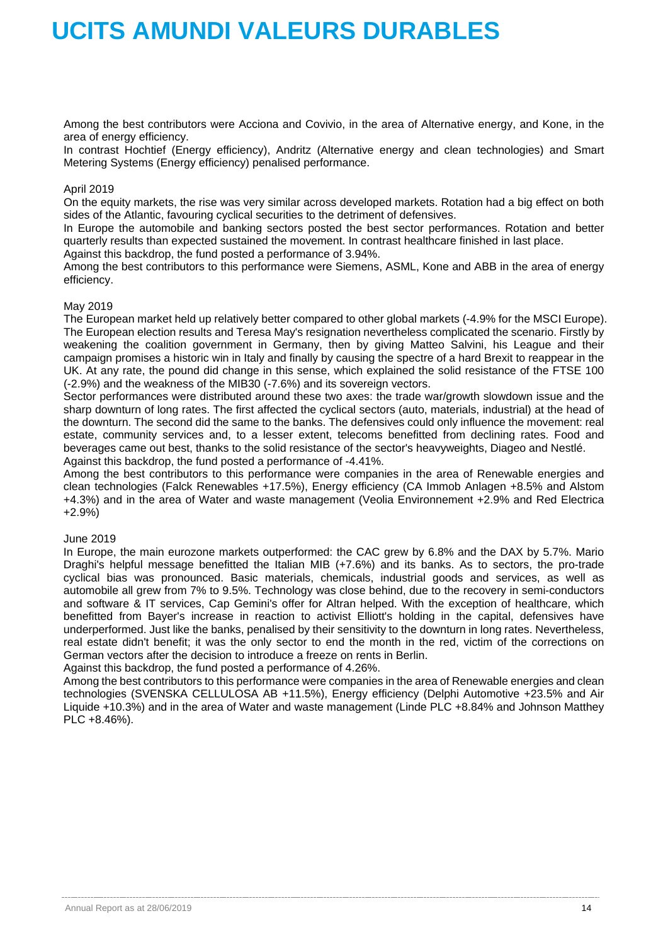Among the best contributors were Acciona and Covivio, in the area of Alternative energy, and Kone, in the area of energy efficiency.

In contrast Hochtief (Energy efficiency), Andritz (Alternative energy and clean technologies) and Smart Metering Systems (Energy efficiency) penalised performance.

### April 2019

On the equity markets, the rise was very similar across developed markets. Rotation had a big effect on both sides of the Atlantic, favouring cyclical securities to the detriment of defensives.

In Europe the automobile and banking sectors posted the best sector performances. Rotation and better quarterly results than expected sustained the movement. In contrast healthcare finished in last place. Against this backdrop, the fund posted a performance of 3.94%.

Among the best contributors to this performance were Siemens, ASML, Kone and ABB in the area of energy efficiency.

### May 2019

The European market held up relatively better compared to other global markets (-4.9% for the MSCI Europe). The European election results and Teresa May's resignation nevertheless complicated the scenario. Firstly by weakening the coalition government in Germany, then by giving Matteo Salvini, his League and their campaign promises a historic win in Italy and finally by causing the spectre of a hard Brexit to reappear in the UK. At any rate, the pound did change in this sense, which explained the solid resistance of the FTSE 100 (-2.9%) and the weakness of the MIB30 (-7.6%) and its sovereign vectors.

Sector performances were distributed around these two axes: the trade war/growth slowdown issue and the sharp downturn of long rates. The first affected the cyclical sectors (auto, materials, industrial) at the head of the downturn. The second did the same to the banks. The defensives could only influence the movement: real estate, community services and, to a lesser extent, telecoms benefitted from declining rates. Food and beverages came out best, thanks to the solid resistance of the sector's heavyweights, Diageo and Nestlé. Against this backdrop, the fund posted a performance of -4.41%.

Among the best contributors to this performance were companies in the area of Renewable energies and clean technologies (Falck Renewables +17.5%), Energy efficiency (CA Immob Anlagen +8.5% and Alstom +4.3%) and in the area of Water and waste management (Veolia Environnement +2.9% and Red Electrica +2.9%)

### June 2019

In Europe, the main eurozone markets outperformed: the CAC grew by 6.8% and the DAX by 5.7%. Mario Draghi's helpful message benefitted the Italian MIB (+7.6%) and its banks. As to sectors, the pro-trade cyclical bias was pronounced. Basic materials, chemicals, industrial goods and services, as well as automobile all grew from 7% to 9.5%. Technology was close behind, due to the recovery in semi-conductors and software & IT services, Cap Gemini's offer for Altran helped. With the exception of healthcare, which benefitted from Bayer's increase in reaction to activist Elliott's holding in the capital, defensives have underperformed. Just like the banks, penalised by their sensitivity to the downturn in long rates. Nevertheless, real estate didn't benefit; it was the only sector to end the month in the red, victim of the corrections on German vectors after the decision to introduce a freeze on rents in Berlin.

Against this backdrop, the fund posted a performance of 4.26%.

Among the best contributors to this performance were companies in the area of Renewable energies and clean technologies (SVENSKA CELLULOSA AB +11.5%), Energy efficiency (Delphi Automotive +23.5% and Air Liquide +10.3%) and in the area of Water and waste management (Linde PLC +8.84% and Johnson Matthey PLC +8.46%).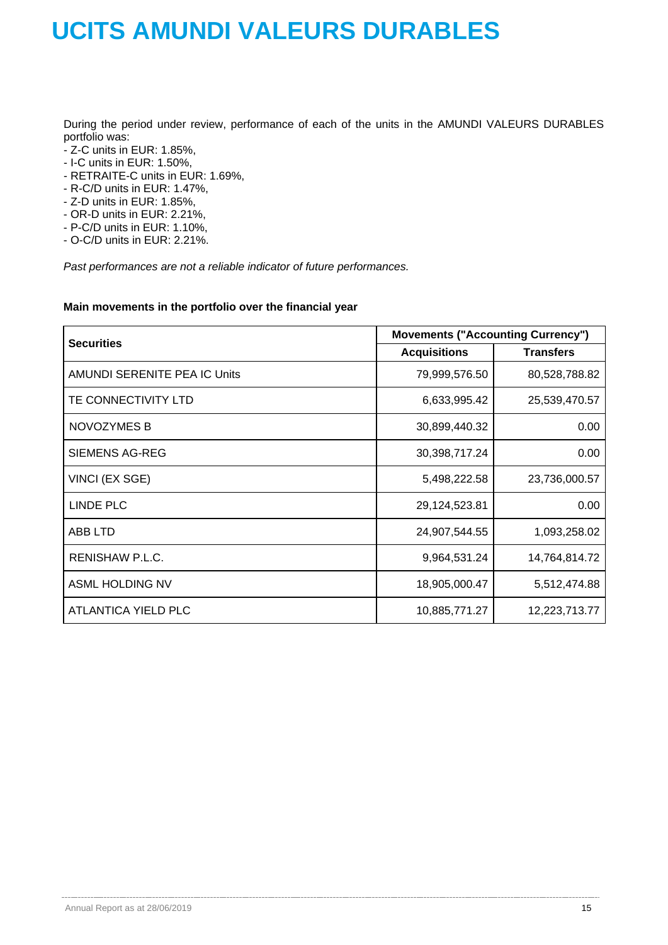During the period under review, performance of each of the units in the AMUNDI VALEURS DURABLES portfolio was:

- Z-C units in EUR: 1.85%,
- I-C units in EUR: 1.50%,
- RETRAITE-C units in EUR: 1.69%,
- R-C/D units in EUR: 1.47%,
- Z-D units in EUR: 1.85%,
- OR-D units in EUR: 2.21%,
- P-C/D units in EUR: 1.10%,
- O-C/D units in EUR: 2.21%.

*Past performances are not a reliable indicator of future performances.*

### **Main movements in the portfolio over the financial year**

| <b>Securities</b>            | <b>Movements ("Accounting Currency")</b> |                  |  |  |
|------------------------------|------------------------------------------|------------------|--|--|
|                              | <b>Acquisitions</b>                      | <b>Transfers</b> |  |  |
| AMUNDI SERENITE PEA IC Units | 79,999,576.50                            | 80,528,788.82    |  |  |
| TE CONNECTIVITY LTD          | 6,633,995.42                             | 25,539,470.57    |  |  |
| NOVOZYMES B                  | 30,899,440.32                            | 0.00             |  |  |
| SIEMENS AG-REG               | 30,398,717.24                            | 0.00             |  |  |
| VINCI (EX SGE)               | 5,498,222.58                             | 23,736,000.57    |  |  |
| LINDE PLC                    | 29,124,523.81                            | 0.00             |  |  |
| ABB LTD                      | 24,907,544.55                            | 1,093,258.02     |  |  |
| <b>RENISHAW P.L.C.</b>       | 9,964,531.24                             | 14,764,814.72    |  |  |
| ASML HOLDING NV              | 18,905,000.47                            | 5,512,474.88     |  |  |
| ATLANTICA YIELD PLC          | 10,885,771.27                            | 12,223,713.77    |  |  |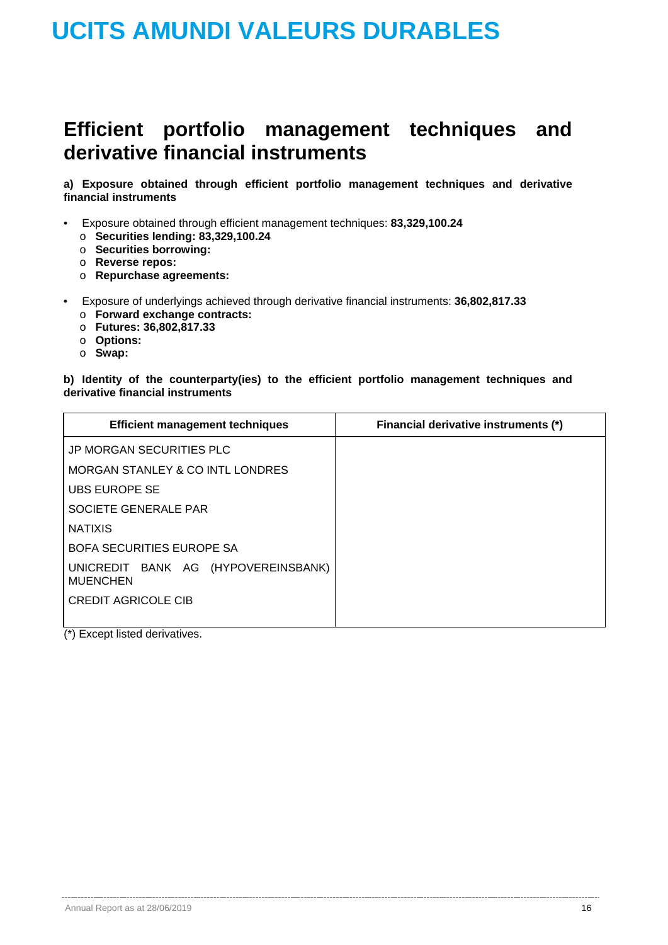## **Efficient portfolio management techniques and derivative financial instruments**

**a) Exposure obtained through efficient portfolio management techniques and derivative financial instruments**

- Exposure obtained through efficient management techniques: **83,329,100.24** 
	- o **Securities lending: 83,329,100.24**
	- o **Securities borrowing:**
	- o **Reverse repos:**
	- o **Repurchase agreements:**
- Exposure of underlyings achieved through derivative financial instruments: **36,802,817.33** 
	- o **Forward exchange contracts:**
	- o **Futures: 36,802,817.33**
	- o **Options:**
	- o **Swap:**

### **b) Identity of the counterparty(ies) to the efficient portfolio management techniques and derivative financial instruments**

| <b>Efficient management techniques</b>                 | Financial derivative instruments (*) |
|--------------------------------------------------------|--------------------------------------|
| JP MORGAN SECURITIES PLC                               |                                      |
| MORGAN STANLEY & CO INTL LONDRES                       |                                      |
| UBS EUROPE SE                                          |                                      |
| SOCIETE GENERALE PAR                                   |                                      |
| <b>NATIXIS</b>                                         |                                      |
| <b>BOFA SECURITIES EUROPE SA</b>                       |                                      |
| UNICREDIT BANK AG (HYPOVEREINSBANK)<br><b>MUENCHEN</b> |                                      |
| <b>CREDIT AGRICOLE CIB</b>                             |                                      |

(\*) Except listed derivatives.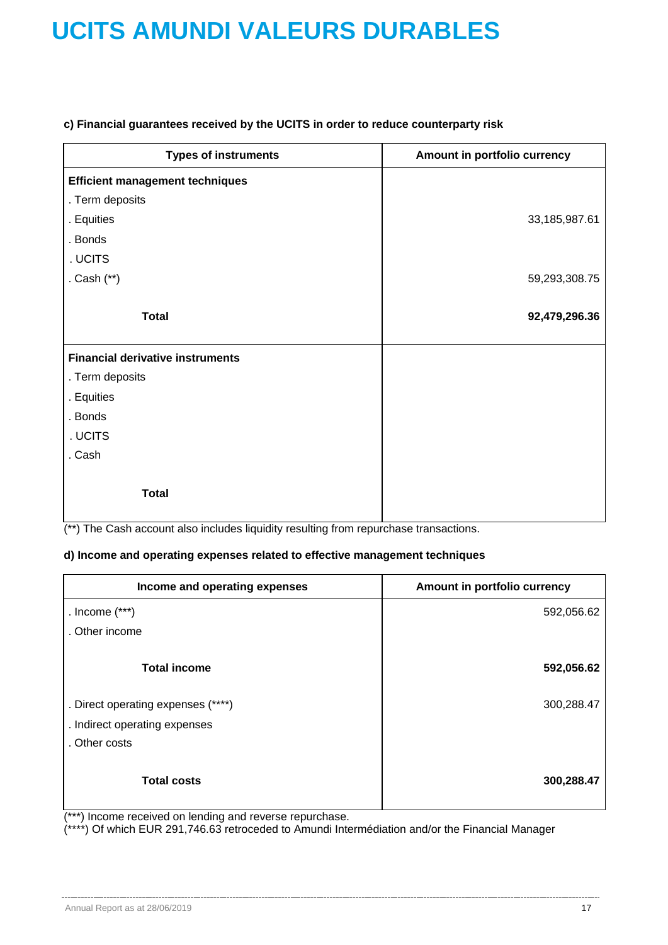### **c) Financial guarantees received by the UCITS in order to reduce counterparty risk**

| <b>Types of instruments</b>             | Amount in portfolio currency |
|-----------------------------------------|------------------------------|
| <b>Efficient management techniques</b>  |                              |
| . Term deposits                         |                              |
| . Equities                              | 33,185,987.61                |
| . Bonds                                 |                              |
| . UCITS                                 |                              |
| . Cash (**)                             | 59,293,308.75                |
|                                         |                              |
| <b>Total</b>                            | 92,479,296.36                |
|                                         |                              |
| <b>Financial derivative instruments</b> |                              |
| . Term deposits                         |                              |
| . Equities                              |                              |
| . Bonds                                 |                              |
| . UCITS                                 |                              |
| . Cash                                  |                              |
|                                         |                              |
| <b>Total</b>                            |                              |
|                                         |                              |

(\*\*) The Cash account also includes liquidity resulting from repurchase transactions.

### **d) Income and operating expenses related to effective management techniques**

| Income and operating expenses      | Amount in portfolio currency |
|------------------------------------|------------------------------|
| . Income $(***)$                   | 592,056.62                   |
| . Other income                     |                              |
| <b>Total income</b>                | 592,056.62                   |
| . Direct operating expenses (****) | 300,288.47                   |
| . Indirect operating expenses      |                              |
| . Other costs                      |                              |
| <b>Total costs</b>                 | 300,288.47                   |

(\*\*\*) Income received on lending and reverse repurchase.

(\*\*\*\*) Of which EUR 291,746.63 retroceded to Amundi Intermédiation and/or the Financial Manager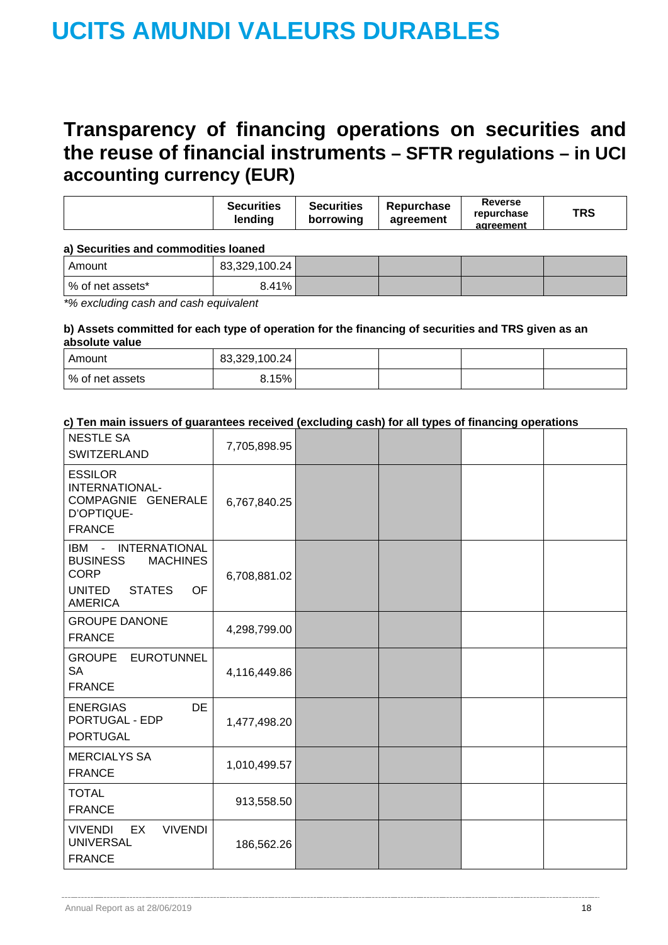## **Transparency of financing operations on securities and the reuse of financial instruments – SFTR regulations – in UCI accounting currency (EUR)**

|  |  | <b>Securities</b><br>lendina | <b>Securities</b><br>borrowing | Repurchase<br>agreement | Reverse<br>repurchase<br>agreement | <b>TRS</b> |
|--|--|------------------------------|--------------------------------|-------------------------|------------------------------------|------------|
|--|--|------------------------------|--------------------------------|-------------------------|------------------------------------|------------|

### **a) Securities and commodities loaned**

| Amount            | 83,329,100.24 |  |  |
|-------------------|---------------|--|--|
| ∣% of net assets* | 8.41%         |  |  |

*\*% excluding cash and cash equivalent*

### **b) Assets committed for each type of operation for the financing of securities and TRS given as an absolute value**

| Amount          | 83,329,100.24 |  |  |
|-----------------|---------------|--|--|
| % of net assets | 8.15%         |  |  |

### **c) Ten main issuers of guarantees received (excluding cash) for all types of financing operations**

| <b>NESTLE SA</b><br><b>SWITZERLAND</b>                                                                                             | 7,705,898.95 |  |  |
|------------------------------------------------------------------------------------------------------------------------------------|--------------|--|--|
| <b>ESSILOR</b><br>INTERNATIONAL-<br>COMPAGNIE GENERALE<br>D'OPTIQUE-<br><b>FRANCE</b>                                              | 6,767,840.25 |  |  |
| IBM - INTERNATIONAL<br><b>BUSINESS</b><br><b>MACHINES</b><br><b>CORP</b><br><b>UNITED</b><br><b>STATES</b><br>OF<br><b>AMERICA</b> | 6,708,881.02 |  |  |
| <b>GROUPE DANONE</b><br><b>FRANCE</b>                                                                                              | 4,298,799.00 |  |  |
| <b>GROUPE</b><br><b>EUROTUNNEL</b><br><b>SA</b><br><b>FRANCE</b>                                                                   | 4,116,449.86 |  |  |
| <b>DE</b><br><b>ENERGIAS</b><br>PORTUGAL - EDP<br><b>PORTUGAL</b>                                                                  | 1,477,498.20 |  |  |
| <b>MERCIALYS SA</b><br><b>FRANCE</b>                                                                                               | 1,010,499.57 |  |  |
| <b>TOTAL</b><br><b>FRANCE</b>                                                                                                      | 913,558.50   |  |  |
| <b>VIVENDI</b><br><b>VIVENDI</b><br>EX<br><b>UNIVERSAL</b><br><b>FRANCE</b>                                                        | 186,562.26   |  |  |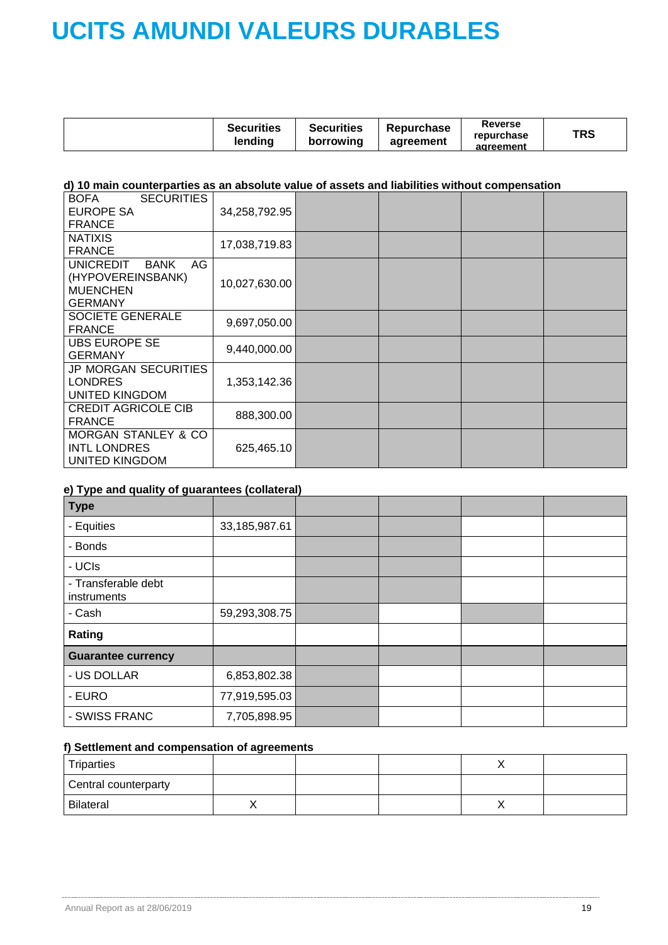|  | <b>Securities</b><br>lendina | <b>Securities</b><br>borrowing | Repurchase<br>agreement | Reverse<br>repurchase<br>agreement | TRS |
|--|------------------------------|--------------------------------|-------------------------|------------------------------------|-----|
|--|------------------------------|--------------------------------|-------------------------|------------------------------------|-----|

### **d) 10 main counterparties as an absolute value of assets and liabilities without compensation**

| <b>SECURITIES</b><br><b>BOFA</b><br><b>EUROPE SA</b><br><b>FRANCE</b>                           | 34,258,792.95 |  |  |
|-------------------------------------------------------------------------------------------------|---------------|--|--|
| <b>NATIXIS</b><br><b>FRANCE</b>                                                                 | 17,038,719.83 |  |  |
| <b>UNICREDIT</b><br>AG<br><b>BANK</b><br>(HYPOVEREINSBANK)<br><b>MUENCHEN</b><br><b>GERMANY</b> | 10,027,630.00 |  |  |
| <b>SOCIETE GENERALE</b><br><b>FRANCE</b>                                                        | 9,697,050.00  |  |  |
| <b>UBS EUROPE SE</b><br><b>GERMANY</b>                                                          | 9,440,000.00  |  |  |
| <b>JP MORGAN SECURITIES</b><br><b>LONDRES</b><br>UNITED KINGDOM                                 | 1,353,142.36  |  |  |
| <b>CREDIT AGRICOLE CIB</b><br><b>FRANCE</b>                                                     | 888,300.00    |  |  |
| <b>MORGAN STANLEY &amp; CO</b><br><b>INTL LONDRES</b><br>UNITED KINGDOM                         | 625,465.10    |  |  |

### **e) Type and quality of guarantees (collateral)**

| <b>Type</b>                        |               |  |  |
|------------------------------------|---------------|--|--|
| - Equities                         | 33,185,987.61 |  |  |
| - Bonds                            |               |  |  |
| - UCIs                             |               |  |  |
| - Transferable debt<br>instruments |               |  |  |
| - Cash                             | 59,293,308.75 |  |  |
| Rating                             |               |  |  |
| <b>Guarantee currency</b>          |               |  |  |
| - US DOLLAR                        | 6,853,802.38  |  |  |
| - EURO                             | 77,919,595.03 |  |  |
| - SWISS FRANC                      | 7,705,898.95  |  |  |

### **f) Settlement and compensation of agreements**

| Triparties           |  | $\lambda$ |  |
|----------------------|--|-----------|--|
| Central counterparty |  |           |  |
| Bilateral            |  | $\lambda$ |  |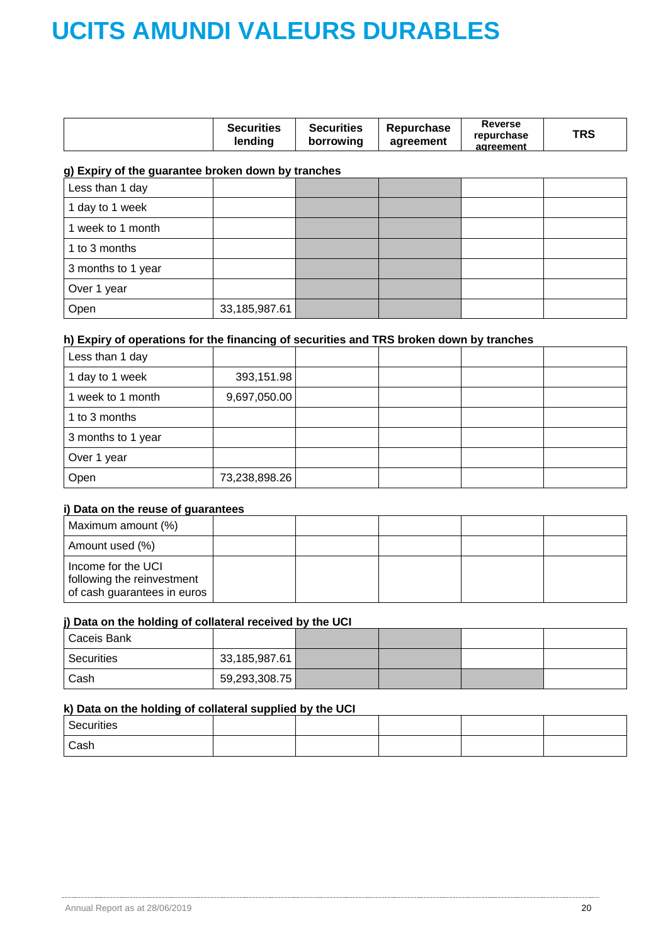|  | <b>Securities</b><br>lending | <b>Securities</b><br>borrowing | Repurchase<br>agreement | Reverse<br>repurchase<br>agreement | TRS |
|--|------------------------------|--------------------------------|-------------------------|------------------------------------|-----|
|--|------------------------------|--------------------------------|-------------------------|------------------------------------|-----|

### **g) Expiry of the guarantee broken down by tranches**

| Less than 1 day    |               |  |  |
|--------------------|---------------|--|--|
| 1 day to 1 week    |               |  |  |
| 1 week to 1 month  |               |  |  |
| 1 to 3 months      |               |  |  |
| 3 months to 1 year |               |  |  |
| Over 1 year        |               |  |  |
| Open               | 33,185,987.61 |  |  |

### **h) Expiry of operations for the financing of securities and TRS broken down by tranches**

| Less than 1 day    |               |  |  |
|--------------------|---------------|--|--|
| 1 day to 1 week    | 393,151.98    |  |  |
| 1 week to 1 month  | 9,697,050.00  |  |  |
| 1 to 3 months      |               |  |  |
| 3 months to 1 year |               |  |  |
| Over 1 year        |               |  |  |
| Open               | 73,238,898.26 |  |  |

### **i) Data on the reuse of guarantees**

| Maximum amount (%)                                                              |  |  |  |
|---------------------------------------------------------------------------------|--|--|--|
| Amount used (%)                                                                 |  |  |  |
| Income for the UCI<br>following the reinvestment<br>of cash guarantees in euros |  |  |  |

### **j) Data on the holding of collateral received by the UCI**

| <sup>1</sup> Caceis Bank |               |  |  |
|--------------------------|---------------|--|--|
| Securities               | 33,185,987.61 |  |  |
| Cash                     | 59,293,308.75 |  |  |

### **k) Data on the holding of collateral supplied by the UCI**

| Securities |  |  |  |
|------------|--|--|--|
| Cash       |  |  |  |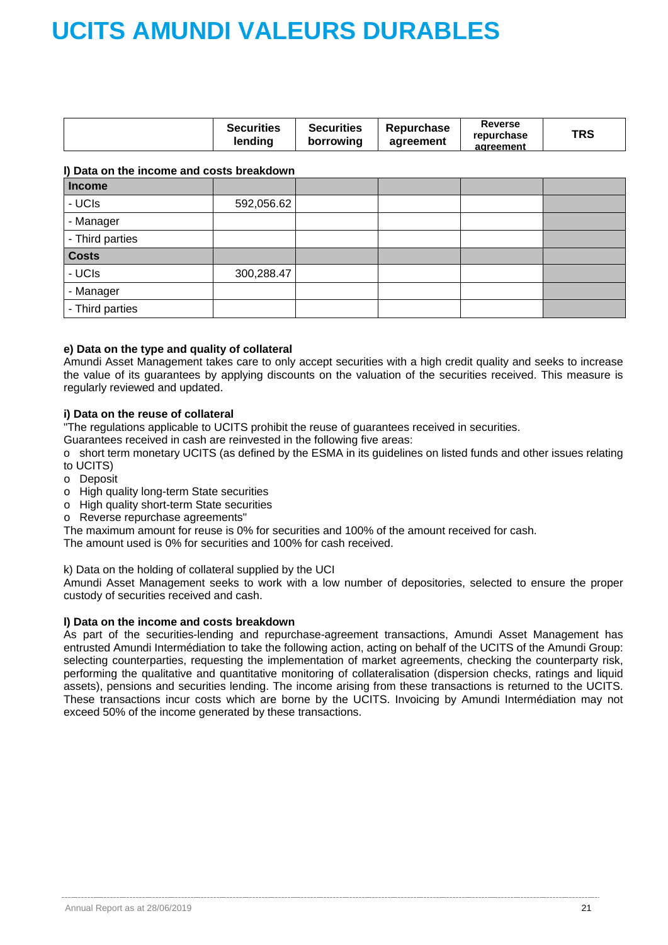|  | <b>Securities</b><br>lendina | <b>Securities</b><br>borrowing | <b>Repurchase</b><br>agreement | Reverse<br>repurchase<br>agreement | TRS |
|--|------------------------------|--------------------------------|--------------------------------|------------------------------------|-----|
|--|------------------------------|--------------------------------|--------------------------------|------------------------------------|-----|

### **l) Data on the income and costs breakdown**

| <b>Income</b>   |            |  |  |
|-----------------|------------|--|--|
| - UCIs          | 592,056.62 |  |  |
| - Manager       |            |  |  |
| - Third parties |            |  |  |
| <b>Costs</b>    |            |  |  |
| - UCIs          | 300,288.47 |  |  |
| - Manager       |            |  |  |
| - Third parties |            |  |  |

### **e) Data on the type and quality of collateral**

Amundi Asset Management takes care to only accept securities with a high credit quality and seeks to increase the value of its guarantees by applying discounts on the valuation of the securities received. This measure is regularly reviewed and updated.

### **i) Data on the reuse of collateral**

"The regulations applicable to UCITS prohibit the reuse of guarantees received in securities.

Guarantees received in cash are reinvested in the following five areas:

o short term monetary UCITS (as defined by the ESMA in its guidelines on listed funds and other issues relating to UCITS)

- o Deposit
- o High quality long-term State securities
- o High quality short-term State securities
- o Reverse repurchase agreements"

The maximum amount for reuse is 0% for securities and 100% of the amount received for cash.

The amount used is 0% for securities and 100% for cash received.

k) Data on the holding of collateral supplied by the UCI

Amundi Asset Management seeks to work with a low number of depositories, selected to ensure the proper custody of securities received and cash.

### **l) Data on the income and costs breakdown**

As part of the securities-lending and repurchase-agreement transactions, Amundi Asset Management has entrusted Amundi Intermédiation to take the following action, acting on behalf of the UCITS of the Amundi Group: selecting counterparties, requesting the implementation of market agreements, checking the counterparty risk, performing the qualitative and quantitative monitoring of collateralisation (dispersion checks, ratings and liquid assets), pensions and securities lending. The income arising from these transactions is returned to the UCITS. These transactions incur costs which are borne by the UCITS. Invoicing by Amundi Intermédiation may not exceed 50% of the income generated by these transactions.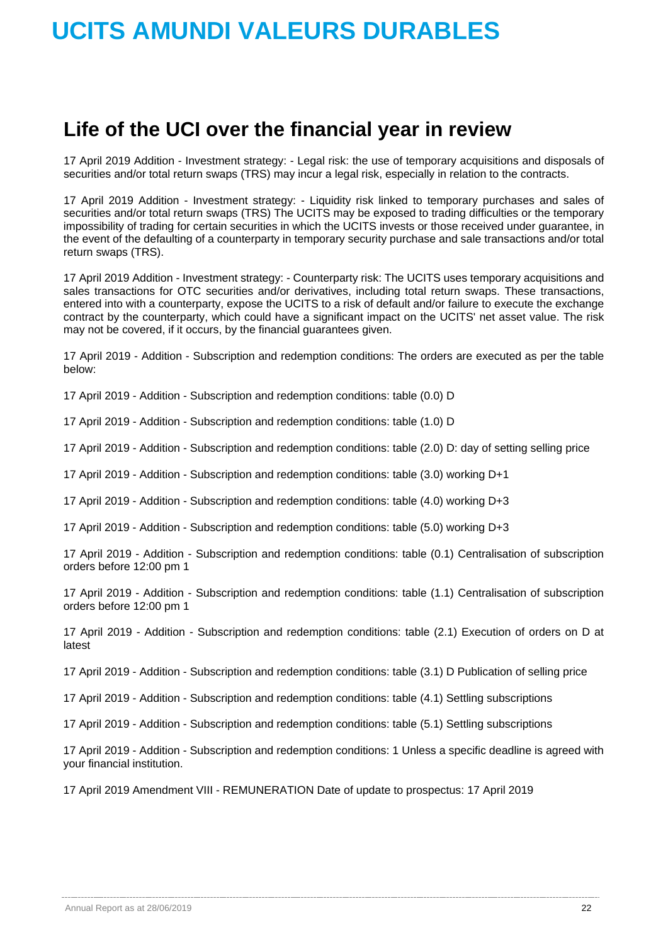## **Life of the UCI over the financial year in review**

17 April 2019 Addition - Investment strategy: - Legal risk: the use of temporary acquisitions and disposals of securities and/or total return swaps (TRS) may incur a legal risk, especially in relation to the contracts.

17 April 2019 Addition - Investment strategy: - Liquidity risk linked to temporary purchases and sales of securities and/or total return swaps (TRS) The UCITS may be exposed to trading difficulties or the temporary impossibility of trading for certain securities in which the UCITS invests or those received under guarantee, in the event of the defaulting of a counterparty in temporary security purchase and sale transactions and/or total return swaps (TRS).

17 April 2019 Addition - Investment strategy: - Counterparty risk: The UCITS uses temporary acquisitions and sales transactions for OTC securities and/or derivatives, including total return swaps. These transactions, entered into with a counterparty, expose the UCITS to a risk of default and/or failure to execute the exchange contract by the counterparty, which could have a significant impact on the UCITS' net asset value. The risk may not be covered, if it occurs, by the financial guarantees given.

17 April 2019 - Addition - Subscription and redemption conditions: The orders are executed as per the table below:

17 April 2019 - Addition - Subscription and redemption conditions: table (0.0) D

17 April 2019 - Addition - Subscription and redemption conditions: table (1.0) D

17 April 2019 - Addition - Subscription and redemption conditions: table (2.0) D: day of setting selling price

17 April 2019 - Addition - Subscription and redemption conditions: table (3.0) working D+1

17 April 2019 - Addition - Subscription and redemption conditions: table (4.0) working D+3

17 April 2019 - Addition - Subscription and redemption conditions: table (5.0) working D+3

17 April 2019 - Addition - Subscription and redemption conditions: table (0.1) Centralisation of subscription orders before 12:00 pm 1

17 April 2019 - Addition - Subscription and redemption conditions: table (1.1) Centralisation of subscription orders before 12:00 pm 1

17 April 2019 - Addition - Subscription and redemption conditions: table (2.1) Execution of orders on D at latest

17 April 2019 - Addition - Subscription and redemption conditions: table (3.1) D Publication of selling price

17 April 2019 - Addition - Subscription and redemption conditions: table (4.1) Settling subscriptions

17 April 2019 - Addition - Subscription and redemption conditions: table (5.1) Settling subscriptions

17 April 2019 - Addition - Subscription and redemption conditions: 1 Unless a specific deadline is agreed with your financial institution.

17 April 2019 Amendment VIII - REMUNERATION Date of update to prospectus: 17 April 2019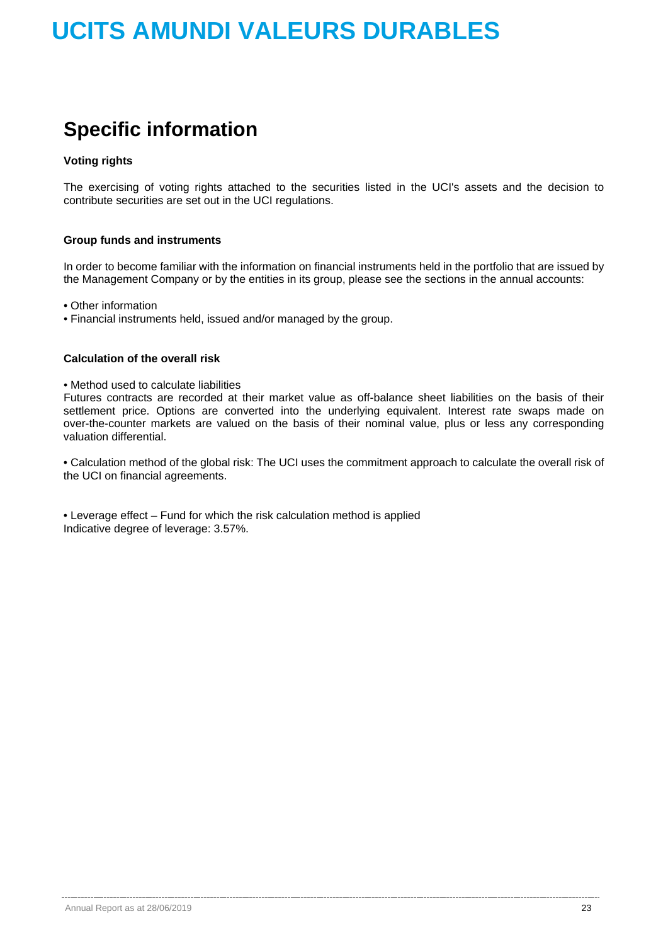## **Specific information**

### **Voting rights**

The exercising of voting rights attached to the securities listed in the UCI's assets and the decision to contribute securities are set out in the UCI regulations.

### **Group funds and instruments**

In order to become familiar with the information on financial instruments held in the portfolio that are issued by the Management Company or by the entities in its group, please see the sections in the annual accounts:

• Other information

• Financial instruments held, issued and/or managed by the group.

### **Calculation of the overall risk**

• Method used to calculate liabilities

Futures contracts are recorded at their market value as off-balance sheet liabilities on the basis of their settlement price. Options are converted into the underlying equivalent. Interest rate swaps made on over-the-counter markets are valued on the basis of their nominal value, plus or less any corresponding valuation differential.

• Calculation method of the global risk: The UCI uses the commitment approach to calculate the overall risk of the UCI on financial agreements.

• Leverage effect – Fund for which the risk calculation method is applied Indicative degree of leverage: 3.57%.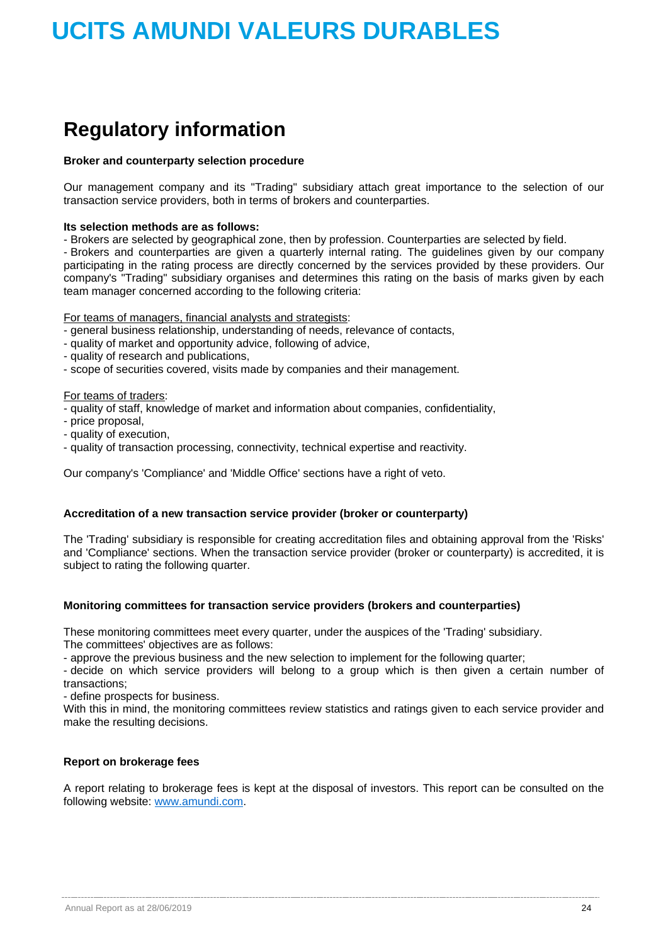## **Regulatory information**

### **Broker and counterparty selection procedure**

Our management company and its "Trading" subsidiary attach great importance to the selection of our transaction service providers, both in terms of brokers and counterparties.

### **Its selection methods are as follows:**

- Brokers are selected by geographical zone, then by profession. Counterparties are selected by field.

- Brokers and counterparties are given a quarterly internal rating. The guidelines given by our company participating in the rating process are directly concerned by the services provided by these providers. Our company's "Trading" subsidiary organises and determines this rating on the basis of marks given by each team manager concerned according to the following criteria:

For teams of managers, financial analysts and strategists:

- general business relationship, understanding of needs, relevance of contacts,
- quality of market and opportunity advice, following of advice,
- quality of research and publications,
- scope of securities covered, visits made by companies and their management.

### For teams of traders:

- quality of staff, knowledge of market and information about companies, confidentiality,

- price proposal,
- quality of execution,
- quality of transaction processing, connectivity, technical expertise and reactivity.

Our company's 'Compliance' and 'Middle Office' sections have a right of veto.

### **Accreditation of a new transaction service provider (broker or counterparty)**

The 'Trading' subsidiary is responsible for creating accreditation files and obtaining approval from the 'Risks' and 'Compliance' sections. When the transaction service provider (broker or counterparty) is accredited, it is subject to rating the following quarter.

### **Monitoring committees for transaction service providers (brokers and counterparties)**

These monitoring committees meet every quarter, under the auspices of the 'Trading' subsidiary. The committees' objectives are as follows:

- approve the previous business and the new selection to implement for the following quarter;

- decide on which service providers will belong to a group which is then given a certain number of transactions;

- define prospects for business.

With this in mind, the monitoring committees review statistics and ratings given to each service provider and make the resulting decisions.

### **Report on brokerage fees**

A report relating to brokerage fees is kept at the disposal of investors. This report can be consulted on the following website: [www.amundi.com.](http://www.amundi.com/)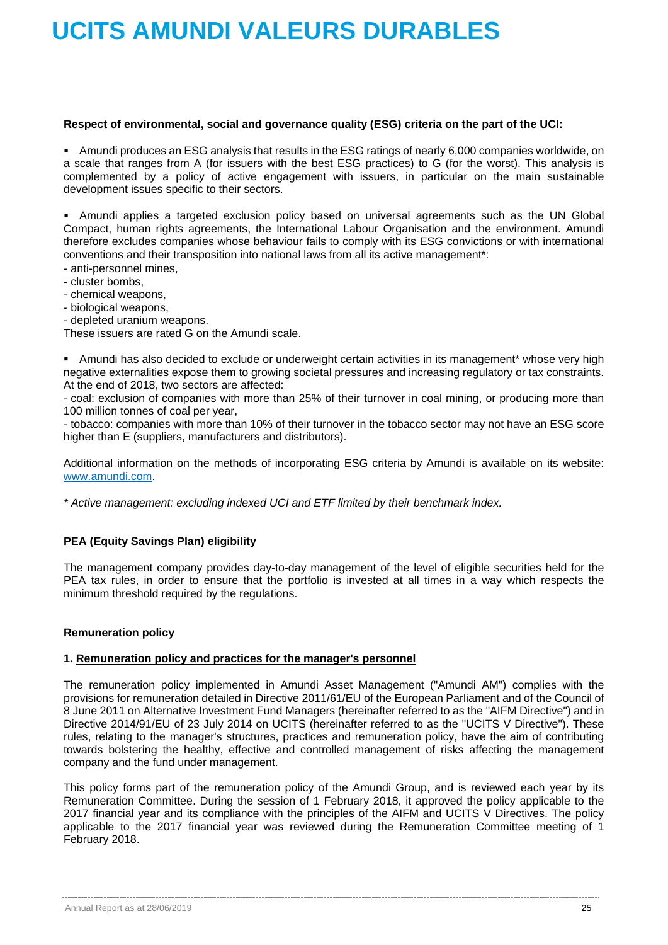### **Respect of environmental, social and governance quality (ESG) criteria on the part of the UCI:**

 Amundi produces an ESG analysis that results in the ESG ratings of nearly 6,000 companies worldwide, on a scale that ranges from A (for issuers with the best ESG practices) to G (for the worst). This analysis is complemented by a policy of active engagement with issuers, in particular on the main sustainable development issues specific to their sectors.

 Amundi applies a targeted exclusion policy based on universal agreements such as the UN Global Compact, human rights agreements, the International Labour Organisation and the environment. Amundi therefore excludes companies whose behaviour fails to comply with its ESG convictions or with international conventions and their transposition into national laws from all its active management\*:

- anti-personnel mines,
- cluster bombs,
- chemical weapons,
- biological weapons,
- depleted uranium weapons.

These issuers are rated G on the Amundi scale.

 Amundi has also decided to exclude or underweight certain activities in its management\* whose very high negative externalities expose them to growing societal pressures and increasing regulatory or tax constraints. At the end of 2018, two sectors are affected:

- coal: exclusion of companies with more than 25% of their turnover in coal mining, or producing more than 100 million tonnes of coal per year,

- tobacco: companies with more than 10% of their turnover in the tobacco sector may not have an ESG score higher than E (suppliers, manufacturers and distributors).

Additional information on the methods of incorporating ESG criteria by Amundi is available on its website: [www.amundi.com.](http://www.amundi.com/)

*\* Active management: excluding indexed UCI and ETF limited by their benchmark index.*

### **PEA (Equity Savings Plan) eligibility**

The management company provides day-to-day management of the level of eligible securities held for the PEA tax rules, in order to ensure that the portfolio is invested at all times in a way which respects the minimum threshold required by the regulations.

### **Remuneration policy**

### **1. Remuneration policy and practices for the manager's personnel**

The remuneration policy implemented in Amundi Asset Management ("Amundi AM") complies with the provisions for remuneration detailed in Directive 2011/61/EU of the European Parliament and of the Council of 8 June 2011 on Alternative Investment Fund Managers (hereinafter referred to as the "AIFM Directive") and in Directive 2014/91/EU of 23 July 2014 on UCITS (hereinafter referred to as the "UCITS V Directive"). These rules, relating to the manager's structures, practices and remuneration policy, have the aim of contributing towards bolstering the healthy, effective and controlled management of risks affecting the management company and the fund under management.

This policy forms part of the remuneration policy of the Amundi Group, and is reviewed each year by its Remuneration Committee. During the session of 1 February 2018, it approved the policy applicable to the 2017 financial year and its compliance with the principles of the AIFM and UCITS V Directives. The policy applicable to the 2017 financial year was reviewed during the Remuneration Committee meeting of 1 February 2018.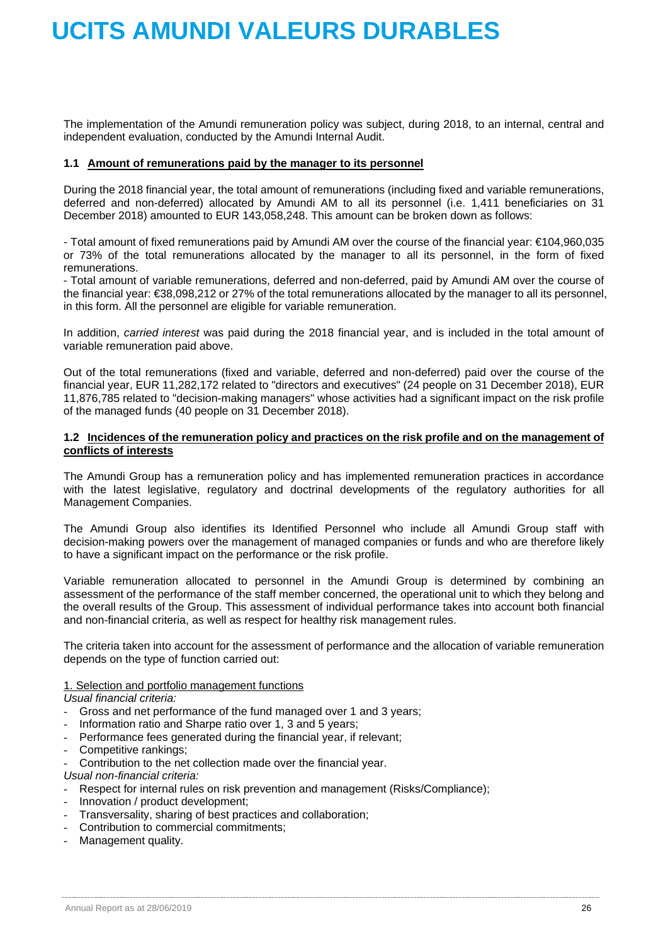The implementation of the Amundi remuneration policy was subject, during 2018, to an internal, central and independent evaluation, conducted by the Amundi Internal Audit.

### **1.1 Amount of remunerations paid by the manager to its personnel**

During the 2018 financial year, the total amount of remunerations (including fixed and variable remunerations, deferred and non-deferred) allocated by Amundi AM to all its personnel (i.e. 1,411 beneficiaries on 31 December 2018) amounted to EUR 143,058,248. This amount can be broken down as follows:

- Total amount of fixed remunerations paid by Amundi AM over the course of the financial year: €104,960,035 or 73% of the total remunerations allocated by the manager to all its personnel, in the form of fixed remunerations.

- Total amount of variable remunerations, deferred and non-deferred, paid by Amundi AM over the course of the financial year: €38,098,212 or 27% of the total remunerations allocated by the manager to all its personnel, in this form. All the personnel are eligible for variable remuneration.

In addition, *carried interest* was paid during the 2018 financial year, and is included in the total amount of variable remuneration paid above.

Out of the total remunerations (fixed and variable, deferred and non-deferred) paid over the course of the financial year, EUR 11,282,172 related to "directors and executives" (24 people on 31 December 2018), EUR 11,876,785 related to "decision-making managers" whose activities had a significant impact on the risk profile of the managed funds (40 people on 31 December 2018).

### **1.2 Incidences of the remuneration policy and practices on the risk profile and on the management of conflicts of interests**

The Amundi Group has a remuneration policy and has implemented remuneration practices in accordance with the latest legislative, regulatory and doctrinal developments of the regulatory authorities for all Management Companies.

The Amundi Group also identifies its Identified Personnel who include all Amundi Group staff with decision-making powers over the management of managed companies or funds and who are therefore likely to have a significant impact on the performance or the risk profile.

Variable remuneration allocated to personnel in the Amundi Group is determined by combining an assessment of the performance of the staff member concerned, the operational unit to which they belong and the overall results of the Group. This assessment of individual performance takes into account both financial and non-financial criteria, as well as respect for healthy risk management rules.

The criteria taken into account for the assessment of performance and the allocation of variable remuneration depends on the type of function carried out:

### 1. Selection and portfolio management functions

*Usual financial criteria:*

- Gross and net performance of the fund managed over 1 and 3 years;
- Information ratio and Sharpe ratio over 1, 3 and 5 years;
- Performance fees generated during the financial year, if relevant;
- Competitive rankings:
- Contribution to the net collection made over the financial year.

*Usual non-financial criteria:*

- Respect for internal rules on risk prevention and management (Risks/Compliance);
- Innovation / product development;
- Transversality, sharing of best practices and collaboration;
- Contribution to commercial commitments;
- Management quality.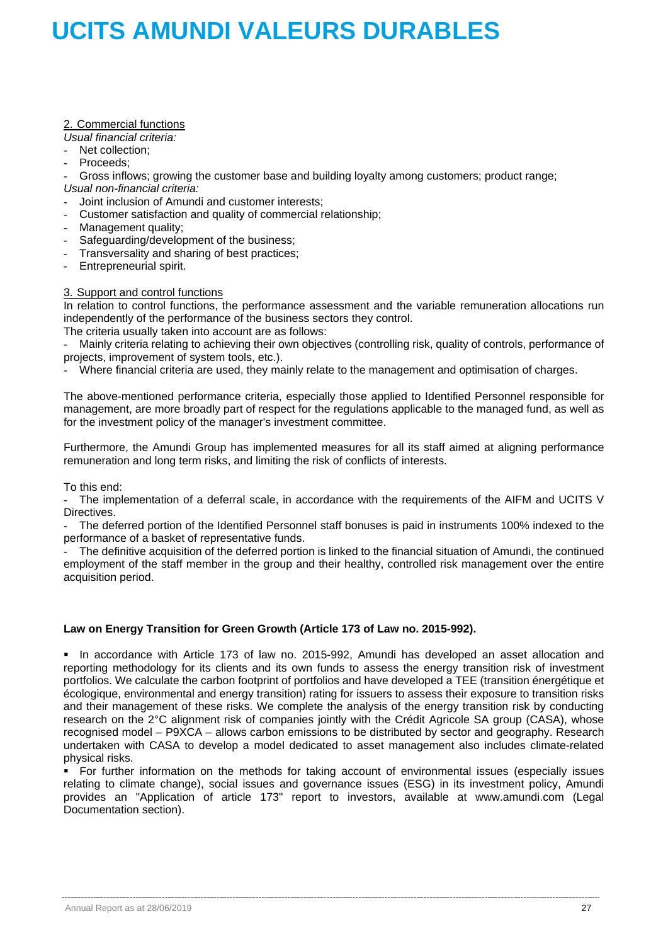### 2. Commercial functions

*Usual financial criteria:*

- Net collection:
- Proceeds:

- Gross inflows; growing the customer base and building loyalty among customers; product range; *Usual non-financial criteria:*

- Joint inclusion of Amundi and customer interests;
- Customer satisfaction and quality of commercial relationship;
- Management quality;
- Safeguarding/development of the business:

- Transversality and sharing of best practices;

- Entrepreneurial spirit.

### 3. Support and control functions

In relation to control functions, the performance assessment and the variable remuneration allocations run independently of the performance of the business sectors they control.

The criteria usually taken into account are as follows:

- Mainly criteria relating to achieving their own objectives (controlling risk, quality of controls, performance of projects, improvement of system tools, etc.).

Where financial criteria are used, they mainly relate to the management and optimisation of charges.

The above-mentioned performance criteria, especially those applied to Identified Personnel responsible for management, are more broadly part of respect for the regulations applicable to the managed fund, as well as for the investment policy of the manager's investment committee.

Furthermore, the Amundi Group has implemented measures for all its staff aimed at aligning performance remuneration and long term risks, and limiting the risk of conflicts of interests.

To this end:

The implementation of a deferral scale, in accordance with the requirements of the AIFM and UCITS V Directives.

The deferred portion of the Identified Personnel staff bonuses is paid in instruments 100% indexed to the performance of a basket of representative funds.

- The definitive acquisition of the deferred portion is linked to the financial situation of Amundi, the continued employment of the staff member in the group and their healthy, controlled risk management over the entire acquisition period.

### **Law on Energy Transition for Green Growth (Article 173 of Law no. 2015-992).**

 In accordance with Article 173 of law no. 2015-992, Amundi has developed an asset allocation and reporting methodology for its clients and its own funds to assess the energy transition risk of investment portfolios. We calculate the carbon footprint of portfolios and have developed a TEE (transition énergétique et écologique, environmental and energy transition) rating for issuers to assess their exposure to transition risks and their management of these risks. We complete the analysis of the energy transition risk by conducting research on the 2°C alignment risk of companies jointly with the Crédit Agricole SA group (CASA), whose recognised model – P9XCA – allows carbon emissions to be distributed by sector and geography. Research undertaken with CASA to develop a model dedicated to asset management also includes climate-related physical risks.

 For further information on the methods for taking account of environmental issues (especially issues relating to climate change), social issues and governance issues (ESG) in its investment policy, Amundi provides an "Application of article 173" report to investors, available at www.amundi.com [\(](http://www.amundi.com/)Legal Documentation section).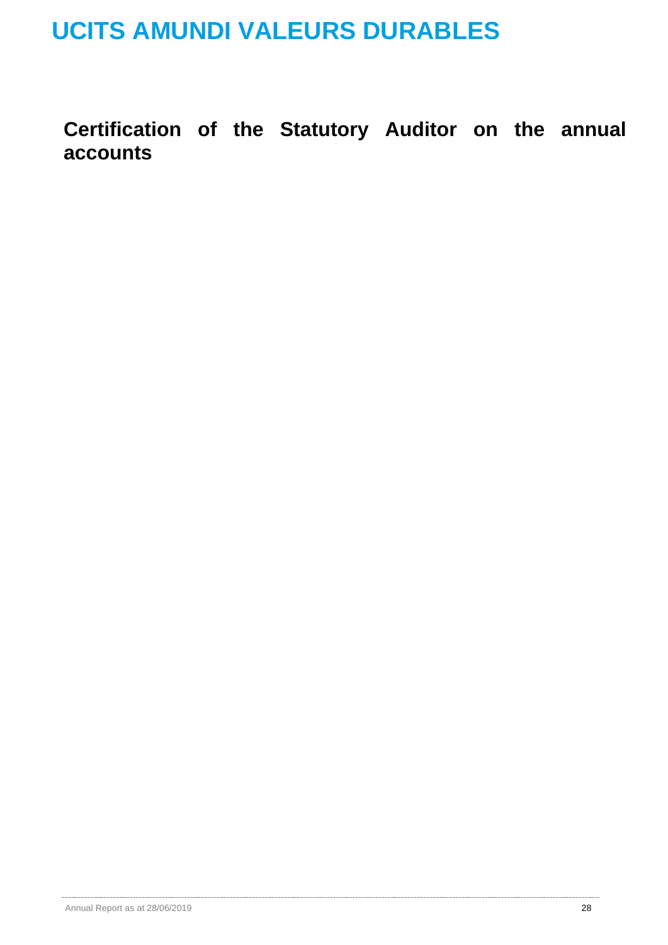**Certification of the Statutory Auditor on the annual accounts**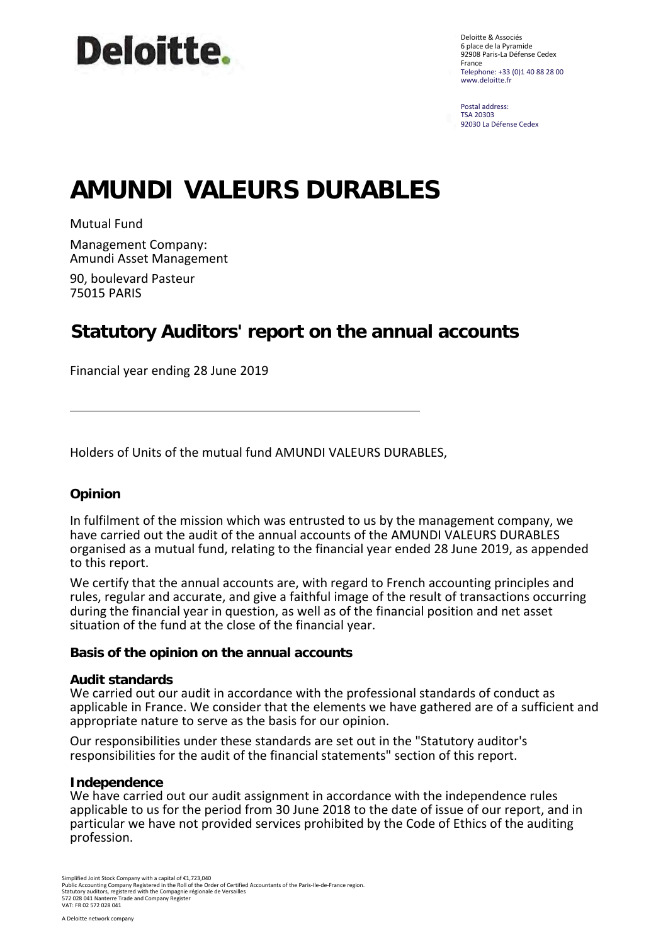

Deloitte & Associés 6 place de la Pyramide 92908 Paris-La Défense Cedex France Telephone: +33 (0)1 40 88 28 00 www.deloitte.fr

Postal address: TSA 20303 92030 La Défense Cedex

## **AMUNDI VALEURS DURABLES**

Mutual Fund

Management Company: Amundi Asset Management

90, boulevard Pasteur 75015 PARIS

### **Statutory Auditors' report on the annual accounts**

Financial year ending 28 June 2019

Holders of Units of the mutual fund AMUNDI VALEURS DURABLES,

### **Opinion**

In fulfilment of the mission which was entrusted to us by the management company, we have carried out the audit of the annual accounts of the AMUNDI VALEURS DURABLES organised as a mutual fund, relating to the financial year ended 28 June 2019, as appended to this report.

We certify that the annual accounts are, with regard to French accounting principles and rules, regular and accurate, and give a faithful image of the result of transactions occurring during the financial year in question, as well as of the financial position and net asset situation of the fund at the close of the financial year.

### **Basis of the opinion on the annual accounts**

### **Audit standards**

We carried out our audit in accordance with the professional standards of conduct as applicable in France. We consider that the elements we have gathered are of a sufficient and appropriate nature to serve as the basis for our opinion.

Our responsibilities under these standards are set out in the "Statutory auditor's responsibilities for the audit of the financial statements" section of this report.

### **Independence**

We have carried out our audit assignment in accordance with the independence rules applicable to us for the period from 30 June 2018 to the date of issue of our report, and in particular we have not provided services prohibited by the Code of Ethics of the auditing profession.

Simplified Joint Stock Company with a capital of €1,723,040<br>Public Accounting Company Registered in the Roll of the Order of Certified Accountants of the Paris-Ile-de-France region.<br>Statutory auditors, registered with the 572 028 041 Nanterre Trade and Company Register VAT: FR 02 572 028 041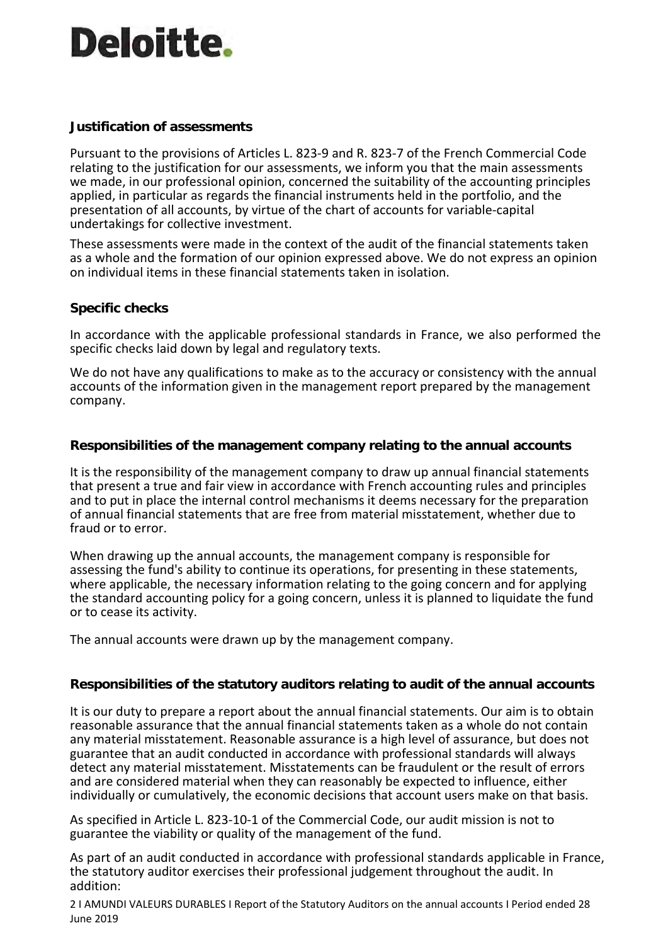# **Deloitte.**

### **Justification of assessments**

Pursuant to the provisions of Articles L. 823-9 and R. 823-7 of the French Commercial Code relating to the justification for our assessments, we inform you that the main assessments we made, in our professional opinion, concerned the suitability of the accounting principles applied, in particular as regards the financial instruments held in the portfolio, and the presentation of all accounts, by virtue of the chart of accounts for variable-capital undertakings for collective investment.

These assessments were made in the context of the audit of the financial statements taken as a whole and the formation of our opinion expressed above. We do not express an opinion on individual items in these financial statements taken in isolation.

### **Specific checks**

In accordance with the applicable professional standards in France, we also performed the specific checks laid down by legal and regulatory texts.

We do not have any qualifications to make as to the accuracy or consistency with the annual accounts of the information given in the management report prepared by the management company.

### **Responsibilities of the management company relating to the annual accounts**

It is the responsibility of the management company to draw up annual financial statements that present a true and fair view in accordance with French accounting rules and principles and to put in place the internal control mechanisms it deems necessary for the preparation of annual financial statements that are free from material misstatement, whether due to fraud or to error.

When drawing up the annual accounts, the management company is responsible for assessing the fund's ability to continue its operations, for presenting in these statements, where applicable, the necessary information relating to the going concern and for applying the standard accounting policy for a going concern, unless it is planned to liquidate the fund or to cease its activity.

The annual accounts were drawn up by the management company.

### **Responsibilities of the statutory auditors relating to audit of the annual accounts**

It is our duty to prepare a report about the annual financial statements. Our aim is to obtain reasonable assurance that the annual financial statements taken as a whole do not contain any material misstatement. Reasonable assurance is a high level of assurance, but does not guarantee that an audit conducted in accordance with professional standards will always detect any material misstatement. Misstatements can be fraudulent or the result of errors and are considered material when they can reasonably be expected to influence, either individually or cumulatively, the economic decisions that account users make on that basis.

As specified in Article L. 823-10-1 of the Commercial Code, our audit mission is not to guarantee the viability or quality of the management of the fund.

As part of an audit conducted in accordance with professional standards applicable in France, the statutory auditor exercises their professional judgement throughout the audit. In addition:

2 I AMUNDI VALEURS DURABLES I Report of the Statutory Auditors on the annual accounts I Period ended 28 June 2019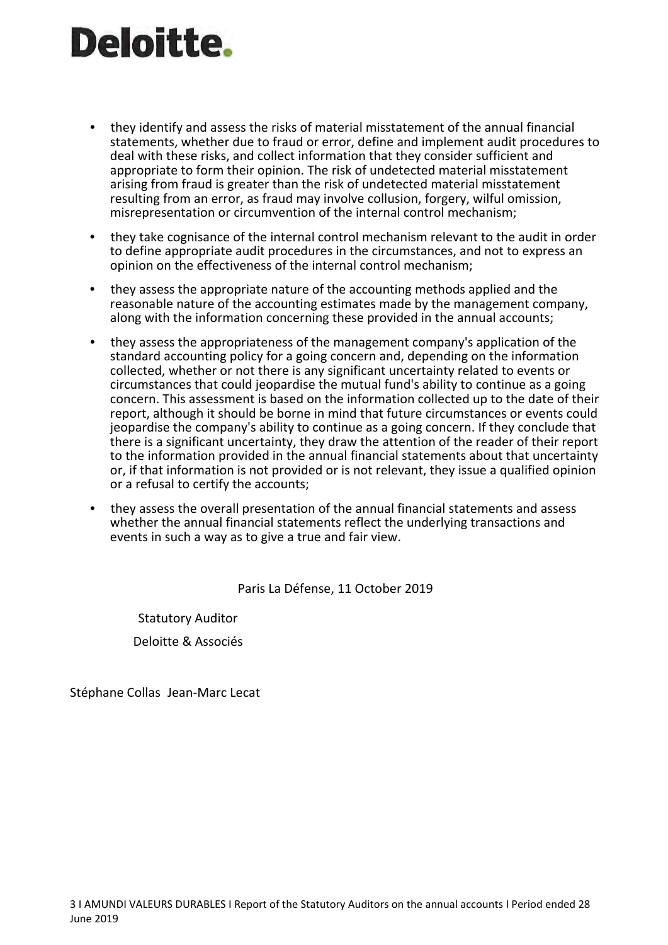# **Deloitte.**

- they identify and assess the risks of material misstatement of the annual financial statements, whether due to fraud or error, define and implement audit procedures to deal with these risks, and collect information that they consider sufficient and appropriate to form their opinion. The risk of undetected material misstatement arising from fraud is greater than the risk of undetected material misstatement resulting from an error, as fraud may involve collusion, forgery, wilful omission, misrepresentation or circumvention of the internal control mechanism;
- they take cognisance of the internal control mechanism relevant to the audit in order to define appropriate audit procedures in the circumstances, and not to express an opinion on the effectiveness of the internal control mechanism;
- they assess the appropriate nature of the accounting methods applied and the reasonable nature of the accounting estimates made by the management company, along with the information concerning these provided in the annual accounts;
- they assess the appropriateness of the management company's application of the standard accounting policy for a going concern and, depending on the information collected, whether or not there is any significant uncertainty related to events or circumstances that could jeopardise the mutual fund's ability to continue as a going concern. This assessment is based on the information collected up to the date of their report, although it should be borne in mind that future circumstances or events could jeopardise the company's ability to continue as a going concern. If they conclude that there is a significant uncertainty, they draw the attention of the reader of their report to the information provided in the annual financial statements about that uncertainty or, if that information is not provided or is not relevant, they issue a qualified opinion or a refusal to certify the accounts;
- they assess the overall presentation of the annual financial statements and assess whether the annual financial statements reflect the underlying transactions and events in such a way as to give a true and fair view.

Paris La Défense, 11 October 2019

Statutory Auditor Deloitte & Associés

Stéphane Collas Jean-Marc Lecat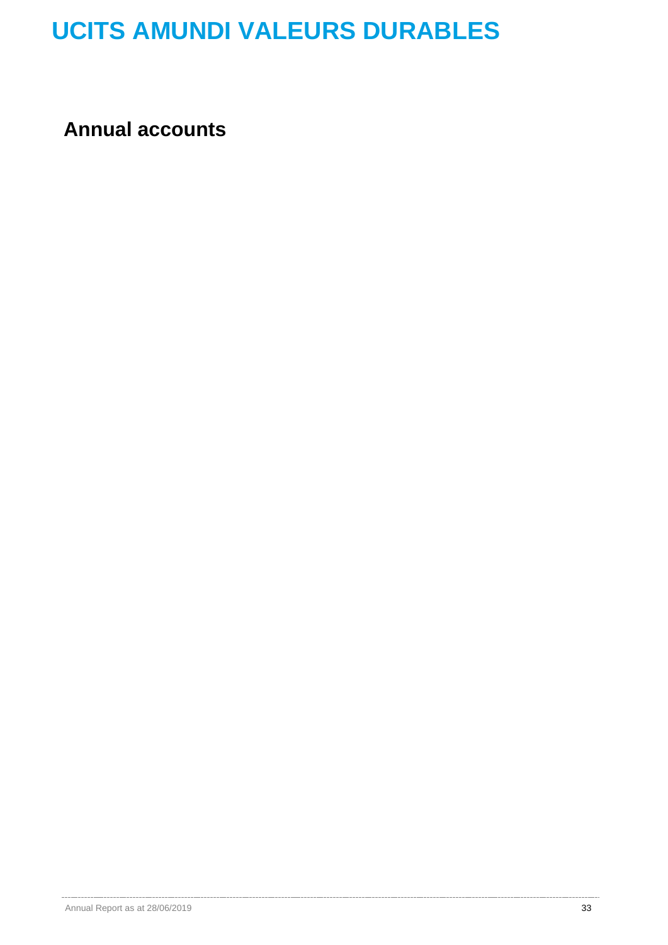**Annual accounts**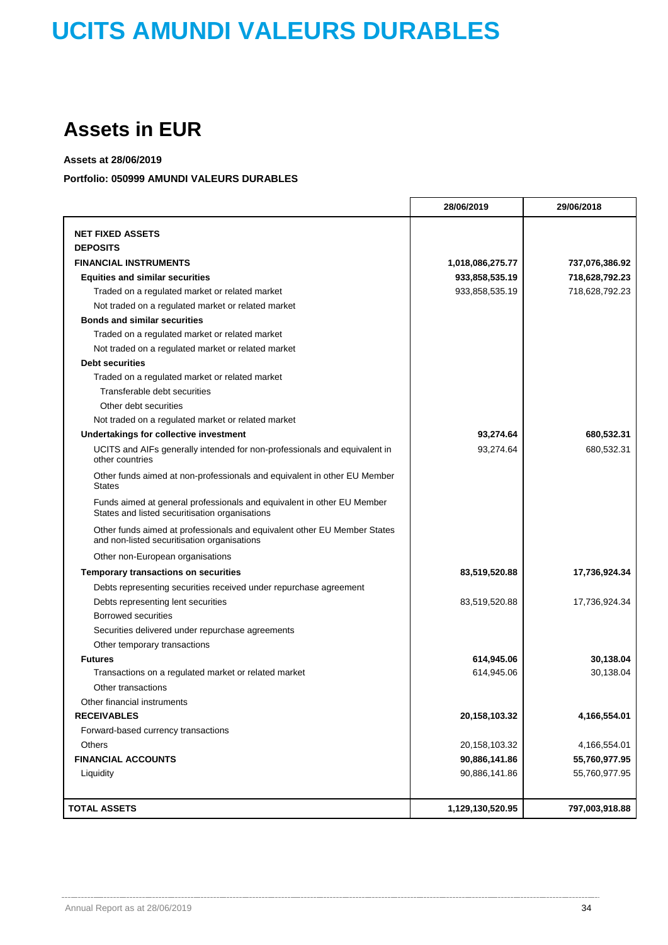## **Assets in EUR**

### **Assets at 28/06/2019**

### **Portfolio: 050999 AMUNDI VALEURS DURABLES**

|                                                                                                                          | 28/06/2019       | 29/06/2018     |
|--------------------------------------------------------------------------------------------------------------------------|------------------|----------------|
| <b>NET FIXED ASSETS</b>                                                                                                  |                  |                |
| <b>DEPOSITS</b>                                                                                                          |                  |                |
| <b>FINANCIAL INSTRUMENTS</b>                                                                                             | 1,018,086,275.77 | 737,076,386.92 |
| <b>Equities and similar securities</b>                                                                                   | 933,858,535.19   | 718,628,792.23 |
| Traded on a regulated market or related market                                                                           | 933,858,535.19   | 718,628,792.23 |
| Not traded on a regulated market or related market                                                                       |                  |                |
| <b>Bonds and similar securities</b>                                                                                      |                  |                |
| Traded on a regulated market or related market                                                                           |                  |                |
| Not traded on a regulated market or related market                                                                       |                  |                |
| <b>Debt securities</b>                                                                                                   |                  |                |
| Traded on a regulated market or related market                                                                           |                  |                |
| Transferable debt securities                                                                                             |                  |                |
| Other debt securities                                                                                                    |                  |                |
| Not traded on a regulated market or related market                                                                       |                  |                |
| Undertakings for collective investment                                                                                   | 93,274.64        | 680,532.31     |
| UCITS and AIFs generally intended for non-professionals and equivalent in<br>other countries                             | 93,274.64        | 680,532.31     |
| Other funds aimed at non-professionals and equivalent in other EU Member<br><b>States</b>                                |                  |                |
| Funds aimed at general professionals and equivalent in other EU Member<br>States and listed securitisation organisations |                  |                |
| Other funds aimed at professionals and equivalent other EU Member States<br>and non-listed securitisation organisations  |                  |                |
| Other non-European organisations                                                                                         |                  |                |
| <b>Temporary transactions on securities</b>                                                                              | 83,519,520.88    | 17,736,924.34  |
| Debts representing securities received under repurchase agreement                                                        |                  |                |
| Debts representing lent securities                                                                                       | 83,519,520.88    | 17,736,924.34  |
| <b>Borrowed securities</b>                                                                                               |                  |                |
| Securities delivered under repurchase agreements                                                                         |                  |                |
| Other temporary transactions                                                                                             |                  |                |
| <b>Futures</b>                                                                                                           | 614,945.06       | 30,138.04      |
| Transactions on a regulated market or related market                                                                     | 614,945.06       | 30.138.04      |
| Other transactions                                                                                                       |                  |                |
| Other financial instruments                                                                                              |                  |                |
| <b>RECEIVABLES</b>                                                                                                       | 20, 158, 103. 32 | 4,166,554.01   |
| Forward-based currency transactions                                                                                      |                  |                |
| Others                                                                                                                   | 20, 158, 103. 32 | 4,166,554.01   |
| <b>FINANCIAL ACCOUNTS</b>                                                                                                | 90,886,141.86    | 55,760,977.95  |
| Liquidity                                                                                                                | 90,886,141.86    | 55,760,977.95  |
|                                                                                                                          |                  |                |
| <b>TOTAL ASSETS</b>                                                                                                      | 1,129,130,520.95 | 797,003,918.88 |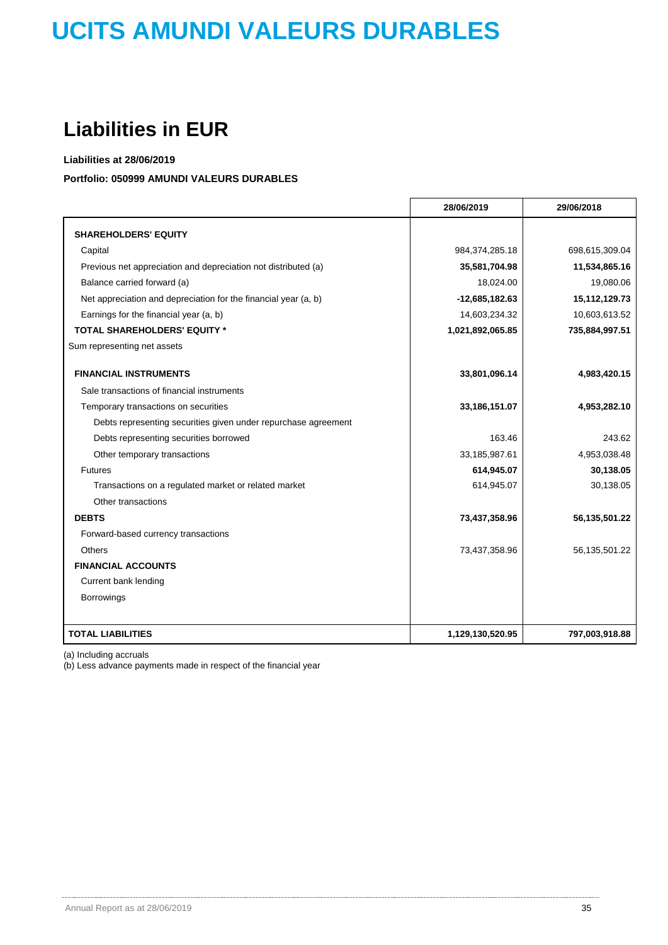## **Liabilities in EUR**

**Liabilities at 28/06/2019**

### **Portfolio: 050999 AMUNDI VALEURS DURABLES**

|                                                                 | 28/06/2019       | 29/06/2018     |
|-----------------------------------------------------------------|------------------|----------------|
| <b>SHAREHOLDERS' EQUITY</b>                                     |                  |                |
| Capital                                                         | 984,374,285.18   | 698,615,309.04 |
| Previous net appreciation and depreciation not distributed (a)  | 35,581,704.98    | 11,534,865.16  |
| Balance carried forward (a)                                     | 18,024.00        | 19,080.06      |
| Net appreciation and depreciation for the financial year (a, b) | $-12,685,182.63$ | 15,112,129.73  |
| Earnings for the financial year (a, b)                          | 14,603,234.32    | 10,603,613.52  |
| <b>TOTAL SHAREHOLDERS' EQUITY *</b>                             | 1,021,892,065.85 | 735,884,997.51 |
| Sum representing net assets                                     |                  |                |
| <b>FINANCIAL INSTRUMENTS</b>                                    | 33,801,096.14    | 4,983,420.15   |
| Sale transactions of financial instruments                      |                  |                |
| Temporary transactions on securities                            | 33,186,151.07    | 4,953,282.10   |
| Debts representing securities given under repurchase agreement  |                  |                |
| Debts representing securities borrowed                          | 163.46           | 243.62         |
| Other temporary transactions                                    | 33,185,987.61    | 4,953,038.48   |
| Futures                                                         | 614,945.07       | 30,138.05      |
| Transactions on a regulated market or related market            | 614,945.07       | 30,138.05      |
| Other transactions                                              |                  |                |
| <b>DEBTS</b>                                                    | 73,437,358.96    | 56,135,501.22  |
| Forward-based currency transactions                             |                  |                |
| <b>Others</b>                                                   | 73,437,358.96    | 56,135,501.22  |
| <b>FINANCIAL ACCOUNTS</b>                                       |                  |                |
| Current bank lending                                            |                  |                |
| Borrowings                                                      |                  |                |
|                                                                 |                  |                |
| <b>TOTAL LIABILITIES</b>                                        | 1,129,130,520.95 | 797,003,918.88 |

(a) Including accruals

(b) Less advance payments made in respect of the financial year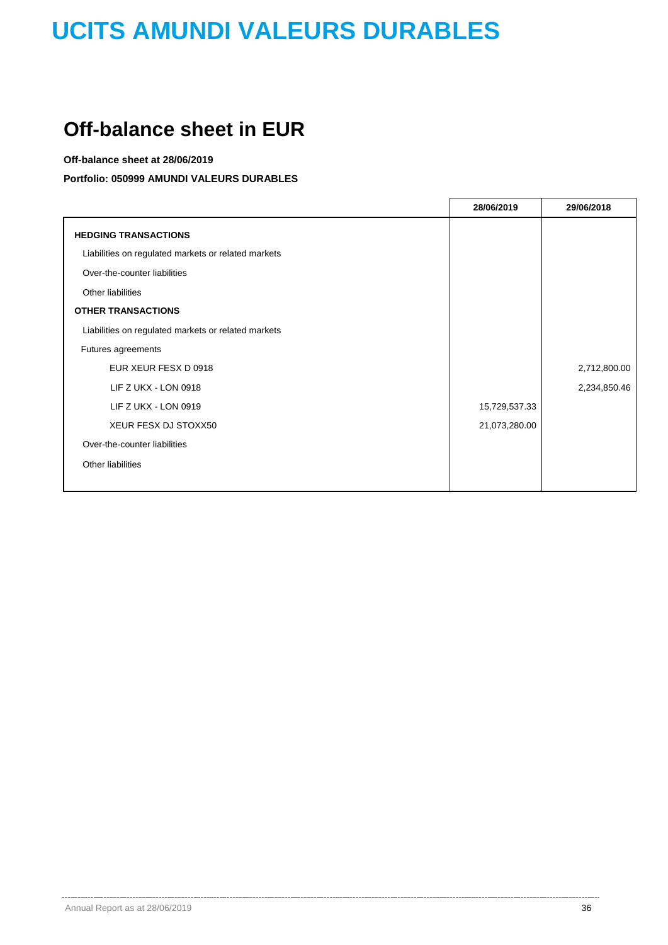## **Off-balance sheet in EUR**

### **Off-balance sheet at 28/06/2019**

**Portfolio: 050999 AMUNDI VALEURS DURABLES**

|                                                     | 28/06/2019    | 29/06/2018   |
|-----------------------------------------------------|---------------|--------------|
| <b>HEDGING TRANSACTIONS</b>                         |               |              |
| Liabilities on regulated markets or related markets |               |              |
| Over-the-counter liabilities                        |               |              |
| Other liabilities                                   |               |              |
| <b>OTHER TRANSACTIONS</b>                           |               |              |
| Liabilities on regulated markets or related markets |               |              |
| Futures agreements                                  |               |              |
| EUR XEUR FESX D 0918                                |               | 2,712,800.00 |
| LIF Z UKX - LON 0918                                |               | 2,234,850.46 |
| LIF Z UKX - LON 0919                                | 15,729,537.33 |              |
| XEUR FESX DJ STOXX50                                | 21,073,280.00 |              |
| Over-the-counter liabilities                        |               |              |
| Other liabilities                                   |               |              |
|                                                     |               |              |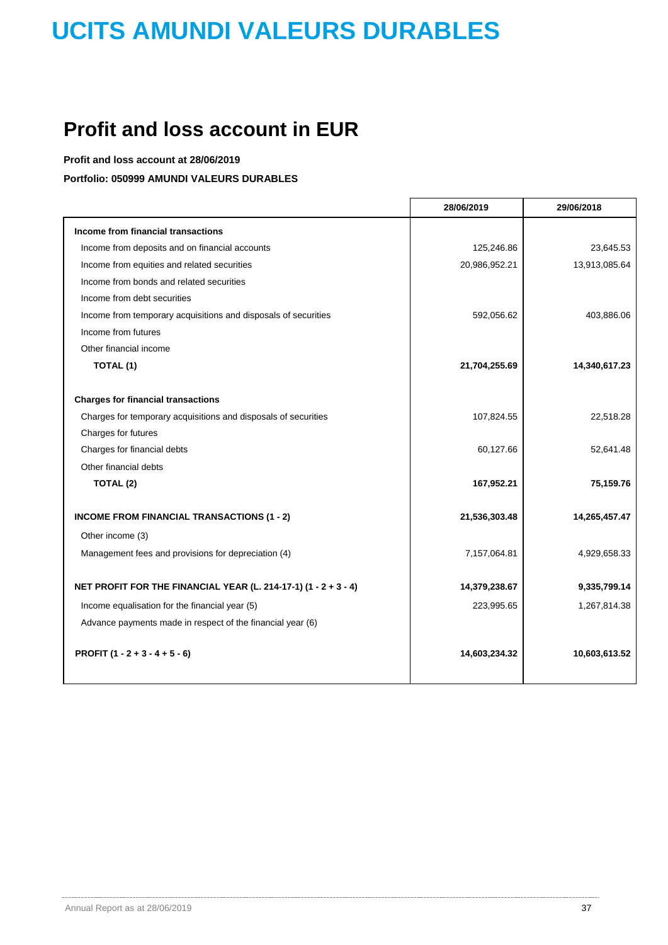## **Profit and loss account in EUR**

**Profit and loss account at 28/06/2019**

**Portfolio: 050999 AMUNDI VALEURS DURABLES**

|                                                                 | 28/06/2019    | 29/06/2018    |
|-----------------------------------------------------------------|---------------|---------------|
| Income from financial transactions                              |               |               |
| Income from deposits and on financial accounts                  | 125,246.86    | 23,645.53     |
| Income from equities and related securities                     | 20,986,952.21 | 13,913,085.64 |
| Income from bonds and related securities                        |               |               |
| Income from debt securities                                     |               |               |
| Income from temporary acquisitions and disposals of securities  | 592,056.62    | 403,886.06    |
| Income from futures                                             |               |               |
| Other financial income                                          |               |               |
| TOTAL (1)                                                       | 21,704,255.69 | 14,340,617.23 |
| <b>Charges for financial transactions</b>                       |               |               |
| Charges for temporary acquisitions and disposals of securities  | 107,824.55    | 22,518.28     |
| Charges for futures                                             |               |               |
| Charges for financial debts                                     | 60,127.66     | 52,641.48     |
| Other financial debts                                           |               |               |
| TOTAL (2)                                                       | 167,952.21    | 75,159.76     |
| <b>INCOME FROM FINANCIAL TRANSACTIONS (1 - 2)</b>               | 21,536,303.48 | 14,265,457.47 |
| Other income (3)                                                |               |               |
| Management fees and provisions for depreciation (4)             | 7,157,064.81  | 4,929,658.33  |
| NET PROFIT FOR THE FINANCIAL YEAR (L. 214-17-1) (1 - 2 + 3 - 4) | 14,379,238.67 | 9,335,799.14  |
| Income equalisation for the financial year (5)                  | 223,995.65    | 1,267,814.38  |
| Advance payments made in respect of the financial year (6)      |               |               |
| PROFIT $(1 - 2 + 3 - 4 + 5 - 6)$                                | 14,603,234.32 | 10,603,613.52 |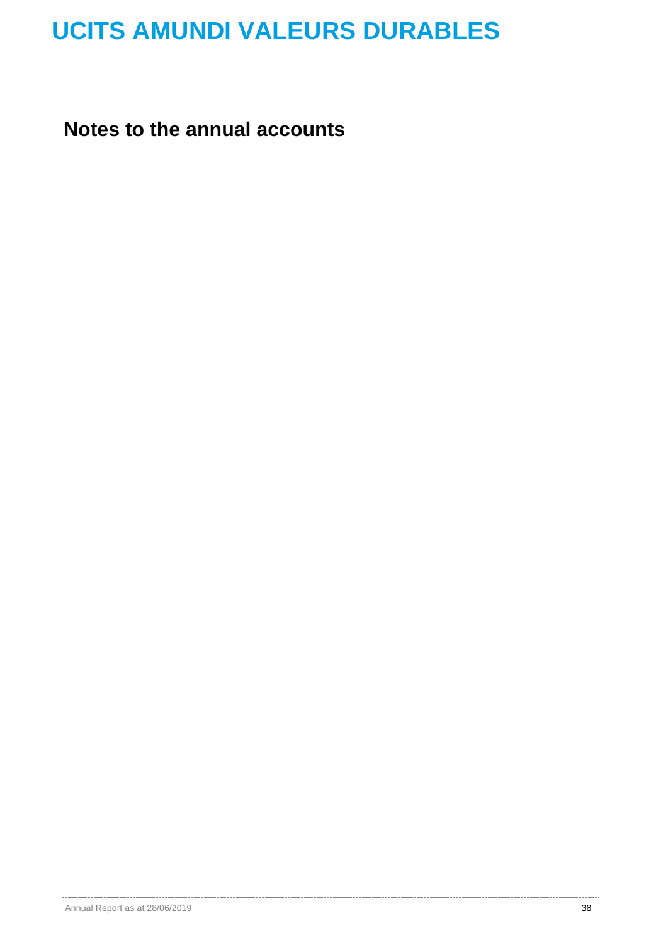**Notes to the annual accounts**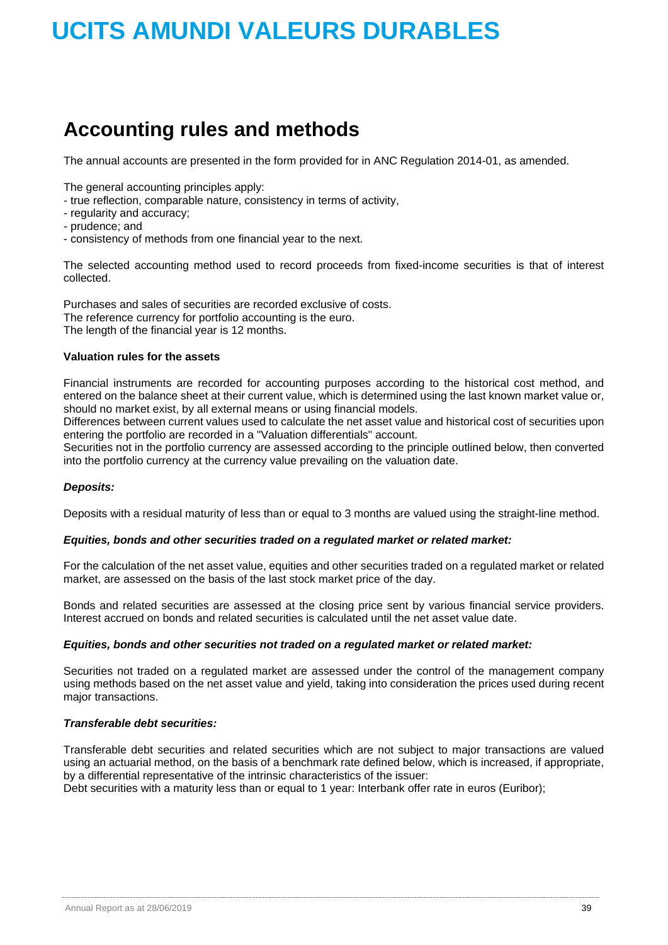## **Accounting rules and methods**

The annual accounts are presented in the form provided for in ANC Regulation 2014-01, as amended.

The general accounting principles apply:

- true reflection, comparable nature, consistency in terms of activity,
- regularity and accuracy;
- prudence; and
- consistency of methods from one financial year to the next.

The selected accounting method used to record proceeds from fixed-income securities is that of interest collected.

Purchases and sales of securities are recorded exclusive of costs. The reference currency for portfolio accounting is the euro. The length of the financial year is 12 months.

### **Valuation rules for the assets**

Financial instruments are recorded for accounting purposes according to the historical cost method, and entered on the balance sheet at their current value, which is determined using the last known market value or, should no market exist, by all external means or using financial models.

Differences between current values used to calculate the net asset value and historical cost of securities upon entering the portfolio are recorded in a "Valuation differentials" account.

Securities not in the portfolio currency are assessed according to the principle outlined below, then converted into the portfolio currency at the currency value prevailing on the valuation date.

### *Deposits:*

Deposits with a residual maturity of less than or equal to 3 months are valued using the straight-line method.

### *Equities, bonds and other securities traded on a regulated market or related market:*

For the calculation of the net asset value, equities and other securities traded on a regulated market or related market, are assessed on the basis of the last stock market price of the day.

Bonds and related securities are assessed at the closing price sent by various financial service providers. Interest accrued on bonds and related securities is calculated until the net asset value date.

### *Equities, bonds and other securities not traded on a regulated market or related market:*

Securities not traded on a regulated market are assessed under the control of the management company using methods based on the net asset value and yield, taking into consideration the prices used during recent major transactions.

### *Transferable debt securities:*

Transferable debt securities and related securities which are not subject to major transactions are valued using an actuarial method, on the basis of a benchmark rate defined below, which is increased, if appropriate, by a differential representative of the intrinsic characteristics of the issuer:

Debt securities with a maturity less than or equal to 1 year: Interbank offer rate in euros (Euribor);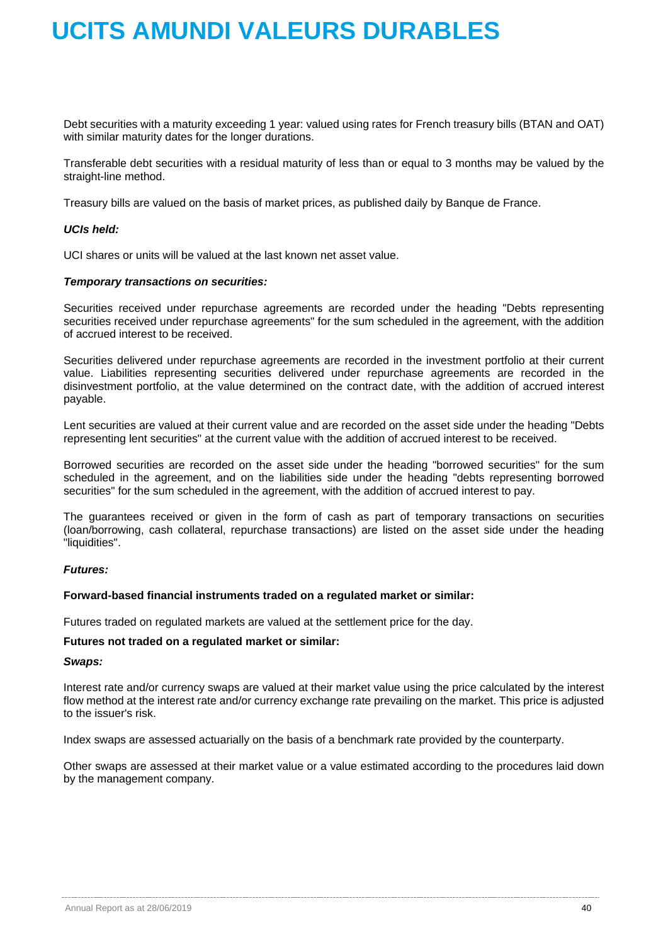Debt securities with a maturity exceeding 1 year: valued using rates for French treasury bills (BTAN and OAT) with similar maturity dates for the longer durations.

Transferable debt securities with a residual maturity of less than or equal to 3 months may be valued by the straight-line method.

Treasury bills are valued on the basis of market prices, as published daily by Banque de France.

### *UCIs held:*

UCI shares or units will be valued at the last known net asset value.

### *Temporary transactions on securities:*

Securities received under repurchase agreements are recorded under the heading "Debts representing securities received under repurchase agreements" for the sum scheduled in the agreement, with the addition of accrued interest to be received.

Securities delivered under repurchase agreements are recorded in the investment portfolio at their current value. Liabilities representing securities delivered under repurchase agreements are recorded in the disinvestment portfolio, at the value determined on the contract date, with the addition of accrued interest payable.

Lent securities are valued at their current value and are recorded on the asset side under the heading "Debts representing lent securities" at the current value with the addition of accrued interest to be received.

Borrowed securities are recorded on the asset side under the heading "borrowed securities" for the sum scheduled in the agreement, and on the liabilities side under the heading "debts representing borrowed securities" for the sum scheduled in the agreement, with the addition of accrued interest to pay.

The guarantees received or given in the form of cash as part of temporary transactions on securities (loan/borrowing, cash collateral, repurchase transactions) are listed on the asset side under the heading "liquidities".

### *Futures:*

### **Forward-based financial instruments traded on a regulated market or similar:**

Futures traded on regulated markets are valued at the settlement price for the day.

### **Futures not traded on a regulated market or similar:**

### *Swaps:*

Interest rate and/or currency swaps are valued at their market value using the price calculated by the interest flow method at the interest rate and/or currency exchange rate prevailing on the market. This price is adjusted to the issuer's risk.

Index swaps are assessed actuarially on the basis of a benchmark rate provided by the counterparty.

Other swaps are assessed at their market value or a value estimated according to the procedures laid down by the management company.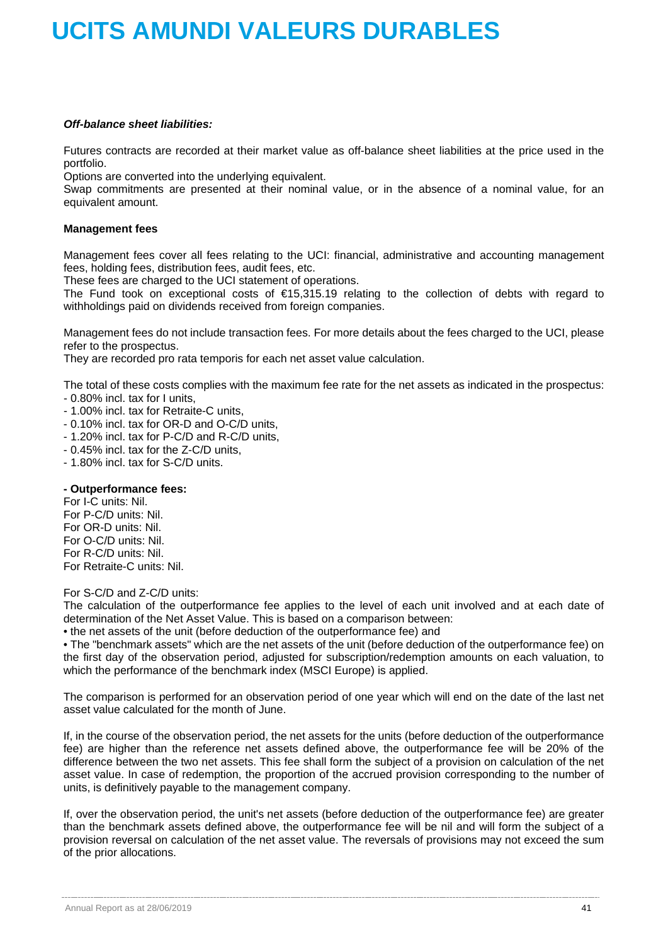### *Off-balance sheet liabilities:*

Futures contracts are recorded at their market value as off-balance sheet liabilities at the price used in the portfolio.

Options are converted into the underlying equivalent.

Swap commitments are presented at their nominal value, or in the absence of a nominal value, for an equivalent amount.

### **Management fees**

Management fees cover all fees relating to the UCI: financial, administrative and accounting management fees, holding fees, distribution fees, audit fees, etc.

These fees are charged to the UCI statement of operations.

The Fund took on exceptional costs of €15,315.19 relating to the collection of debts with regard to withholdings paid on dividends received from foreign companies.

Management fees do not include transaction fees. For more details about the fees charged to the UCI, please refer to the prospectus.

They are recorded pro rata temporis for each net asset value calculation.

The total of these costs complies with the maximum fee rate for the net assets as indicated in the prospectus:

- 0.80% incl. tax for I units,
- 1.00% incl. tax for Retraite-C units,
- 0.10% incl. tax for OR-D and O-C/D units,
- 1.20% incl. tax for P-C/D and R-C/D units,
- 0.45% incl. tax for the Z-C/D units,
- 1.80% incl. tax for S-C/D units.

### **- Outperformance fees:**

For I-C units: Nil. For P-C/D units: Nil. For OR-D units: Nil. For O-C/D units: Nil. For R-C/D units: Nil. For Retraite-C units: Nil.

For S-C/D and Z-C/D units:

The calculation of the outperformance fee applies to the level of each unit involved and at each date of determination of the Net Asset Value. This is based on a comparison between:

• the net assets of the unit (before deduction of the outperformance fee) and

• The "benchmark assets" which are the net assets of the unit (before deduction of the outperformance fee) on the first day of the observation period, adjusted for subscription/redemption amounts on each valuation, to which the performance of the benchmark index (MSCI Europe) is applied.

The comparison is performed for an observation period of one year which will end on the date of the last net asset value calculated for the month of June.

If, in the course of the observation period, the net assets for the units (before deduction of the outperformance fee) are higher than the reference net assets defined above, the outperformance fee will be 20% of the difference between the two net assets. This fee shall form the subject of a provision on calculation of the net asset value. In case of redemption, the proportion of the accrued provision corresponding to the number of units, is definitively payable to the management company.

If, over the observation period, the unit's net assets (before deduction of the outperformance fee) are greater than the benchmark assets defined above, the outperformance fee will be nil and will form the subject of a provision reversal on calculation of the net asset value. The reversals of provisions may not exceed the sum of the prior allocations.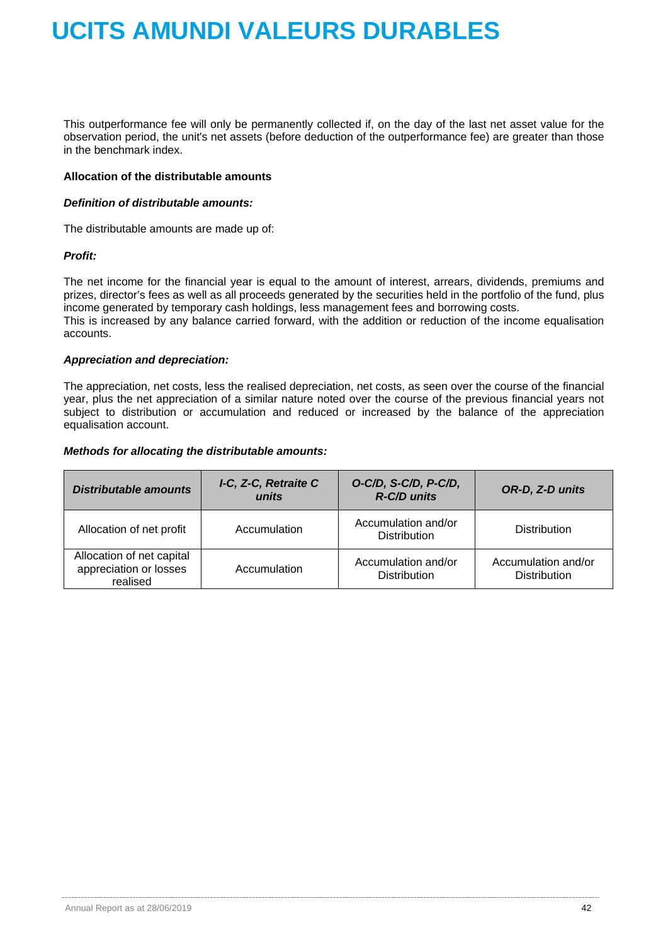This outperformance fee will only be permanently collected if, on the day of the last net asset value for the observation period, the unit's net assets (before deduction of the outperformance fee) are greater than those in the benchmark index.

### **Allocation of the distributable amounts**

### *Definition of distributable amounts:*

The distributable amounts are made up of:

### *Profit:*

The net income for the financial year is equal to the amount of interest, arrears, dividends, premiums and prizes, director's fees as well as all proceeds generated by the securities held in the portfolio of the fund, plus income generated by temporary cash holdings, less management fees and borrowing costs. This is increased by any balance carried forward, with the addition or reduction of the income equalisation accounts.

### *Appreciation and depreciation:*

The appreciation, net costs, less the realised depreciation, net costs, as seen over the course of the financial year, plus the net appreciation of a similar nature noted over the course of the previous financial years not subject to distribution or accumulation and reduced or increased by the balance of the appreciation equalisation account.

### *Methods for allocating the distributable amounts:*

| <b>Distributable amounts</b>                                    | I-C, Z-C, Retraite C<br>units | O-C/D, S-C/D, P-C/D,<br>R-C/D units        | OR-D, Z-D units                            |
|-----------------------------------------------------------------|-------------------------------|--------------------------------------------|--------------------------------------------|
| Allocation of net profit                                        | Accumulation                  | Accumulation and/or<br><b>Distribution</b> | <b>Distribution</b>                        |
| Allocation of net capital<br>appreciation or losses<br>realised | Accumulation                  | Accumulation and/or<br><b>Distribution</b> | Accumulation and/or<br><b>Distribution</b> |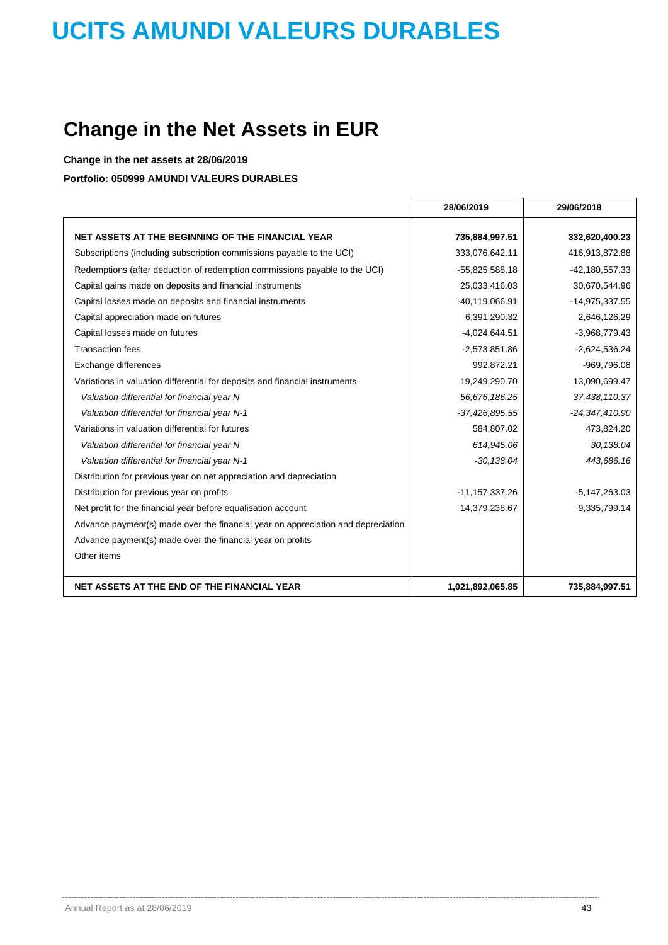## **Change in the Net Assets in EUR**

**Change in the net assets at 28/06/2019**

**Portfolio: 050999 AMUNDI VALEURS DURABLES**

|                                                                                  | 28/06/2019       | 29/06/2018       |
|----------------------------------------------------------------------------------|------------------|------------------|
| NET ASSETS AT THE BEGINNING OF THE FINANCIAL YEAR                                | 735,884,997.51   | 332,620,400.23   |
|                                                                                  |                  |                  |
| Subscriptions (including subscription commissions payable to the UCI)            | 333,076,642.11   | 416,913,872.88   |
| Redemptions (after deduction of redemption commissions payable to the UCI)       | $-55,825,588.18$ | $-42,180,557.33$ |
| Capital gains made on deposits and financial instruments                         | 25,033,416.03    | 30,670,544.96    |
| Capital losses made on deposits and financial instruments                        | -40,119,066.91   | -14,975,337.55   |
| Capital appreciation made on futures                                             | 6,391,290.32     | 2,646,126.29     |
| Capital losses made on futures                                                   | $-4,024,644.51$  | -3,968,779.43    |
| <b>Transaction fees</b>                                                          | $-2,573,851.86$  | $-2,624,536.24$  |
| Exchange differences                                                             | 992,872.21       | $-969,796.08$    |
| Variations in valuation differential for deposits and financial instruments      | 19,249,290.70    | 13,090,699.47    |
| Valuation differential for financial year N                                      | 56,676,186.25    | 37,438,110.37    |
| Valuation differential for financial year N-1                                    | -37,426,895.55   | -24,347,410.90   |
| Variations in valuation differential for futures                                 | 584,807.02       | 473,824.20       |
| Valuation differential for financial year N                                      | 614,945.06       | 30,138.04        |
| Valuation differential for financial year N-1                                    | $-30, 138.04$    | 443,686.16       |
| Distribution for previous year on net appreciation and depreciation              |                  |                  |
| Distribution for previous year on profits                                        | $-11,157,337.26$ | $-5,147,263.03$  |
| Net profit for the financial year before equalisation account                    | 14,379,238.67    | 9,335,799.14     |
| Advance payment(s) made over the financial year on appreciation and depreciation |                  |                  |
| Advance payment(s) made over the financial year on profits                       |                  |                  |
| Other items                                                                      |                  |                  |
|                                                                                  |                  |                  |
| NET ASSETS AT THE END OF THE FINANCIAL YEAR                                      | 1,021,892,065.85 | 735,884,997.51   |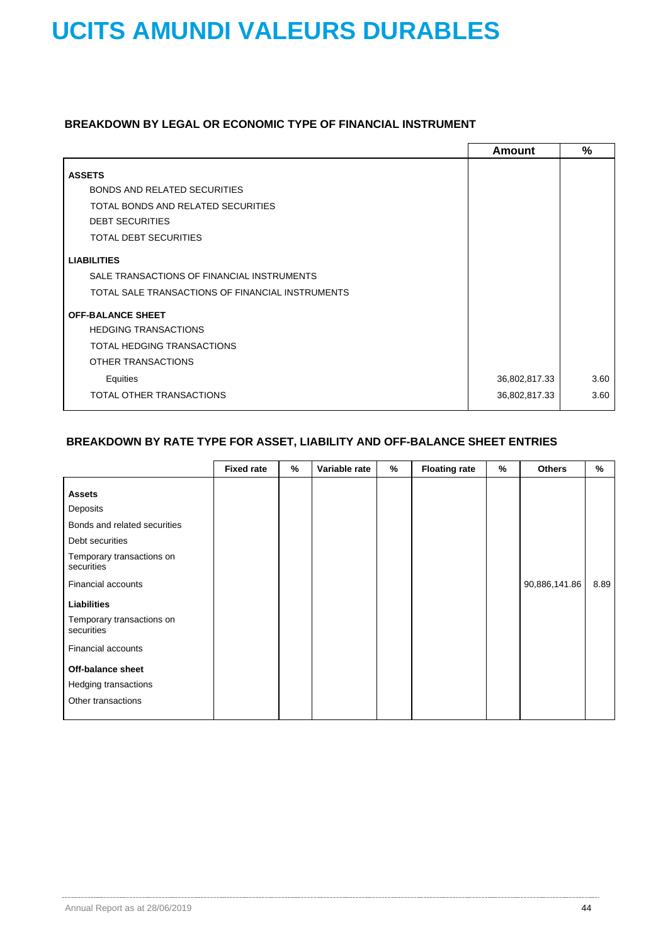### **BREAKDOWN BY LEGAL OR ECONOMIC TYPE OF FINANCIAL INSTRUMENT**

|                                                  | Amount        | $\%$ |
|--------------------------------------------------|---------------|------|
| <b>ASSETS</b>                                    |               |      |
| <b>BONDS AND RELATED SECURITIES</b>              |               |      |
| TOTAL BONDS AND RELATED SECURITIES               |               |      |
| <b>DEBT SECURITIES</b>                           |               |      |
| <b>TOTAL DEBT SECURITIES</b>                     |               |      |
| <b>LIABILITIES</b>                               |               |      |
| SALE TRANSACTIONS OF FINANCIAL INSTRUMENTS       |               |      |
| TOTAL SALE TRANSACTIONS OF FINANCIAL INSTRUMENTS |               |      |
| <b>OFF-BALANCE SHEET</b>                         |               |      |
| <b>HEDGING TRANSACTIONS</b>                      |               |      |
| TOTAL HEDGING TRANSACTIONS                       |               |      |
| OTHER TRANSACTIONS                               |               |      |
| Equities                                         | 36,802,817.33 | 3.60 |
| TOTAL OTHER TRANSACTIONS                         | 36,802,817.33 | 3.60 |
|                                                  |               |      |

### **BREAKDOWN BY RATE TYPE FOR ASSET, LIABILITY AND OFF-BALANCE SHEET ENTRIES**

|                                                                                                                         | <b>Fixed rate</b> | % | Variable rate | % | <b>Floating rate</b> | % | <b>Others</b> | $\%$ |
|-------------------------------------------------------------------------------------------------------------------------|-------------------|---|---------------|---|----------------------|---|---------------|------|
| <b>Assets</b><br>Deposits<br>Bonds and related securities<br>Debt securities<br>Temporary transactions on<br>securities |                   |   |               |   |                      |   |               |      |
| Financial accounts                                                                                                      |                   |   |               |   |                      |   | 90,886,141.86 | 8.89 |
| <b>Liabilities</b>                                                                                                      |                   |   |               |   |                      |   |               |      |
| Temporary transactions on<br>securities                                                                                 |                   |   |               |   |                      |   |               |      |
| Financial accounts                                                                                                      |                   |   |               |   |                      |   |               |      |
| Off-balance sheet                                                                                                       |                   |   |               |   |                      |   |               |      |
| Hedging transactions                                                                                                    |                   |   |               |   |                      |   |               |      |
| Other transactions                                                                                                      |                   |   |               |   |                      |   |               |      |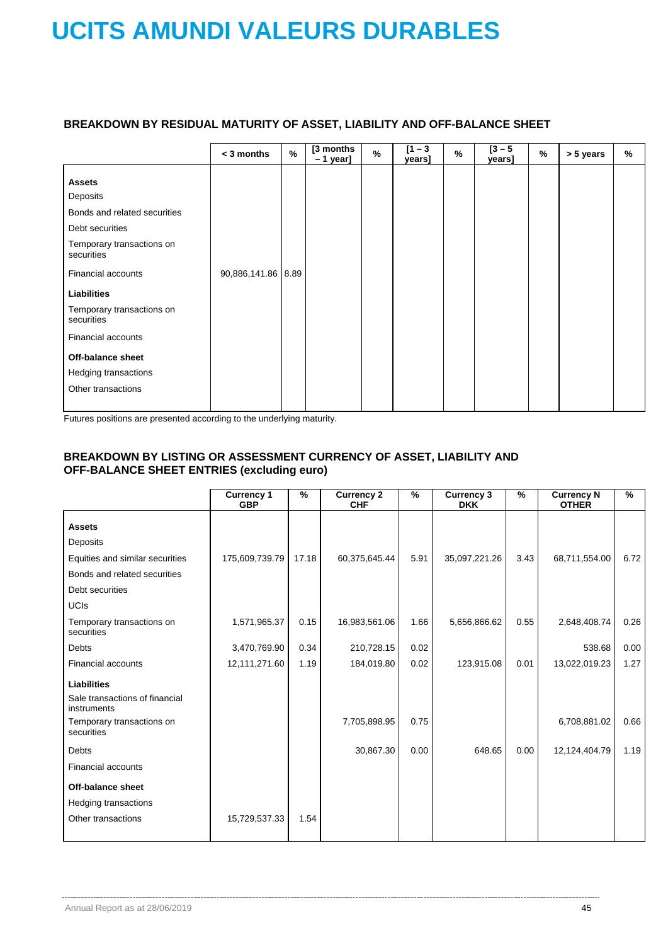### **BREAKDOWN BY RESIDUAL MATURITY OF ASSET, LIABILITY AND OFF-BALANCE SHEET**

|                                                                                                                                                                                                                                                                                                         | < 3 months         | $\frac{9}{6}$ | [3 months<br>$-1$ year] | $\%$ | $[1 - 3]$<br>years] | % | $[3 - 5]$<br>years] | $\%$ | > 5 years | $\%$ |
|---------------------------------------------------------------------------------------------------------------------------------------------------------------------------------------------------------------------------------------------------------------------------------------------------------|--------------------|---------------|-------------------------|------|---------------------|---|---------------------|------|-----------|------|
| <b>Assets</b><br>Deposits<br>Bonds and related securities<br>Debt securities<br>Temporary transactions on<br>securities<br>Financial accounts<br><b>Liabilities</b><br>Temporary transactions on<br>securities<br>Financial accounts<br>Off-balance sheet<br>Hedging transactions<br>Other transactions | 90,886,141.86 8.89 |               |                         |      |                     |   |                     |      |           |      |

Futures positions are presented according to the underlying maturity.

### **BREAKDOWN BY LISTING OR ASSESSMENT CURRENCY OF ASSET, LIABILITY AND OFF-BALANCE SHEET ENTRIES (excluding euro)**

|                                               | <b>Currency 1</b><br><b>GBP</b> | $\frac{9}{6}$ | <b>Currency 2</b><br><b>CHF</b> | $\%$ | <b>Currency 3</b><br><b>DKK</b> | %    | <b>Currency N</b><br><b>OTHER</b> | $\frac{9}{6}$ |
|-----------------------------------------------|---------------------------------|---------------|---------------------------------|------|---------------------------------|------|-----------------------------------|---------------|
| <b>Assets</b>                                 |                                 |               |                                 |      |                                 |      |                                   |               |
| Deposits                                      |                                 |               |                                 |      |                                 |      |                                   |               |
| Equities and similar securities               | 175,609,739.79                  | 17.18         | 60,375,645.44                   | 5.91 | 35,097,221.26                   | 3.43 | 68,711,554.00                     | 6.72          |
| Bonds and related securities                  |                                 |               |                                 |      |                                 |      |                                   |               |
| Debt securities                               |                                 |               |                                 |      |                                 |      |                                   |               |
| <b>UCIS</b>                                   |                                 |               |                                 |      |                                 |      |                                   |               |
| Temporary transactions on<br>securities       | 1,571,965.37                    | 0.15          | 16,983,561.06                   | 1.66 | 5,656,866.62                    | 0.55 | 2,648,408.74                      | 0.26          |
| <b>Debts</b>                                  | 3,470,769.90                    | 0.34          | 210,728.15                      | 0.02 |                                 |      | 538.68                            | 0.00          |
| <b>Financial accounts</b>                     | 12,111,271.60                   | 1.19          | 184,019.80                      | 0.02 | 123,915.08                      | 0.01 | 13,022,019.23                     | 1.27          |
| <b>Liabilities</b>                            |                                 |               |                                 |      |                                 |      |                                   |               |
| Sale transactions of financial<br>instruments |                                 |               |                                 |      |                                 |      |                                   |               |
| Temporary transactions on<br>securities       |                                 |               | 7,705,898.95                    | 0.75 |                                 |      | 6,708,881.02                      | 0.66          |
| Debts                                         |                                 |               | 30,867.30                       | 0.00 | 648.65                          | 0.00 | 12,124,404.79                     | 1.19          |
| <b>Financial accounts</b>                     |                                 |               |                                 |      |                                 |      |                                   |               |
| <b>Off-balance sheet</b>                      |                                 |               |                                 |      |                                 |      |                                   |               |
| <b>Hedging transactions</b>                   |                                 |               |                                 |      |                                 |      |                                   |               |
| Other transactions                            | 15,729,537.33                   | 1.54          |                                 |      |                                 |      |                                   |               |
|                                               |                                 |               |                                 |      |                                 |      |                                   |               |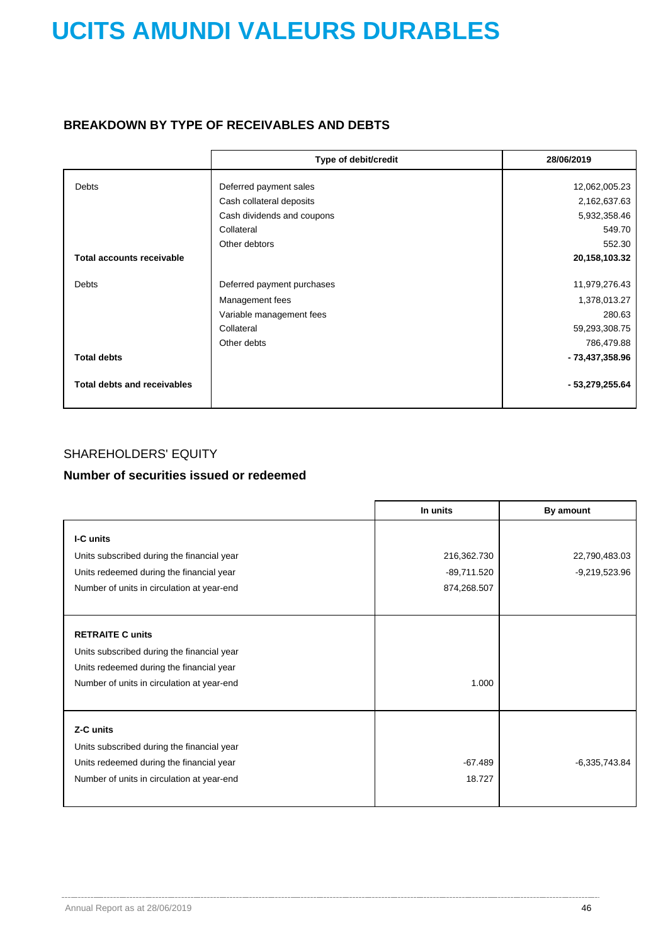### **BREAKDOWN BY TYPE OF RECEIVABLES AND DEBTS**

|                                    | Type of debit/credit       | 28/06/2019      |
|------------------------------------|----------------------------|-----------------|
|                                    |                            |                 |
| <b>Debts</b>                       | Deferred payment sales     | 12,062,005.23   |
|                                    | Cash collateral deposits   | 2,162,637.63    |
|                                    | Cash dividends and coupons | 5,932,358.46    |
|                                    | Collateral                 | 549.70          |
|                                    | Other debtors              | 552.30          |
| <b>Total accounts receivable</b>   |                            | 20,158,103.32   |
|                                    |                            |                 |
| <b>Debts</b>                       | Deferred payment purchases | 11,979,276.43   |
|                                    | Management fees            | 1,378,013.27    |
|                                    | Variable management fees   | 280.63          |
|                                    | Collateral                 | 59,293,308.75   |
|                                    | Other debts                | 786,479.88      |
| <b>Total debts</b>                 |                            | - 73,437,358.96 |
| <b>Total debts and receivables</b> |                            | - 53,279,255.64 |

### SHAREHOLDERS' EQUITY

### **Number of securities issued or redeemed**

|                                            | In units      | By amount       |
|--------------------------------------------|---------------|-----------------|
| I-C units                                  |               |                 |
|                                            |               |                 |
| Units subscribed during the financial year | 216,362.730   | 22,790,483.03   |
| Units redeemed during the financial year   | $-89,711.520$ | -9,219,523.96   |
| Number of units in circulation at year-end | 874,268.507   |                 |
|                                            |               |                 |
|                                            |               |                 |
| <b>RETRAITE C units</b>                    |               |                 |
| Units subscribed during the financial year |               |                 |
| Units redeemed during the financial year   |               |                 |
| Number of units in circulation at year-end | 1.000         |                 |
|                                            |               |                 |
| Z-C units                                  |               |                 |
|                                            |               |                 |
| Units subscribed during the financial year |               |                 |
| Units redeemed during the financial year   | $-67.489$     | $-6,335,743.84$ |
| Number of units in circulation at year-end | 18.727        |                 |
|                                            |               |                 |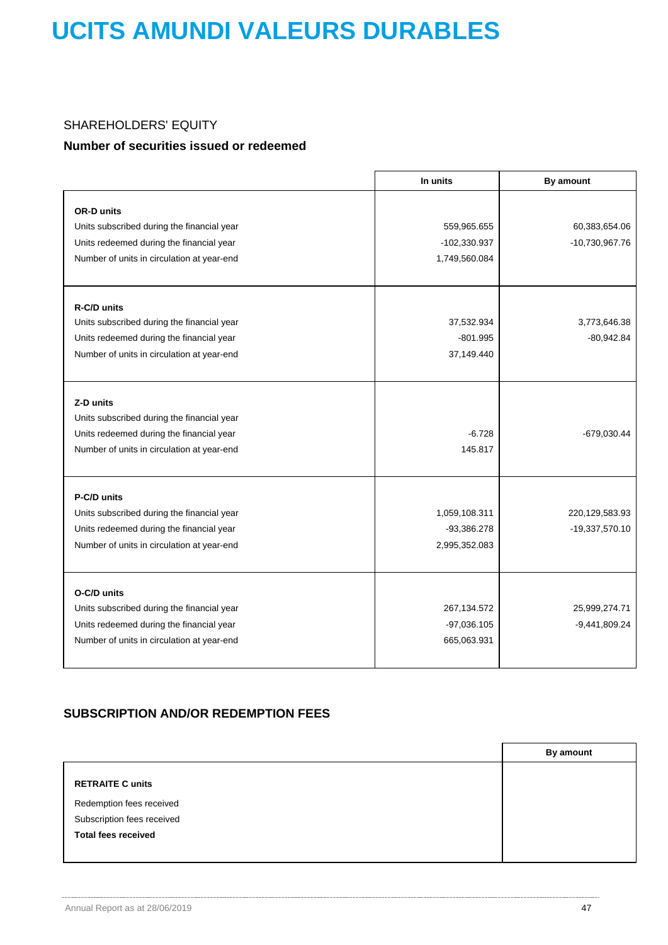### SHAREHOLDERS' EQUITY

### **Number of securities issued or redeemed**

|                                            | In units      | By amount       |
|--------------------------------------------|---------------|-----------------|
|                                            |               |                 |
| <b>OR-D units</b>                          |               |                 |
| Units subscribed during the financial year | 559,965.655   | 60,383,654.06   |
| Units redeemed during the financial year   | -102,330.937  | -10,730,967.76  |
| Number of units in circulation at year-end | 1,749,560.084 |                 |
| R-C/D units                                |               |                 |
| Units subscribed during the financial year | 37,532.934    | 3,773,646.38    |
| Units redeemed during the financial year   | $-801.995$    | $-80,942.84$    |
| Number of units in circulation at year-end | 37,149.440    |                 |
|                                            |               |                 |
| Z-D units                                  |               |                 |
| Units subscribed during the financial year |               |                 |
| Units redeemed during the financial year   | $-6.728$      | -679,030.44     |
| Number of units in circulation at year-end | 145.817       |                 |
| P-C/D units                                |               |                 |
| Units subscribed during the financial year | 1,059,108.311 | 220,129,583.93  |
| Units redeemed during the financial year   | -93,386.278   | -19,337,570.10  |
| Number of units in circulation at year-end | 2,995,352.083 |                 |
|                                            |               |                 |
| O-C/D units                                |               |                 |
| Units subscribed during the financial year | 267, 134. 572 | 25,999,274.71   |
| Units redeemed during the financial year   | $-97,036.105$ | $-9,441,809.24$ |
| Number of units in circulation at year-end | 665,063.931   |                 |

### **SUBSCRIPTION AND/OR REDEMPTION FEES**

|                            | By amount |
|----------------------------|-----------|
| <b>RETRAITE C units</b>    |           |
| Redemption fees received   |           |
| Subscription fees received |           |
| <b>Total fees received</b> |           |
|                            |           |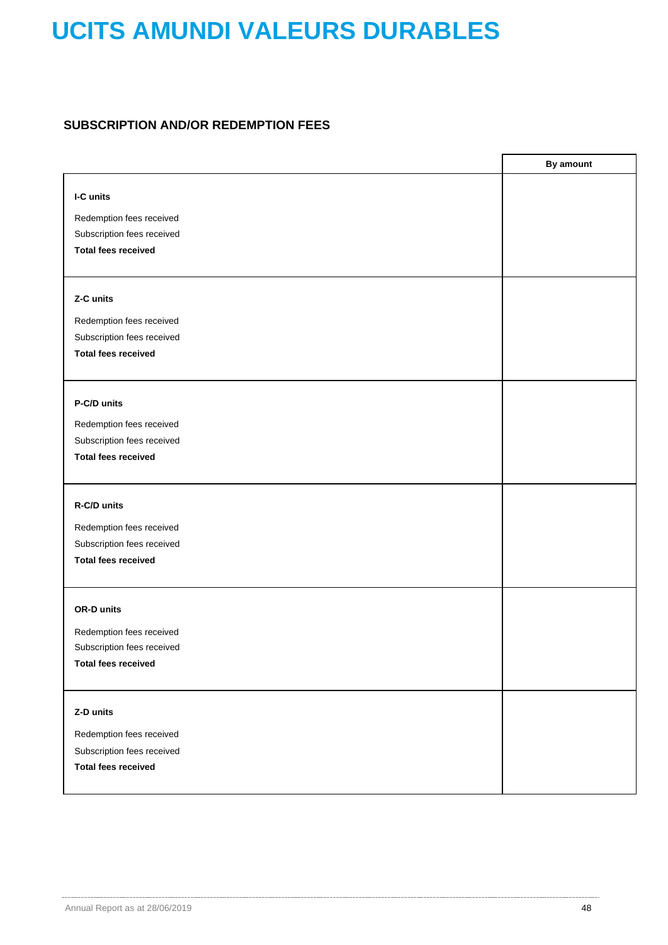### **SUBSCRIPTION AND/OR REDEMPTION FEES**

|                                                        | By amount |
|--------------------------------------------------------|-----------|
| I-C units                                              |           |
|                                                        |           |
| Redemption fees received                               |           |
| Subscription fees received                             |           |
| <b>Total fees received</b>                             |           |
|                                                        |           |
| Z-C units                                              |           |
| Redemption fees received                               |           |
| Subscription fees received                             |           |
| <b>Total fees received</b>                             |           |
|                                                        |           |
| P-C/D units                                            |           |
|                                                        |           |
| Redemption fees received                               |           |
| Subscription fees received                             |           |
| <b>Total fees received</b>                             |           |
|                                                        |           |
| R-C/D units                                            |           |
| Redemption fees received                               |           |
| Subscription fees received                             |           |
| <b>Total fees received</b>                             |           |
|                                                        |           |
| OR-D units                                             |           |
|                                                        |           |
| Redemption fees received<br>Subscription fees received |           |
| <b>Total fees received</b>                             |           |
|                                                        |           |
|                                                        |           |
| Z-D units                                              |           |
| Redemption fees received                               |           |
| Subscription fees received                             |           |
| <b>Total fees received</b>                             |           |
|                                                        |           |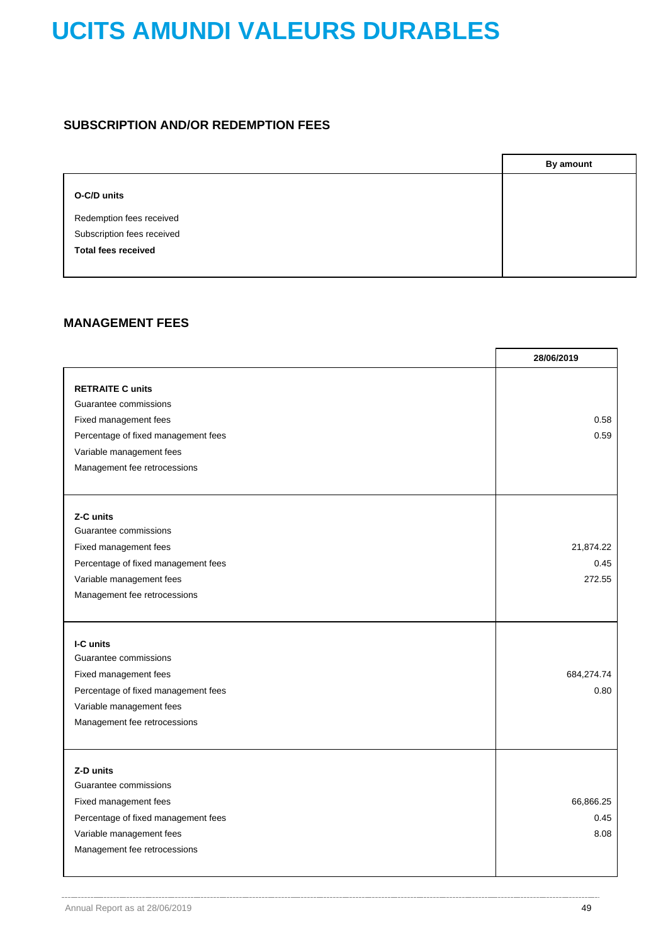### **SUBSCRIPTION AND/OR REDEMPTION FEES**

|                            | <b>By amount</b> |
|----------------------------|------------------|
| O-C/D units                |                  |
| Redemption fees received   |                  |
| Subscription fees received |                  |
| <b>Total fees received</b> |                  |
|                            |                  |

### **MANAGEMENT FEES**

|                                                                                                                                                                              | 28/06/2019                  |
|------------------------------------------------------------------------------------------------------------------------------------------------------------------------------|-----------------------------|
| <b>RETRAITE C units</b><br>Guarantee commissions<br>Fixed management fees<br>Percentage of fixed management fees<br>Variable management fees<br>Management fee retrocessions | 0.58<br>0.59                |
| Z-C units<br>Guarantee commissions<br>Fixed management fees<br>Percentage of fixed management fees<br>Variable management fees<br>Management fee retrocessions               | 21,874.22<br>0.45<br>272.55 |
| I-C units<br>Guarantee commissions<br>Fixed management fees<br>Percentage of fixed management fees<br>Variable management fees<br>Management fee retrocessions               | 684,274.74<br>0.80          |
| Z-D units<br>Guarantee commissions<br>Fixed management fees<br>Percentage of fixed management fees<br>Variable management fees<br>Management fee retrocessions               | 66,866.25<br>0.45<br>8.08   |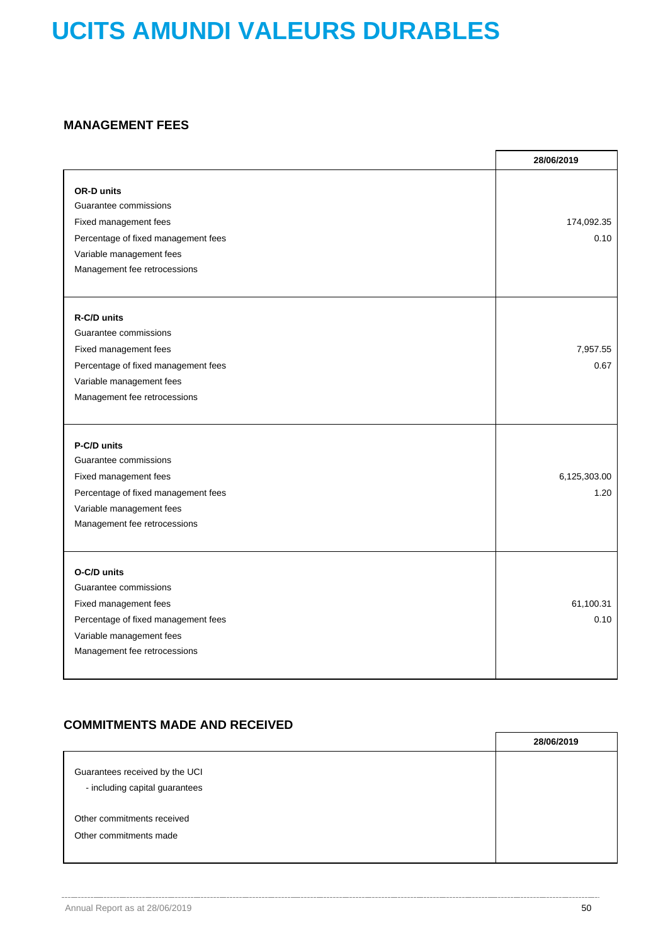### **MANAGEMENT FEES**

|                                                                                                                                                                        | 28/06/2019           |
|------------------------------------------------------------------------------------------------------------------------------------------------------------------------|----------------------|
| <b>OR-D units</b><br>Guarantee commissions<br>Fixed management fees<br>Percentage of fixed management fees<br>Variable management fees<br>Management fee retrocessions | 174,092.35<br>0.10   |
| R-C/D units<br>Guarantee commissions<br>Fixed management fees<br>Percentage of fixed management fees<br>Variable management fees<br>Management fee retrocessions       | 7,957.55<br>0.67     |
| P-C/D units<br>Guarantee commissions<br>Fixed management fees<br>Percentage of fixed management fees<br>Variable management fees<br>Management fee retrocessions       | 6,125,303.00<br>1.20 |
| O-C/D units<br>Guarantee commissions<br>Fixed management fees<br>Percentage of fixed management fees<br>Variable management fees<br>Management fee retrocessions       | 61,100.31<br>0.10    |

### **COMMITMENTS MADE AND RECEIVED**

|                                                                  | 28/06/2019 |
|------------------------------------------------------------------|------------|
| Guarantees received by the UCI<br>- including capital guarantees |            |
| Other commitments received                                       |            |
| Other commitments made                                           |            |
|                                                                  |            |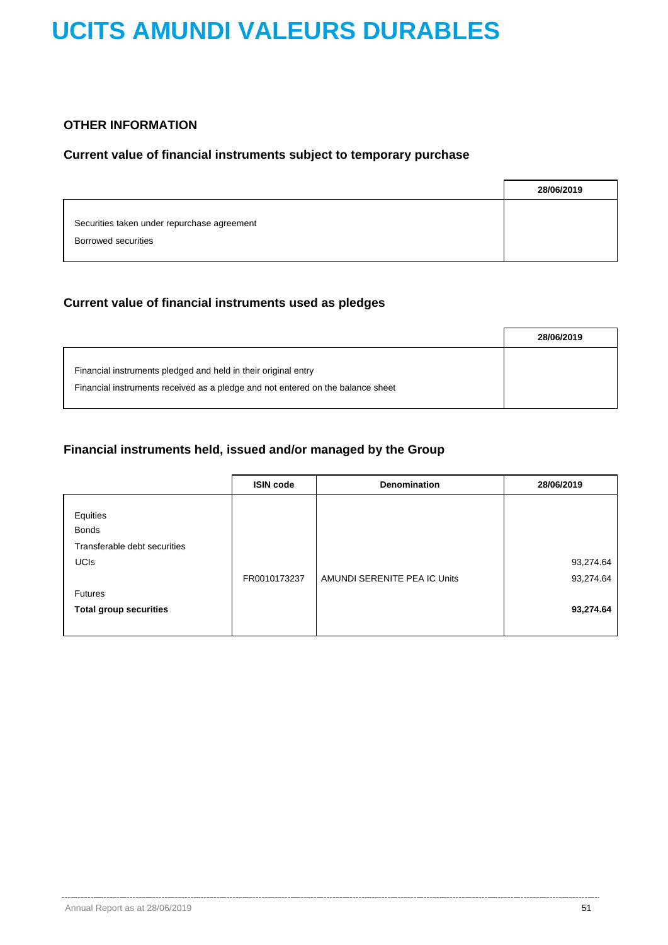### **OTHER INFORMATION**

### **Current value of financial instruments subject to temporary purchase**

|                                                                    | 28/06/2019 |
|--------------------------------------------------------------------|------------|
| Securities taken under repurchase agreement<br>Borrowed securities |            |

### **Current value of financial instruments used as pledges**

|                                                                                                                                                   | 28/06/2019 |
|---------------------------------------------------------------------------------------------------------------------------------------------------|------------|
| Financial instruments pledged and held in their original entry<br>Financial instruments received as a pledge and not entered on the balance sheet |            |

### **Financial instruments held, issued and/or managed by the Group**

|                               | <b>ISIN code</b> | Denomination                 | 28/06/2019 |
|-------------------------------|------------------|------------------------------|------------|
| Equities                      |                  |                              |            |
| <b>Bonds</b>                  |                  |                              |            |
| Transferable debt securities  |                  |                              |            |
| <b>UCIS</b>                   |                  |                              | 93,274.64  |
|                               | FR0010173237     | AMUNDI SERENITE PEA IC Units | 93,274.64  |
| <b>Futures</b>                |                  |                              |            |
| <b>Total group securities</b> |                  |                              | 93,274.64  |
|                               |                  |                              |            |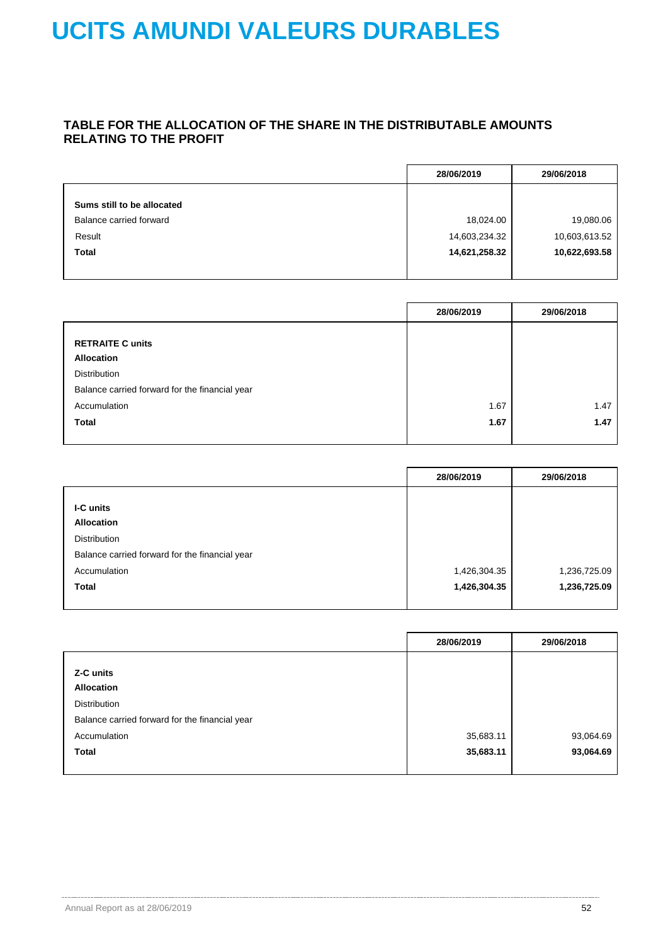### **TABLE FOR THE ALLOCATION OF THE SHARE IN THE DISTRIBUTABLE AMOUNTS RELATING TO THE PROFIT**

|                            | 28/06/2019    | 29/06/2018    |
|----------------------------|---------------|---------------|
| Sums still to be allocated |               |               |
| Balance carried forward    | 18,024.00     | 19,080.06     |
| Result                     | 14,603,234.32 | 10,603,613.52 |
| <b>Total</b>               | 14,621,258.32 | 10,622,693.58 |

|                                                | 28/06/2019 | 29/06/2018 |
|------------------------------------------------|------------|------------|
|                                                |            |            |
| <b>RETRAITE C units</b>                        |            |            |
| <b>Allocation</b>                              |            |            |
| <b>Distribution</b>                            |            |            |
| Balance carried forward for the financial year |            |            |
| Accumulation                                   | 1.67       | 1.47       |
| <b>Total</b>                                   | 1.67       | 1.47       |
|                                                |            |            |

|                                                | 28/06/2019   | 29/06/2018   |
|------------------------------------------------|--------------|--------------|
|                                                |              |              |
| I-C units                                      |              |              |
| <b>Allocation</b>                              |              |              |
| Distribution                                   |              |              |
| Balance carried forward for the financial year |              |              |
| Accumulation                                   | 1,426,304.35 | 1,236,725.09 |
| <b>Total</b>                                   | 1,426,304.35 | 1,236,725.09 |
|                                                |              |              |

|                                                | 28/06/2019 | 29/06/2018 |
|------------------------------------------------|------------|------------|
|                                                |            |            |
| Z-C units                                      |            |            |
| <b>Allocation</b>                              |            |            |
| <b>Distribution</b>                            |            |            |
| Balance carried forward for the financial year |            |            |
| Accumulation                                   | 35,683.11  | 93,064.69  |
| <b>Total</b>                                   | 35,683.11  | 93,064.69  |
|                                                |            |            |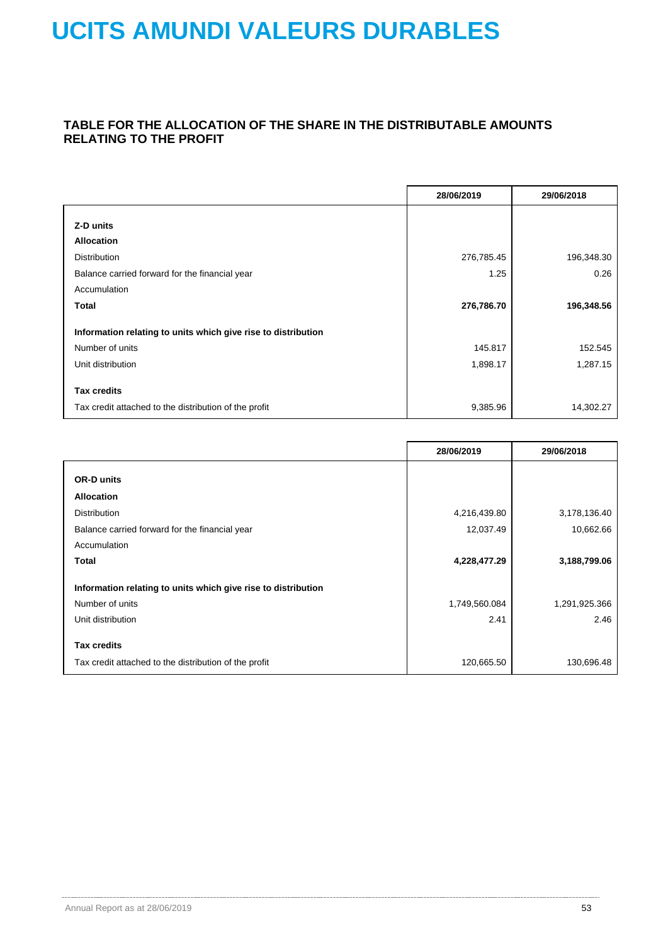### **TABLE FOR THE ALLOCATION OF THE SHARE IN THE DISTRIBUTABLE AMOUNTS RELATING TO THE PROFIT**

|                                                               | 28/06/2019 | 29/06/2018 |
|---------------------------------------------------------------|------------|------------|
|                                                               |            |            |
| Z-D units                                                     |            |            |
| <b>Allocation</b>                                             |            |            |
| <b>Distribution</b>                                           | 276,785.45 | 196,348.30 |
| Balance carried forward for the financial year                | 1.25       | 0.26       |
| Accumulation                                                  |            |            |
| <b>Total</b>                                                  | 276,786.70 | 196,348.56 |
| Information relating to units which give rise to distribution |            |            |
| Number of units                                               | 145.817    | 152.545    |
| Unit distribution                                             | 1,898.17   | 1,287.15   |
| <b>Tax credits</b>                                            |            |            |
| Tax credit attached to the distribution of the profit         | 9,385.96   | 14,302.27  |

|                                                               | 28/06/2019    | 29/06/2018    |
|---------------------------------------------------------------|---------------|---------------|
| <b>OR-D units</b>                                             |               |               |
| <b>Allocation</b>                                             |               |               |
| <b>Distribution</b>                                           | 4,216,439.80  | 3,178,136.40  |
| Balance carried forward for the financial year                | 12,037.49     | 10,662.66     |
| Accumulation                                                  |               |               |
| <b>Total</b>                                                  | 4,228,477.29  | 3,188,799.06  |
| Information relating to units which give rise to distribution |               |               |
| Number of units                                               | 1,749,560.084 | 1,291,925.366 |
| Unit distribution                                             | 2.41          | 2.46          |
| <b>Tax credits</b>                                            |               |               |
| Tax credit attached to the distribution of the profit         | 120,665.50    | 130,696.48    |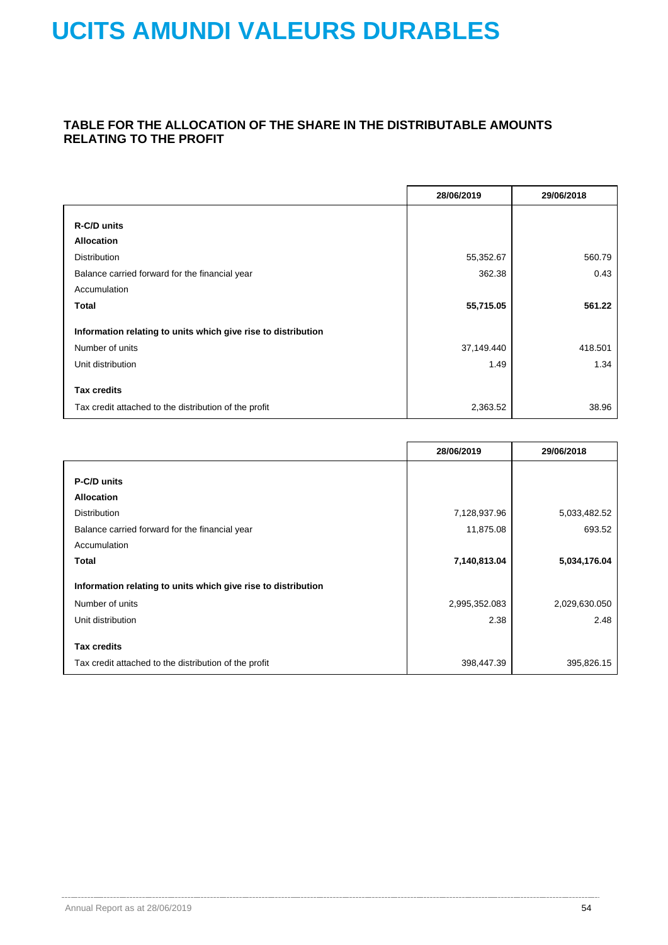### **TABLE FOR THE ALLOCATION OF THE SHARE IN THE DISTRIBUTABLE AMOUNTS RELATING TO THE PROFIT**

|                                                               | 28/06/2019 | 29/06/2018 |
|---------------------------------------------------------------|------------|------------|
|                                                               |            |            |
| R-C/D units                                                   |            |            |
| <b>Allocation</b>                                             |            |            |
| <b>Distribution</b>                                           | 55,352.67  | 560.79     |
| Balance carried forward for the financial year                | 362.38     | 0.43       |
| Accumulation                                                  |            |            |
| Total                                                         | 55,715.05  | 561.22     |
| Information relating to units which give rise to distribution |            |            |
| Number of units                                               | 37,149.440 | 418.501    |
| Unit distribution                                             | 1.49       | 1.34       |
| <b>Tax credits</b>                                            |            |            |
| Tax credit attached to the distribution of the profit         | 2,363.52   | 38.96      |

|                                                               | 28/06/2019    | 29/06/2018    |
|---------------------------------------------------------------|---------------|---------------|
|                                                               |               |               |
| P-C/D units                                                   |               |               |
| <b>Allocation</b>                                             |               |               |
| <b>Distribution</b>                                           | 7,128,937.96  | 5,033,482.52  |
| Balance carried forward for the financial year                | 11,875.08     | 693.52        |
| Accumulation                                                  |               |               |
| Total                                                         | 7,140,813.04  | 5,034,176.04  |
| Information relating to units which give rise to distribution |               |               |
| Number of units                                               | 2,995,352.083 | 2,029,630.050 |
| Unit distribution                                             | 2.38          | 2.48          |
| <b>Tax credits</b>                                            |               |               |
| Tax credit attached to the distribution of the profit         | 398,447.39    | 395,826.15    |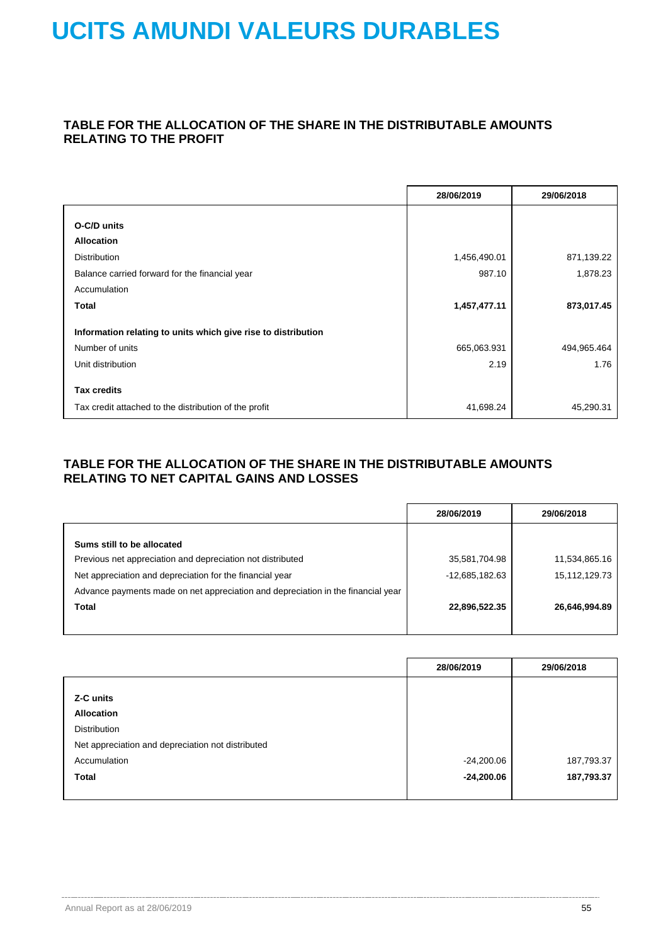### **TABLE FOR THE ALLOCATION OF THE SHARE IN THE DISTRIBUTABLE AMOUNTS RELATING TO THE PROFIT**

|                                                               | 28/06/2019   | 29/06/2018  |
|---------------------------------------------------------------|--------------|-------------|
|                                                               |              |             |
| O-C/D units                                                   |              |             |
| <b>Allocation</b>                                             |              |             |
| <b>Distribution</b>                                           | 1,456,490.01 | 871,139.22  |
| Balance carried forward for the financial year                | 987.10       | 1,878.23    |
| Accumulation                                                  |              |             |
| <b>Total</b>                                                  | 1,457,477.11 | 873,017.45  |
| Information relating to units which give rise to distribution |              |             |
| Number of units                                               | 665,063.931  | 494,965.464 |
| Unit distribution                                             | 2.19         | 1.76        |
| <b>Tax credits</b>                                            |              |             |
|                                                               |              |             |
| Tax credit attached to the distribution of the profit         | 41,698.24    | 45,290.31   |

### **TABLE FOR THE ALLOCATION OF THE SHARE IN THE DISTRIBUTABLE AMOUNTS RELATING TO NET CAPITAL GAINS AND LOSSES**

| 28/06/2019     | 29/06/2018    |
|----------------|---------------|
|                |               |
|                |               |
| 35,581,704.98  | 11,534,865.16 |
| -12,685,182.63 | 15,112,129.73 |
|                |               |
| 22,896,522.35  | 26,646,994.89 |
|                |               |
|                |               |

|                                                   | 28/06/2019   | 29/06/2018 |
|---------------------------------------------------|--------------|------------|
|                                                   |              |            |
| Z-C units                                         |              |            |
| <b>Allocation</b>                                 |              |            |
| Distribution                                      |              |            |
| Net appreciation and depreciation not distributed |              |            |
| Accumulation                                      | -24,200.06   | 187,793.37 |
| <b>Total</b>                                      | $-24,200.06$ | 187,793.37 |
|                                                   |              |            |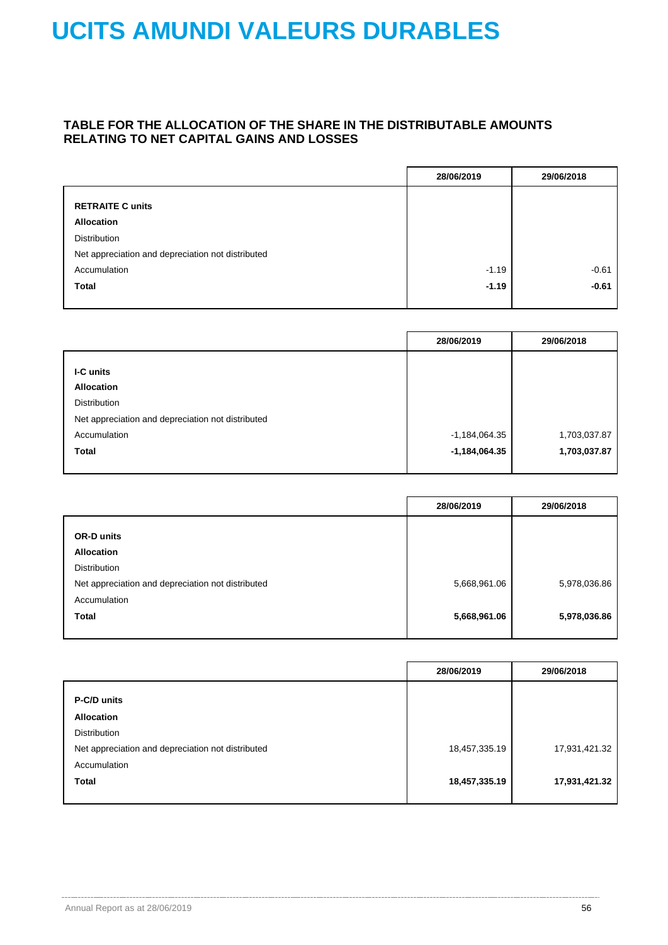### **TABLE FOR THE ALLOCATION OF THE SHARE IN THE DISTRIBUTABLE AMOUNTS RELATING TO NET CAPITAL GAINS AND LOSSES**

|                                                   | 28/06/2019 | 29/06/2018 |
|---------------------------------------------------|------------|------------|
|                                                   |            |            |
| <b>RETRAITE C units</b>                           |            |            |
| <b>Allocation</b>                                 |            |            |
| <b>Distribution</b>                               |            |            |
| Net appreciation and depreciation not distributed |            |            |
| Accumulation                                      | $-1.19$    | $-0.61$    |
| <b>Total</b>                                      | $-1.19$    | $-0.61$    |
|                                                   |            |            |

|                                                   | 28/06/2019      | 29/06/2018   |
|---------------------------------------------------|-----------------|--------------|
|                                                   |                 |              |
| <b>I-C</b> units                                  |                 |              |
| <b>Allocation</b>                                 |                 |              |
| Distribution                                      |                 |              |
| Net appreciation and depreciation not distributed |                 |              |
| Accumulation                                      | $-1,184,064.35$ | 1,703,037.87 |
| <b>Total</b>                                      | $-1,184,064.35$ | 1,703,037.87 |
|                                                   |                 |              |

|                                                   | 28/06/2019   | 29/06/2018   |
|---------------------------------------------------|--------------|--------------|
|                                                   |              |              |
| <b>OR-D units</b>                                 |              |              |
| <b>Allocation</b>                                 |              |              |
| <b>Distribution</b>                               |              |              |
| Net appreciation and depreciation not distributed | 5,668,961.06 | 5,978,036.86 |
| Accumulation                                      |              |              |
| <b>Total</b>                                      | 5,668,961.06 | 5,978,036.86 |
|                                                   |              |              |

|                                                   | 28/06/2019    | 29/06/2018    |
|---------------------------------------------------|---------------|---------------|
| P-C/D units                                       |               |               |
| <b>Allocation</b>                                 |               |               |
| <b>Distribution</b>                               |               |               |
| Net appreciation and depreciation not distributed | 18,457,335.19 | 17,931,421.32 |
| Accumulation                                      |               |               |
| <b>Total</b>                                      | 18,457,335.19 | 17,931,421.32 |
|                                                   |               |               |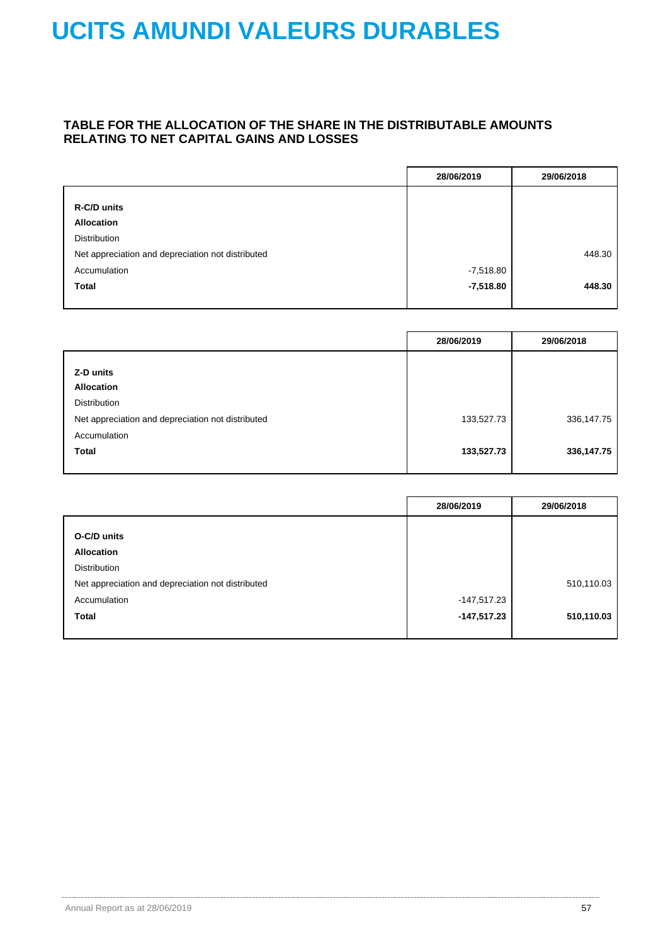### **TABLE FOR THE ALLOCATION OF THE SHARE IN THE DISTRIBUTABLE AMOUNTS RELATING TO NET CAPITAL GAINS AND LOSSES**

|                                                   | 28/06/2019  | 29/06/2018 |
|---------------------------------------------------|-------------|------------|
|                                                   |             |            |
| R-C/D units                                       |             |            |
| <b>Allocation</b>                                 |             |            |
| <b>Distribution</b>                               |             |            |
| Net appreciation and depreciation not distributed |             | 448.30     |
| Accumulation                                      | $-7,518.80$ |            |
| <b>Total</b>                                      | $-7,518.80$ | 448.30     |
|                                                   |             |            |

|                                                   | 28/06/2019 | 29/06/2018 |
|---------------------------------------------------|------------|------------|
|                                                   |            |            |
| Z-D units                                         |            |            |
| <b>Allocation</b>                                 |            |            |
| <b>Distribution</b>                               |            |            |
| Net appreciation and depreciation not distributed | 133,527.73 | 336,147.75 |
| Accumulation                                      |            |            |
| <b>Total</b>                                      | 133,527.73 | 336,147.75 |
|                                                   |            |            |

|                                                   | 28/06/2019  | 29/06/2018 |
|---------------------------------------------------|-------------|------------|
|                                                   |             |            |
| O-C/D units                                       |             |            |
| <b>Allocation</b>                                 |             |            |
| Distribution                                      |             |            |
| Net appreciation and depreciation not distributed |             | 510,110.03 |
| Accumulation                                      | -147,517.23 |            |
| <b>Total</b>                                      | -147,517.23 | 510,110.03 |
|                                                   |             |            |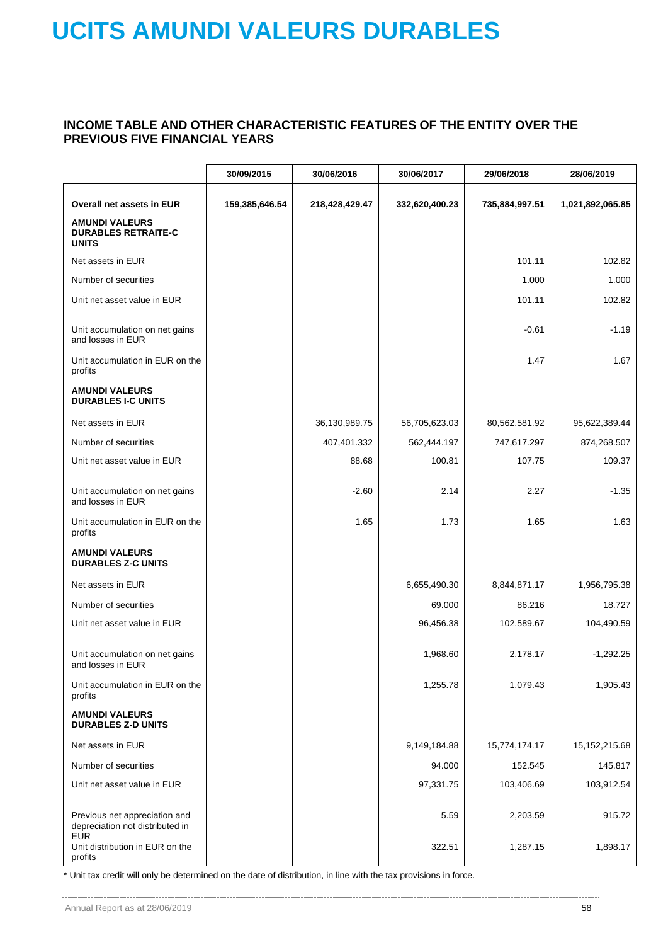### **INCOME TABLE AND OTHER CHARACTERISTIC FEATURES OF THE ENTITY OVER THE PREVIOUS FIVE FINANCIAL YEARS**

|                                                                     | 30/09/2015     | 30/06/2016     | 30/06/2017     | 29/06/2018     | 28/06/2019       |
|---------------------------------------------------------------------|----------------|----------------|----------------|----------------|------------------|
| Overall net assets in EUR                                           | 159,385,646.54 | 218,428,429.47 | 332,620,400.23 | 735,884,997.51 | 1,021,892,065.85 |
| <b>AMUNDI VALEURS</b><br><b>DURABLES RETRAITE-C</b><br><b>UNITS</b> |                |                |                |                |                  |
| Net assets in EUR                                                   |                |                |                | 101.11         | 102.82           |
| Number of securities                                                |                |                |                | 1.000          | 1.000            |
| Unit net asset value in EUR                                         |                |                |                | 101.11         | 102.82           |
| Unit accumulation on net gains<br>and losses in EUR                 |                |                |                | $-0.61$        | $-1.19$          |
| Unit accumulation in EUR on the<br>profits                          |                |                |                | 1.47           | 1.67             |
| <b>AMUNDI VALEURS</b><br><b>DURABLES I-C UNITS</b>                  |                |                |                |                |                  |
| Net assets in EUR                                                   |                | 36,130,989.75  | 56,705,623.03  | 80,562,581.92  | 95,622,389.44    |
| Number of securities                                                |                | 407,401.332    | 562,444.197    | 747,617.297    | 874,268.507      |
| Unit net asset value in EUR                                         |                | 88.68          | 100.81         | 107.75         | 109.37           |
| Unit accumulation on net gains<br>and losses in EUR                 |                | $-2.60$        | 2.14           | 2.27           | $-1.35$          |
| Unit accumulation in EUR on the<br>profits                          |                | 1.65           | 1.73           | 1.65           | 1.63             |
| <b>AMUNDI VALEURS</b><br><b>DURABLES Z-C UNITS</b>                  |                |                |                |                |                  |
| Net assets in EUR                                                   |                |                | 6,655,490.30   | 8,844,871.17   | 1,956,795.38     |
| Number of securities                                                |                |                | 69.000         | 86.216         | 18.727           |
| Unit net asset value in EUR                                         |                |                | 96,456.38      | 102,589.67     | 104,490.59       |
| Unit accumulation on net gains<br>and losses in EUR                 |                |                | 1,968.60       | 2,178.17       | $-1,292.25$      |
| Unit accumulation in EUR on the<br>profits                          |                |                | 1,255.78       | 1,079.43       | 1,905.43         |
| <b>AMUNDI VALEURS</b><br><b>DURABLES Z-D UNITS</b>                  |                |                |                |                |                  |
| Net assets in EUR                                                   |                |                | 9,149,184.88   | 15,774,174.17  | 15, 152, 215.68  |
| Number of securities                                                |                |                | 94.000         | 152.545        | 145.817          |
| Unit net asset value in EUR                                         |                |                | 97,331.75      | 103,406.69     | 103,912.54       |
| Previous net appreciation and<br>depreciation not distributed in    |                |                | 5.59           | 2,203.59       | 915.72           |
| <b>EUR</b><br>Unit distribution in EUR on the<br>profits            |                |                | 322.51         | 1,287.15       | 1,898.17         |

\* Unit tax credit will only be determined on the date of distribution, in line with the tax provisions in force.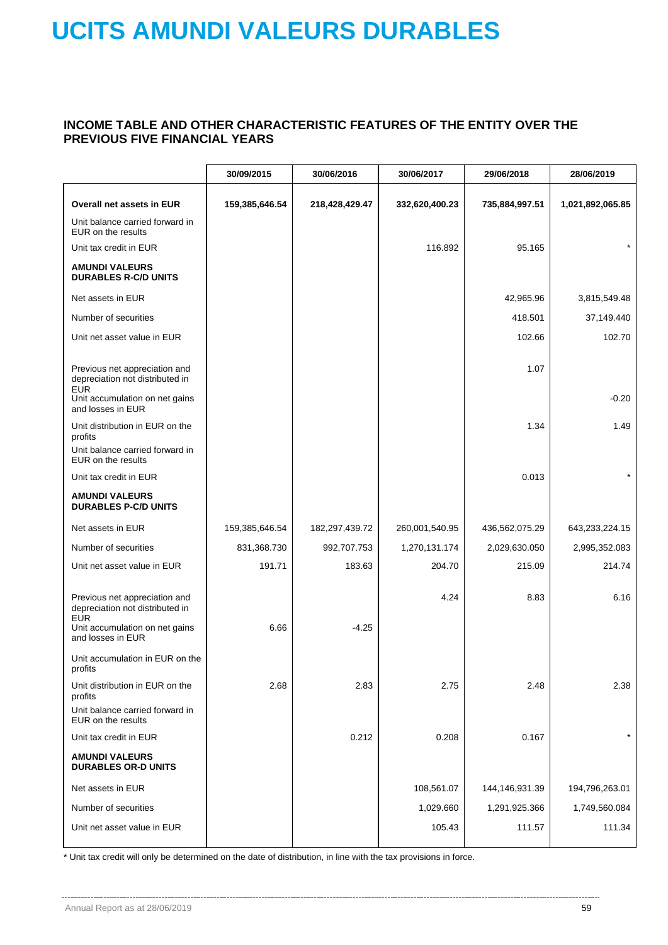### **INCOME TABLE AND OTHER CHARACTERISTIC FEATURES OF THE ENTITY OVER THE PREVIOUS FIVE FINANCIAL YEARS**

|                                                                                | 30/09/2015     | 30/06/2016     | 30/06/2017     | 29/06/2018     | 28/06/2019       |
|--------------------------------------------------------------------------------|----------------|----------------|----------------|----------------|------------------|
| Overall net assets in EUR                                                      | 159,385,646.54 | 218,428,429.47 | 332,620,400.23 | 735,884,997.51 | 1,021,892,065.85 |
| Unit balance carried forward in<br>EUR on the results                          |                |                |                |                |                  |
| Unit tax credit in EUR                                                         |                |                | 116.892        | 95.165         |                  |
| <b>AMUNDI VALEURS</b><br><b>DURABLES R-C/D UNITS</b>                           |                |                |                |                |                  |
| Net assets in EUR                                                              |                |                |                | 42,965.96      | 3,815,549.48     |
| Number of securities                                                           |                |                |                | 418.501        | 37,149.440       |
| Unit net asset value in EUR                                                    |                |                |                | 102.66         | 102.70           |
| Previous net appreciation and<br>depreciation not distributed in<br><b>EUR</b> |                |                |                | 1.07           |                  |
| Unit accumulation on net gains<br>and losses in EUR                            |                |                |                |                | $-0.20$          |
| Unit distribution in EUR on the<br>profits                                     |                |                |                | 1.34           | 1.49             |
| Unit balance carried forward in<br>EUR on the results                          |                |                |                |                |                  |
| Unit tax credit in EUR                                                         |                |                |                | 0.013          | $\star$          |
| <b>AMUNDI VALEURS</b><br><b>DURABLES P-C/D UNITS</b>                           |                |                |                |                |                  |
| Net assets in EUR                                                              | 159,385,646.54 | 182,297,439.72 | 260,001,540.95 | 436,562,075.29 | 643,233,224.15   |
| Number of securities                                                           | 831,368.730    | 992,707.753    | 1,270,131.174  | 2,029,630.050  | 2,995,352.083    |
| Unit net asset value in EUR                                                    | 191.71         | 183.63         | 204.70         | 215.09         | 214.74           |
| Previous net appreciation and<br>depreciation not distributed in<br><b>EUR</b> |                |                | 4.24           | 8.83           | 6.16             |
| Unit accumulation on net gains<br>and losses in EUR                            | 6.66           | $-4.25$        |                |                |                  |
| Unit accumulation in EUR on the<br>profits                                     |                |                |                |                |                  |
| Unit distribution in EUR on the<br>profits                                     | 2.68           | 2.83           | 2.75           | 2.48           | 2.38             |
| Unit balance carried forward in<br>EUR on the results                          |                |                |                |                |                  |
| Unit tax credit in EUR                                                         |                | 0.212          | 0.208          | 0.167          | $\star$          |
| <b>AMUNDI VALEURS</b><br><b>DURABLES OR-D UNITS</b>                            |                |                |                |                |                  |
| Net assets in EUR                                                              |                |                | 108,561.07     | 144,146,931.39 | 194,796,263.01   |
| Number of securities                                                           |                |                | 1,029.660      | 1,291,925.366  | 1,749,560.084    |
| Unit net asset value in EUR                                                    |                |                | 105.43         | 111.57         | 111.34           |
|                                                                                |                |                |                |                |                  |

\* Unit tax credit will only be determined on the date of distribution, in line with the tax provisions in force.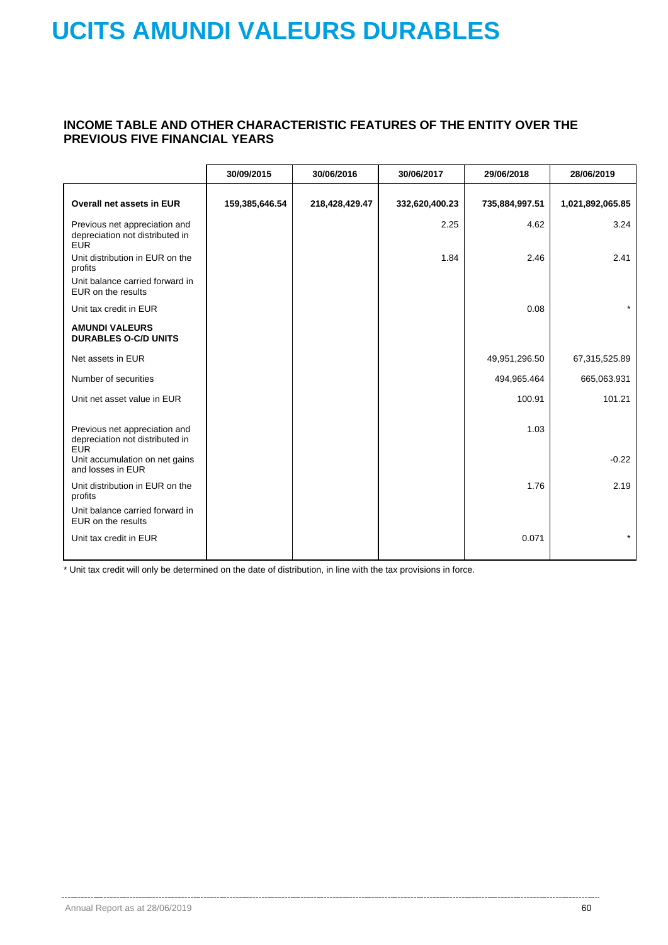### **INCOME TABLE AND OTHER CHARACTERISTIC FEATURES OF THE ENTITY OVER THE PREVIOUS FIVE FINANCIAL YEARS**

|                                                                                | 30/09/2015     | 30/06/2016     | 30/06/2017     | 29/06/2018     | 28/06/2019       |
|--------------------------------------------------------------------------------|----------------|----------------|----------------|----------------|------------------|
| <b>Overall net assets in EUR</b>                                               | 159,385,646.54 | 218,428,429.47 | 332,620,400.23 | 735,884,997.51 | 1,021,892,065.85 |
| Previous net appreciation and<br>depreciation not distributed in<br><b>EUR</b> |                |                | 2.25           | 4.62           | 3.24             |
| Unit distribution in EUR on the<br>profits                                     |                |                | 1.84           | 2.46           | 2.41             |
| Unit balance carried forward in<br>EUR on the results                          |                |                |                |                |                  |
| Unit tax credit in EUR                                                         |                |                |                | 0.08           | $\star$          |
| <b>AMUNDI VALEURS</b><br><b>DURABLES O-C/D UNITS</b>                           |                |                |                |                |                  |
| Net assets in EUR                                                              |                |                |                | 49,951,296.50  | 67,315,525.89    |
| Number of securities                                                           |                |                |                | 494,965.464    | 665,063.931      |
| Unit net asset value in EUR                                                    |                |                |                | 100.91         | 101.21           |
| Previous net appreciation and<br>depreciation not distributed in<br><b>EUR</b> |                |                |                | 1.03           |                  |
| Unit accumulation on net gains<br>and losses in EUR                            |                |                |                |                | $-0.22$          |
| Unit distribution in EUR on the<br>profits                                     |                |                |                | 1.76           | 2.19             |
| Unit balance carried forward in<br>EUR on the results                          |                |                |                |                |                  |
| Unit tax credit in EUR                                                         |                |                |                | 0.071          | $\star$          |

\* Unit tax credit will only be determined on the date of distribution, in line with the tax provisions in force.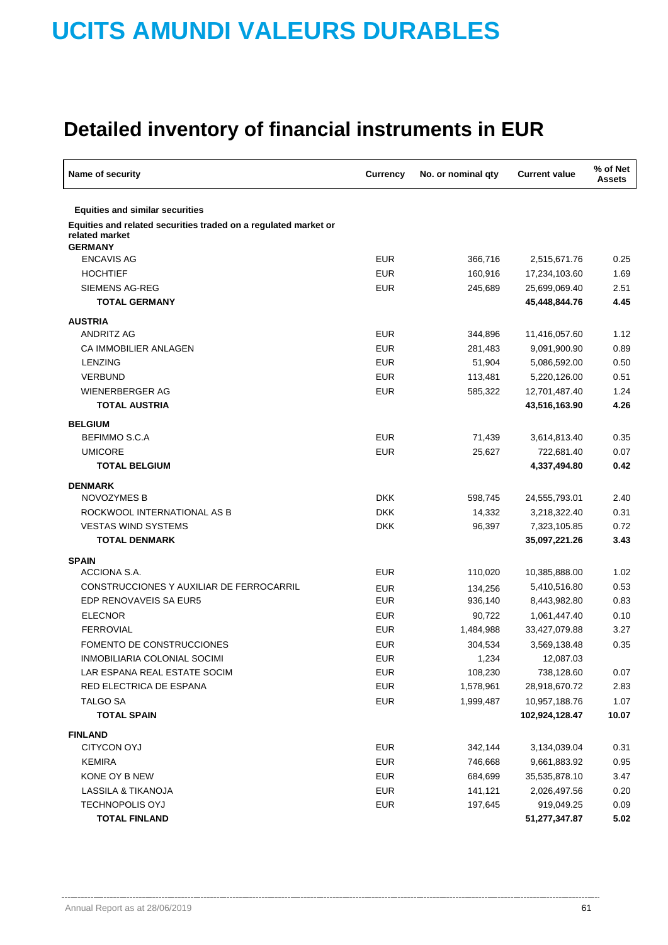| Name of security                                                                                    | Currency   | No. or nominal qty | <b>Current value</b>       | % of Net<br><b>Assets</b> |
|-----------------------------------------------------------------------------------------------------|------------|--------------------|----------------------------|---------------------------|
| <b>Equities and similar securities</b>                                                              |            |                    |                            |                           |
| Equities and related securities traded on a regulated market or<br>related market<br><b>GERMANY</b> |            |                    |                            |                           |
| <b>ENCAVIS AG</b>                                                                                   | <b>EUR</b> | 366,716            | 2,515,671.76               | 0.25                      |
| <b>HOCHTIEF</b>                                                                                     | <b>EUR</b> | 160,916            | 17,234,103.60              | 1.69                      |
| <b>SIEMENS AG-REG</b>                                                                               | <b>EUR</b> | 245,689            | 25,699,069.40              | 2.51                      |
| <b>TOTAL GERMANY</b>                                                                                |            |                    | 45,448,844.76              | 4.45                      |
| <b>AUSTRIA</b>                                                                                      |            |                    |                            |                           |
| <b>ANDRITZ AG</b>                                                                                   | <b>EUR</b> | 344,896            | 11,416,057.60              | 1.12                      |
| CA IMMOBILIER ANLAGEN                                                                               | <b>EUR</b> | 281,483            | 9,091,900.90               | 0.89                      |
| <b>LENZING</b>                                                                                      | <b>EUR</b> | 51,904             | 5,086,592.00               | 0.50                      |
| <b>VERBUND</b>                                                                                      | <b>EUR</b> | 113,481            | 5,220,126.00               | 0.51                      |
| <b>WIENERBERGER AG</b>                                                                              | <b>EUR</b> | 585,322            | 12,701,487.40              | 1.24                      |
| <b>TOTAL AUSTRIA</b>                                                                                |            |                    | 43,516,163.90              | 4.26                      |
|                                                                                                     |            |                    |                            |                           |
| <b>BELGIUM</b><br>BEFIMMO S.C.A                                                                     | <b>EUR</b> |                    |                            | 0.35                      |
| <b>UMICORE</b>                                                                                      | <b>EUR</b> | 71,439<br>25,627   | 3,614,813.40<br>722,681.40 | 0.07                      |
| <b>TOTAL BELGIUM</b>                                                                                |            |                    | 4,337,494.80               | 0.42                      |
|                                                                                                     |            |                    |                            |                           |
| <b>DENMARK</b><br>NOVOZYMES B                                                                       | <b>DKK</b> | 598,745            | 24,555,793.01              | 2.40                      |
| ROCKWOOL INTERNATIONAL AS B                                                                         | <b>DKK</b> | 14,332             | 3,218,322.40               | 0.31                      |
| <b>VESTAS WIND SYSTEMS</b>                                                                          | <b>DKK</b> | 96,397             | 7,323,105.85               | 0.72                      |
| <b>TOTAL DENMARK</b>                                                                                |            |                    | 35,097,221.26              | 3.43                      |
|                                                                                                     |            |                    |                            |                           |
| <b>SPAIN</b>                                                                                        |            |                    |                            |                           |
| ACCIONA S.A.                                                                                        | <b>EUR</b> | 110,020            | 10,385,888.00              | 1.02                      |
| CONSTRUCCIONES Y AUXILIAR DE FERROCARRIL                                                            | <b>EUR</b> | 134,256            | 5,410,516.80               | 0.53                      |
| EDP RENOVAVEIS SA EUR5                                                                              | <b>EUR</b> | 936,140            | 8,443,982.80               | 0.83                      |
| <b>ELECNOR</b>                                                                                      | <b>EUR</b> | 90,722             | 1,061,447.40               | 0.10                      |
| <b>FERROVIAL</b>                                                                                    | <b>EUR</b> | 1,484,988          | 33,427,079.88              | 3.27                      |
| FOMENTO DE CONSTRUCCIONES                                                                           | <b>EUR</b> | 304,534            | 3,569,138.48               | 0.35                      |
| INMOBILIARIA COLONIAL SOCIMI                                                                        | <b>EUR</b> | 1,234              | 12,087.03                  |                           |
| LAR ESPANA REAL ESTATE SOCIM                                                                        | <b>EUR</b> | 108,230            | 738,128.60                 | 0.07                      |
| RED ELECTRICA DE ESPANA                                                                             | <b>EUR</b> | 1,578,961          | 28,918,670.72              | 2.83                      |
| <b>TALGO SA</b>                                                                                     | <b>EUR</b> | 1,999,487          | 10,957,188.76              | 1.07                      |
| <b>TOTAL SPAIN</b>                                                                                  |            |                    | 102,924,128.47             | 10.07                     |
| <b>FINLAND</b>                                                                                      |            |                    |                            |                           |
| <b>CITYCON OYJ</b>                                                                                  | <b>EUR</b> | 342,144            | 3,134,039.04               | 0.31                      |
| <b>KEMIRA</b>                                                                                       | <b>EUR</b> | 746,668            | 9,661,883.92               | 0.95                      |
| KONE OY B NEW                                                                                       | <b>EUR</b> | 684,699            | 35,535,878.10              | 3.47                      |
| LASSILA & TIKANOJA                                                                                  | <b>EUR</b> | 141,121            | 2,026,497.56               | 0.20                      |
| <b>TECHNOPOLIS OYJ</b>                                                                              | <b>EUR</b> | 197,645            | 919,049.25                 | 0.09                      |
| <b>TOTAL FINLAND</b>                                                                                |            |                    | 51,277,347.87              | 5.02                      |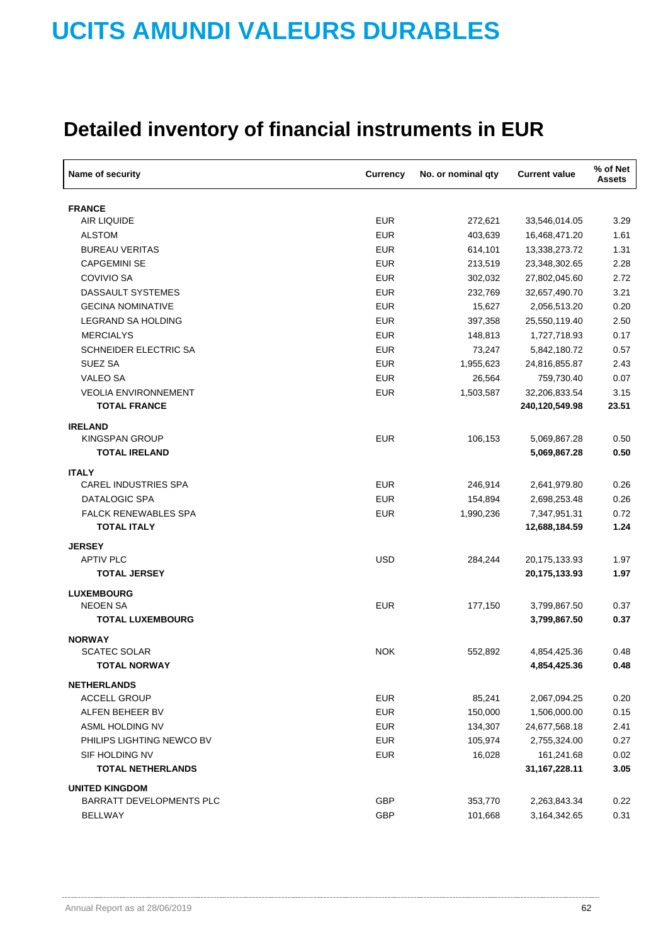| Name of security                  | Currency   | No. or nominal qty | <b>Current value</b>           | % of Net<br><b>Assets</b> |
|-----------------------------------|------------|--------------------|--------------------------------|---------------------------|
| <b>FRANCE</b>                     |            |                    |                                |                           |
| <b>AIR LIQUIDE</b>                | <b>EUR</b> | 272,621            | 33,546,014.05                  | 3.29                      |
| <b>ALSTOM</b>                     | <b>EUR</b> | 403,639            | 16,468,471.20                  | 1.61                      |
| <b>BUREAU VERITAS</b>             | <b>EUR</b> | 614,101            | 13,338,273.72                  | 1.31                      |
| <b>CAPGEMINI SE</b>               | <b>EUR</b> | 213,519            | 23,348,302.65                  | 2.28                      |
| <b>COVIVIO SA</b>                 | <b>EUR</b> | 302,032            | 27,802,045.60                  | 2.72                      |
| DASSAULT SYSTEMES                 | <b>EUR</b> | 232,769            | 32,657,490.70                  | 3.21                      |
| <b>GECINA NOMINATIVE</b>          | <b>EUR</b> | 15,627             | 2,056,513.20                   | 0.20                      |
| LEGRAND SA HOLDING                | <b>EUR</b> | 397,358            | 25,550,119.40                  | 2.50                      |
| <b>MERCIALYS</b>                  | <b>EUR</b> | 148,813            | 1,727,718.93                   | 0.17                      |
| <b>SCHNEIDER ELECTRIC SA</b>      | <b>EUR</b> | 73,247             | 5,842,180.72                   | 0.57                      |
| SUEZ SA                           | <b>EUR</b> | 1,955,623          | 24,816,855.87                  | 2.43                      |
| <b>VALEO SA</b>                   | <b>EUR</b> | 26,564             | 759,730.40                     | 0.07                      |
| <b>VEOLIA ENVIRONNEMENT</b>       | <b>EUR</b> | 1,503,587          | 32,206,833.54                  | 3.15                      |
| <b>TOTAL FRANCE</b>               |            |                    | 240,120,549.98                 | 23.51                     |
| <b>IRELAND</b>                    |            |                    |                                |                           |
| KINGSPAN GROUP                    | <b>EUR</b> | 106,153            | 5,069,867.28                   | 0.50                      |
| <b>TOTAL IRELAND</b>              |            |                    | 5,069,867.28                   | 0.50                      |
| <b>ITALY</b>                      |            |                    |                                |                           |
| <b>CAREL INDUSTRIES SPA</b>       | <b>EUR</b> | 246,914            | 2,641,979.80                   | 0.26                      |
| DATALOGIC SPA                     | <b>EUR</b> | 154,894            | 2,698,253.48                   | 0.26                      |
| <b>FALCK RENEWABLES SPA</b>       | <b>EUR</b> | 1,990,236          | 7,347,951.31                   | 0.72                      |
| <b>TOTAL ITALY</b>                |            |                    | 12,688,184.59                  | 1.24                      |
|                                   |            |                    |                                |                           |
| <b>JERSEY</b><br><b>APTIV PLC</b> | <b>USD</b> |                    |                                |                           |
| <b>TOTAL JERSEY</b>               |            | 284,244            | 20,175,133.93<br>20,175,133.93 | 1.97<br>1.97              |
|                                   |            |                    |                                |                           |
| <b>LUXEMBOURG</b>                 |            |                    |                                |                           |
| <b>NEOEN SA</b>                   | <b>EUR</b> | 177,150            | 3,799,867.50                   | 0.37                      |
| <b>TOTAL LUXEMBOURG</b>           |            |                    | 3,799,867.50                   | 0.37                      |
| <b>NORWAY</b>                     |            |                    |                                |                           |
| <b>SCATEC SOLAR</b>               | <b>NOK</b> | 552,892            | 4,854,425.36                   | 0.48                      |
| TOTAL NORWAY                      |            |                    | 4,854,425.36                   | 0.48                      |
| <b>NETHERLANDS</b>                |            |                    |                                |                           |
| <b>ACCELL GROUP</b>               | <b>EUR</b> | 85,241             | 2,067,094.25                   | 0.20                      |
| ALFEN BEHEER BV                   | <b>EUR</b> | 150,000            | 1,506,000.00                   | 0.15                      |
| ASML HOLDING NV                   | <b>EUR</b> | 134,307            | 24,677,568.18                  | 2.41                      |
| PHILIPS LIGHTING NEWCO BV         | <b>EUR</b> | 105,974            | 2,755,324.00                   | 0.27                      |
| SIF HOLDING NV                    | <b>EUR</b> | 16,028             | 161,241.68                     | 0.02                      |
| <b>TOTAL NETHERLANDS</b>          |            |                    | 31, 167, 228. 11               | 3.05                      |
| <b>UNITED KINGDOM</b>             |            |                    |                                |                           |
| <b>BARRATT DEVELOPMENTS PLC</b>   | <b>GBP</b> | 353,770            | 2,263,843.34                   | 0.22                      |
| <b>BELLWAY</b>                    | GBP        | 101,668            | 3,164,342.65                   | 0.31                      |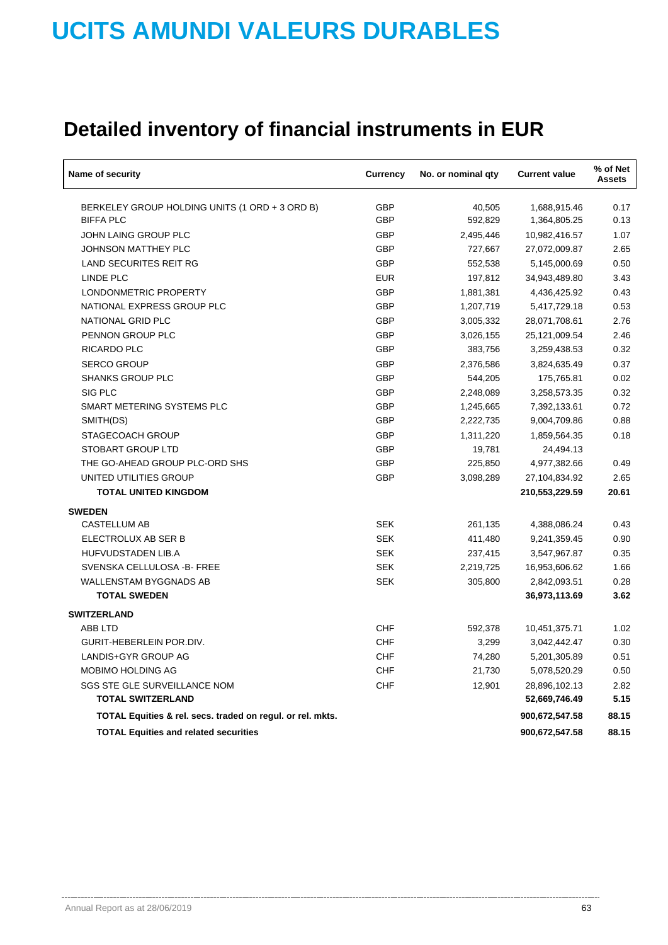| Name of security                                           | Currency   | No. or nominal qty | <b>Current value</b> | % of Net<br><b>Assets</b> |
|------------------------------------------------------------|------------|--------------------|----------------------|---------------------------|
| BERKELEY GROUP HOLDING UNITS (1 ORD + 3 ORD B)             | <b>GBP</b> | 40,505             | 1,688,915.46         | 0.17                      |
| <b>BIFFA PLC</b>                                           | <b>GBP</b> | 592,829            | 1,364,805.25         | 0.13                      |
| JOHN LAING GROUP PLC                                       | GBP        | 2,495,446          | 10,982,416.57        | 1.07                      |
| <b>JOHNSON MATTHEY PLC</b>                                 | <b>GBP</b> | 727,667            | 27,072,009.87        | 2.65                      |
| <b>LAND SECURITES REIT RG</b>                              | <b>GBP</b> | 552,538            | 5,145,000.69         | 0.50                      |
| LINDE PLC                                                  | <b>EUR</b> | 197,812            | 34,943,489.80        | 3.43                      |
| LONDONMETRIC PROPERTY                                      | <b>GBP</b> | 1,881,381          | 4,436,425.92         | 0.43                      |
| NATIONAL EXPRESS GROUP PLC                                 | <b>GBP</b> | 1,207,719          | 5,417,729.18         | 0.53                      |
| NATIONAL GRID PLC                                          | <b>GBP</b> | 3,005,332          | 28,071,708.61        | 2.76                      |
| PENNON GROUP PLC                                           | <b>GBP</b> | 3,026,155          | 25,121,009.54        | 2.46                      |
| RICARDO PLC                                                | <b>GBP</b> | 383,756            | 3,259,438.53         | 0.32                      |
| <b>SERCO GROUP</b>                                         | <b>GBP</b> | 2,376,586          | 3,824,635.49         | 0.37                      |
| <b>SHANKS GROUP PLC</b>                                    | <b>GBP</b> | 544,205            | 175,765.81           | 0.02                      |
| SIG PLC                                                    | GBP        | 2,248,089          | 3,258,573.35         | 0.32                      |
| SMART METERING SYSTEMS PLC                                 | <b>GBP</b> | 1,245,665          | 7,392,133.61         | 0.72                      |
| SMITH(DS)                                                  | <b>GBP</b> | 2,222,735          | 9,004,709.86         | 0.88                      |
| STAGECOACH GROUP                                           | <b>GBP</b> | 1,311,220          | 1,859,564.35         | 0.18                      |
| <b>STOBART GROUP LTD</b>                                   | <b>GBP</b> | 19,781             | 24,494.13            |                           |
| THE GO-AHEAD GROUP PLC-ORD SHS                             | GBP        | 225,850            | 4,977,382.66         | 0.49                      |
| UNITED UTILITIES GROUP                                     | <b>GBP</b> | 3,098,289          | 27,104,834.92        | 2.65                      |
| <b>TOTAL UNITED KINGDOM</b>                                |            |                    | 210,553,229.59       | 20.61                     |
| <b>SWEDEN</b>                                              |            |                    |                      |                           |
| <b>CASTELLUM AB</b>                                        | <b>SEK</b> | 261,135            | 4,388,086.24         | 0.43                      |
| ELECTROLUX AB SER B                                        | <b>SEK</b> | 411,480            | 9,241,359.45         | 0.90                      |
| <b>HUFVUDSTADEN LIB.A</b>                                  | <b>SEK</b> | 237,415            | 3,547,967.87         | 0.35                      |
| SVENSKA CELLULOSA - B- FREE                                | <b>SEK</b> | 2,219,725          | 16,953,606.62        | 1.66                      |
| <b>WALLENSTAM BYGGNADS AB</b>                              | <b>SEK</b> | 305,800            | 2,842,093.51         | 0.28                      |
| <b>TOTAL SWEDEN</b>                                        |            |                    | 36,973,113.69        | 3.62                      |
| <b>SWITZERLAND</b>                                         |            |                    |                      |                           |
| <b>ABB LTD</b>                                             | CHF        | 592,378            | 10,451,375.71        | 1.02                      |
| GURIT-HEBERLEIN POR.DIV.                                   | <b>CHF</b> | 3,299              | 3,042,442.47         | 0.30                      |
| LANDIS+GYR GROUP AG                                        | CHF        | 74,280             | 5,201,305.89         | 0.51                      |
| MOBIMO HOLDING AG                                          | CHF        | 21,730             | 5,078,520.29         | 0.50                      |
| SGS STE GLE SURVEILLANCE NOM                               | CHF        | 12,901             | 28,896,102.13        | 2.82                      |
| <b>TOTAL SWITZERLAND</b>                                   |            |                    | 52,669,746.49        | 5.15                      |
| TOTAL Equities & rel. secs. traded on regul. or rel. mkts. |            |                    | 900,672,547.58       | 88.15                     |
| <b>TOTAL Equities and related securities</b>               |            |                    | 900,672,547.58       | 88.15                     |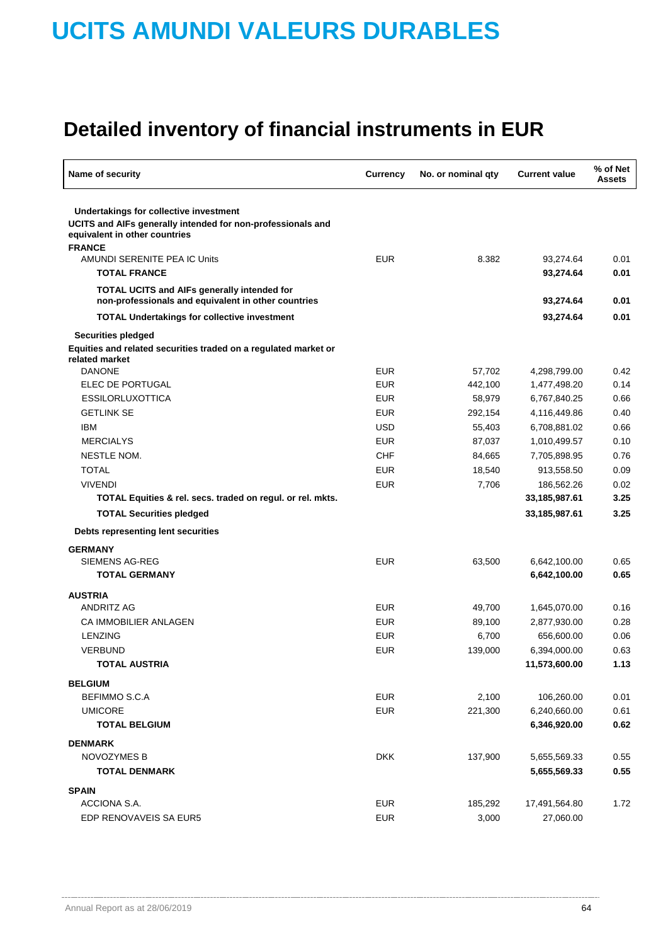| Name of security                                                                                                                       | <b>Currency</b><br>No. or nominal qty |         | <b>Current value</b> | % of Net<br><b>Assets</b> |
|----------------------------------------------------------------------------------------------------------------------------------------|---------------------------------------|---------|----------------------|---------------------------|
| Undertakings for collective investment<br>UCITS and AIFs generally intended for non-professionals and<br>equivalent in other countries |                                       |         |                      |                           |
| <b>FRANCE</b>                                                                                                                          |                                       |         |                      |                           |
| AMUNDI SERENITE PEA IC Units                                                                                                           | <b>EUR</b>                            | 8.382   | 93,274.64            | 0.01                      |
| <b>TOTAL FRANCE</b>                                                                                                                    |                                       |         | 93,274.64            | 0.01                      |
| <b>TOTAL UCITS and AIFs generally intended for</b><br>non-professionals and equivalent in other countries                              |                                       |         | 93,274.64            | 0.01                      |
| <b>TOTAL Undertakings for collective investment</b>                                                                                    |                                       |         | 93,274.64            | 0.01                      |
| <b>Securities pledged</b>                                                                                                              |                                       |         |                      |                           |
| Equities and related securities traded on a regulated market or<br>related market                                                      |                                       |         |                      |                           |
| <b>DANONE</b>                                                                                                                          | <b>EUR</b>                            | 57,702  | 4,298,799.00         | 0.42                      |
| ELEC DE PORTUGAL                                                                                                                       | <b>EUR</b>                            | 442,100 | 1,477,498.20         | 0.14                      |
| <b>ESSILORLUXOTTICA</b>                                                                                                                | <b>EUR</b>                            | 58,979  | 6,767,840.25         | 0.66                      |
| <b>GETLINK SE</b>                                                                                                                      | <b>EUR</b>                            | 292,154 | 4,116,449.86         | 0.40                      |
| <b>IBM</b>                                                                                                                             | <b>USD</b>                            | 55,403  | 6,708,881.02         | 0.66                      |
| <b>MERCIALYS</b>                                                                                                                       | <b>EUR</b>                            | 87,037  | 1,010,499.57         | 0.10                      |
| NESTLE NOM.                                                                                                                            | CHF                                   | 84,665  | 7,705,898.95         | 0.76                      |
| <b>TOTAL</b>                                                                                                                           | <b>EUR</b>                            | 18,540  | 913,558.50           | 0.09                      |
| <b>VIVENDI</b>                                                                                                                         | <b>EUR</b>                            | 7,706   | 186,562.26           | 0.02                      |
| TOTAL Equities & rel. secs. traded on regul. or rel. mkts.                                                                             |                                       |         | 33,185,987.61        | 3.25                      |
| <b>TOTAL Securities pledged</b>                                                                                                        |                                       |         | 33,185,987.61        | 3.25                      |
| Debts representing lent securities                                                                                                     |                                       |         |                      |                           |
| <b>GERMANY</b>                                                                                                                         |                                       |         |                      |                           |
| SIEMENS AG-REG                                                                                                                         | <b>EUR</b>                            | 63,500  | 6,642,100.00         | 0.65                      |
| <b>TOTAL GERMANY</b>                                                                                                                   |                                       |         | 6,642,100.00         | 0.65                      |
| <b>AUSTRIA</b>                                                                                                                         |                                       |         |                      |                           |
| <b>ANDRITZ AG</b>                                                                                                                      | <b>EUR</b>                            | 49,700  | 1,645,070.00         | 0.16                      |
| <b>CA IMMOBILIER ANLAGEN</b>                                                                                                           | <b>EUR</b>                            | 89,100  | 2,877,930.00         | 0.28                      |
| <b>LENZING</b>                                                                                                                         | <b>EUR</b>                            | 6,700   | 656,600.00           | 0.06                      |
| VERBUND                                                                                                                                | <b>EUR</b>                            | 139,000 | 6,394,000.00         | 0.63                      |
| <b>TOTAL AUSTRIA</b>                                                                                                                   |                                       |         | 11,573,600.00        | 1.13                      |
| <b>BELGIUM</b>                                                                                                                         |                                       |         |                      |                           |
| BEFIMMO S.C.A                                                                                                                          | <b>EUR</b>                            | 2,100   | 106,260.00           | 0.01                      |
| <b>UMICORE</b>                                                                                                                         | <b>EUR</b>                            | 221,300 | 6,240,660.00         | 0.61                      |
| <b>TOTAL BELGIUM</b>                                                                                                                   |                                       |         | 6,346,920.00         | 0.62                      |
| <b>DENMARK</b>                                                                                                                         |                                       |         |                      |                           |
| <b>NOVOZYMES B</b>                                                                                                                     | <b>DKK</b>                            | 137,900 | 5,655,569.33         | 0.55                      |
| <b>TOTAL DENMARK</b>                                                                                                                   |                                       |         | 5,655,569.33         | 0.55                      |
|                                                                                                                                        |                                       |         |                      |                           |
| <b>SPAIN</b>                                                                                                                           |                                       |         |                      |                           |
| ACCIONA S.A.                                                                                                                           | <b>EUR</b>                            | 185,292 | 17,491,564.80        | 1.72                      |
| EDP RENOVAVEIS SA EUR5                                                                                                                 | <b>EUR</b>                            | 3,000   | 27,060.00            |                           |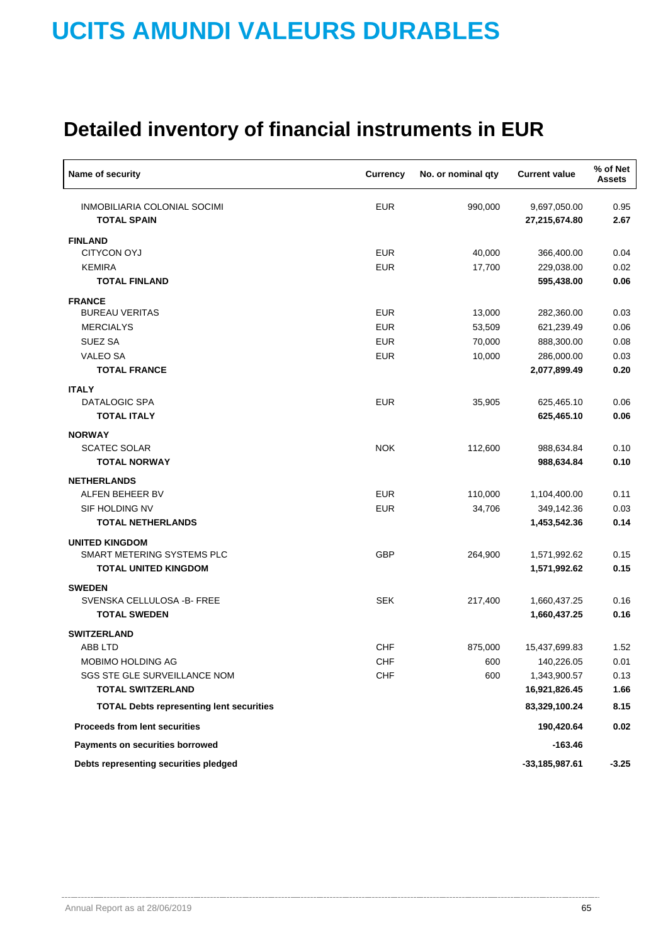| Name of security                                   | <b>Currency</b> | No. or nominal qty | <b>Current value</b>          | % of Net<br><b>Assets</b> |
|----------------------------------------------------|-----------------|--------------------|-------------------------------|---------------------------|
| INMOBILIARIA COLONIAL SOCIMI<br><b>TOTAL SPAIN</b> | <b>EUR</b>      | 990,000            | 9,697,050.00<br>27,215,674.80 | 0.95<br>2.67              |
|                                                    |                 |                    |                               |                           |
| <b>FINLAND</b><br><b>CITYCON OYJ</b>               | <b>EUR</b>      | 40,000             | 366,400.00                    | 0.04                      |
| <b>KEMIRA</b>                                      | <b>EUR</b>      | 17,700             | 229,038.00                    | 0.02                      |
| <b>TOTAL FINLAND</b>                               |                 |                    | 595,438.00                    | 0.06                      |
| <b>FRANCE</b>                                      |                 |                    |                               |                           |
| <b>BUREAU VERITAS</b>                              | <b>EUR</b>      | 13,000             | 282,360.00                    | 0.03                      |
| <b>MERCIALYS</b>                                   | <b>EUR</b>      | 53,509             | 621,239.49                    | 0.06                      |
| <b>SUEZ SA</b>                                     | <b>EUR</b>      | 70,000             | 888,300.00                    | 0.08                      |
| <b>VALEO SA</b>                                    | <b>EUR</b>      | 10,000             | 286,000.00                    | 0.03                      |
| <b>TOTAL FRANCE</b>                                |                 |                    | 2,077,899.49                  | 0.20                      |
| <b>ITALY</b>                                       |                 |                    |                               |                           |
| DATALOGIC SPA                                      | <b>EUR</b>      | 35,905             | 625,465.10                    | 0.06                      |
| <b>TOTAL ITALY</b>                                 |                 |                    | 625,465.10                    | 0.06                      |
| <b>NORWAY</b>                                      |                 |                    |                               |                           |
| <b>SCATEC SOLAR</b>                                | <b>NOK</b>      | 112,600            | 988,634.84                    | 0.10                      |
| <b>TOTAL NORWAY</b>                                |                 |                    | 988,634.84                    | 0.10                      |
| <b>NETHERLANDS</b>                                 |                 |                    |                               |                           |
| ALFEN BEHEER BV                                    | <b>EUR</b>      | 110,000            | 1,104,400.00                  | 0.11                      |
| SIF HOLDING NV                                     | <b>EUR</b>      | 34,706             | 349,142.36                    | 0.03                      |
| <b>TOTAL NETHERLANDS</b>                           |                 |                    | 1,453,542.36                  | 0.14                      |
| <b>UNITED KINGDOM</b>                              |                 |                    |                               |                           |
| SMART METERING SYSTEMS PLC                         | <b>GBP</b>      | 264,900            | 1,571,992.62                  | 0.15                      |
| <b>TOTAL UNITED KINGDOM</b>                        |                 |                    | 1,571,992.62                  | 0.15                      |
| <b>SWEDEN</b>                                      |                 |                    |                               |                           |
| SVENSKA CELLULOSA - B- FREE                        | <b>SEK</b>      | 217,400            | 1,660,437.25                  | 0.16                      |
| <b>TOTAL SWEDEN</b>                                |                 |                    | 1,660,437.25                  | 0.16                      |
| <b>SWITZERLAND</b>                                 |                 |                    |                               |                           |
| ABB LTD                                            | <b>CHF</b>      | 875,000            | 15,437,699.83                 | 1.52                      |
| MOBIMO HOLDING AG                                  | <b>CHF</b>      | 600                | 140,226.05                    | 0.01                      |
| SGS STE GLE SURVEILLANCE NOM                       | <b>CHF</b>      | 600                | 1,343,900.57                  | 0.13                      |
| <b>TOTAL SWITZERLAND</b>                           |                 |                    | 16,921,826.45                 | 1.66                      |
| <b>TOTAL Debts representing lent securities</b>    |                 |                    | 83,329,100.24                 | 8.15                      |
| <b>Proceeds from lent securities</b>               |                 |                    | 190,420.64                    | 0.02                      |
| Payments on securities borrowed                    |                 |                    | $-163.46$                     |                           |
| Debts representing securities pledged              |                 |                    | $-33,185,987.61$              | $-3.25$                   |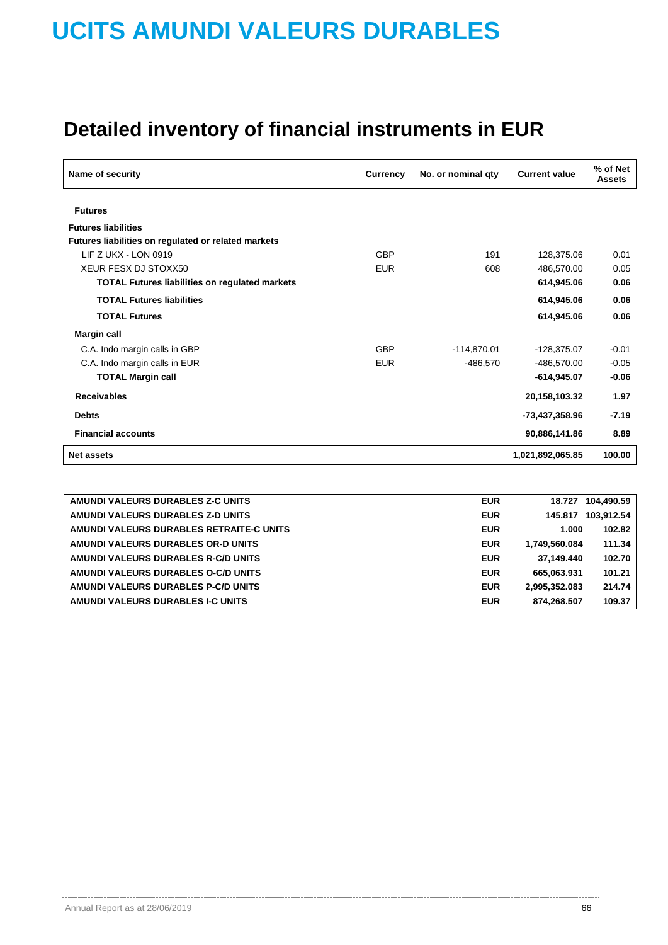| Name of security                                      | Currency   | No. or nominal qty | <b>Current value</b> | % of Net<br><b>Assets</b> |
|-------------------------------------------------------|------------|--------------------|----------------------|---------------------------|
| <b>Futures</b>                                        |            |                    |                      |                           |
| <b>Futures liabilities</b>                            |            |                    |                      |                           |
| Futures liabilities on regulated or related markets   |            |                    |                      |                           |
| LIF Z UKX - LON 0919                                  | <b>GBP</b> | 191                | 128,375.06           | 0.01                      |
| <b>XEUR FESX DJ STOXX50</b>                           | <b>EUR</b> | 608                | 486,570.00           | 0.05                      |
| <b>TOTAL Futures liabilities on regulated markets</b> |            |                    | 614,945.06           | 0.06                      |
| <b>TOTAL Futures liabilities</b>                      |            |                    | 614,945.06           | 0.06                      |
| <b>TOTAL Futures</b>                                  |            |                    | 614,945.06           | 0.06                      |
| <b>Margin call</b>                                    |            |                    |                      |                           |
| C.A. Indo margin calls in GBP                         | <b>GBP</b> | $-114.870.01$      | $-128.375.07$        | $-0.01$                   |
| C.A. Indo margin calls in EUR                         | <b>EUR</b> | -486,570           | -486,570.00          | $-0.05$                   |
| <b>TOTAL Margin call</b>                              |            |                    | $-614,945.07$        | $-0.06$                   |
| <b>Receivables</b>                                    |            |                    | 20,158,103.32        | 1.97                      |
| <b>Debts</b>                                          |            |                    | -73,437,358.96       | $-7.19$                   |
| <b>Financial accounts</b>                             |            |                    | 90,886,141.86        | 8.89                      |
| <b>Net assets</b>                                     |            |                    | 1,021,892,065.85     | 100.00                    |

| AMUNDI VALEURS DURABLES Z-C UNITS        | <b>EUR</b> | 18.727        | 104.490.59 |
|------------------------------------------|------------|---------------|------------|
| AMUNDI VALEURS DURABLES Z-D UNITS        | <b>EUR</b> | 145.817       | 103.912.54 |
| AMUNDI VALEURS DURABLES RETRAITE-C UNITS | <b>EUR</b> | 1.000         | 102.82     |
| AMUNDI VALEURS DURABLES OR-D UNITS       | <b>EUR</b> | 1.749.560.084 | 111.34     |
| AMUNDI VALEURS DURABLES R-C/D UNITS      | <b>EUR</b> | 37.149.440    | 102.70     |
| AMUNDI VALEURS DURABLES O-C/D UNITS      | <b>EUR</b> | 665.063.931   | 101.21     |
| AMUNDI VALEURS DURABLES P-C/D UNITS      | <b>EUR</b> | 2.995.352.083 | 214.74     |
| AMUNDI VALEURS DURABLES I-C UNITS        | <b>EUR</b> | 874.268.507   | 109.37     |
|                                          |            |               |            |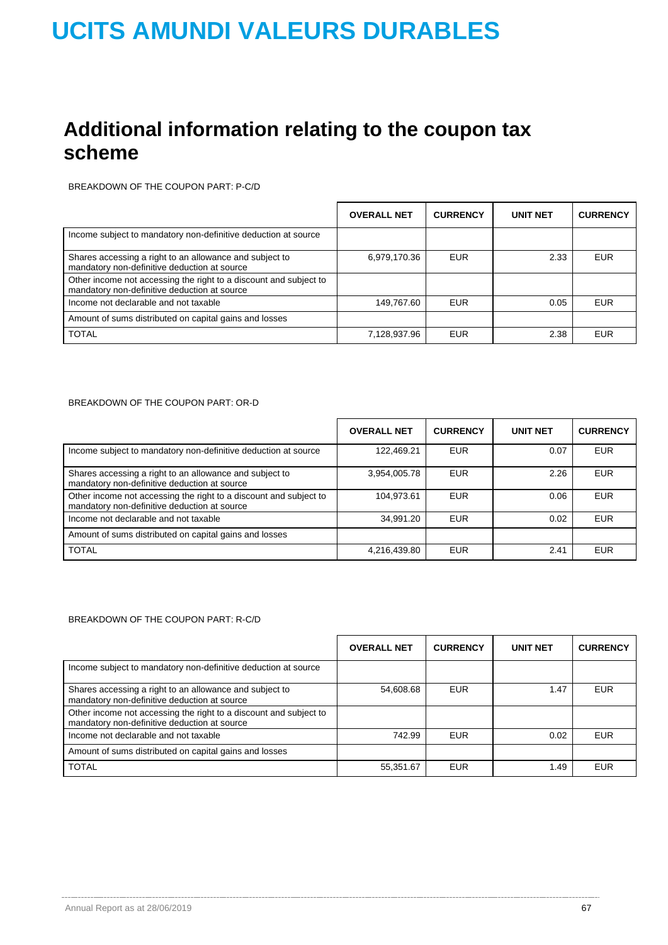## **Additional information relating to the coupon tax scheme**

BREAKDOWN OF THE COUPON PART: P-C/D

|                                                                                                                   | <b>OVERALL NET</b> | <b>CURRENCY</b> | <b>UNIT NET</b> | <b>CURRENCY</b> |
|-------------------------------------------------------------------------------------------------------------------|--------------------|-----------------|-----------------|-----------------|
| Income subject to mandatory non-definitive deduction at source                                                    |                    |                 |                 |                 |
| Shares accessing a right to an allowance and subject to<br>mandatory non-definitive deduction at source           | 6,979,170.36       | <b>EUR</b>      | 2.33            | <b>EUR</b>      |
| Other income not accessing the right to a discount and subject to<br>mandatory non-definitive deduction at source |                    |                 |                 |                 |
| Income not declarable and not taxable                                                                             | 149,767.60         | <b>EUR</b>      | 0.05            | <b>EUR</b>      |
| Amount of sums distributed on capital gains and losses                                                            |                    |                 |                 |                 |
| <b>TOTAL</b>                                                                                                      | 7,128,937.96       | <b>EUR</b>      | 2.38            | <b>EUR</b>      |

#### BREAKDOWN OF THE COUPON PART: OR-D

|                                                                                                                   | <b>OVERALL NET</b> | <b>CURRENCY</b> | <b>UNIT NET</b> | <b>CURRENCY</b> |
|-------------------------------------------------------------------------------------------------------------------|--------------------|-----------------|-----------------|-----------------|
| Income subject to mandatory non-definitive deduction at source                                                    | 122.469.21         | <b>EUR</b>      | 0.07            | <b>EUR</b>      |
| Shares accessing a right to an allowance and subject to<br>mandatory non-definitive deduction at source           | 3,954,005.78       | <b>EUR</b>      | 2.26            | <b>EUR</b>      |
| Other income not accessing the right to a discount and subject to<br>mandatory non-definitive deduction at source | 104.973.61         | <b>EUR</b>      | 0.06            | <b>EUR</b>      |
| Income not declarable and not taxable                                                                             | 34.991.20          | <b>EUR</b>      | 0.02            | <b>EUR</b>      |
| Amount of sums distributed on capital gains and losses                                                            |                    |                 |                 |                 |
| <b>TOTAL</b>                                                                                                      | 4,216,439.80       | <b>EUR</b>      | 2.41            | <b>EUR</b>      |

### BREAKDOWN OF THE COUPON PART: R-C/D

|                                                                                                                   | <b>OVERALL NET</b> | <b>CURRENCY</b> | <b>UNIT NET</b> | <b>CURRENCY</b> |
|-------------------------------------------------------------------------------------------------------------------|--------------------|-----------------|-----------------|-----------------|
| Income subject to mandatory non-definitive deduction at source                                                    |                    |                 |                 |                 |
| Shares accessing a right to an allowance and subject to<br>mandatory non-definitive deduction at source           | 54,608.68          | <b>EUR</b>      | 1.47            | <b>EUR</b>      |
| Other income not accessing the right to a discount and subject to<br>mandatory non-definitive deduction at source |                    |                 |                 |                 |
| Income not declarable and not taxable                                                                             | 742.99             | <b>EUR</b>      | 0.02            | <b>EUR</b>      |
| Amount of sums distributed on capital gains and losses                                                            |                    |                 |                 |                 |
| <b>TOTAL</b>                                                                                                      | 55,351.67          | <b>EUR</b>      | 1.49            | <b>EUR</b>      |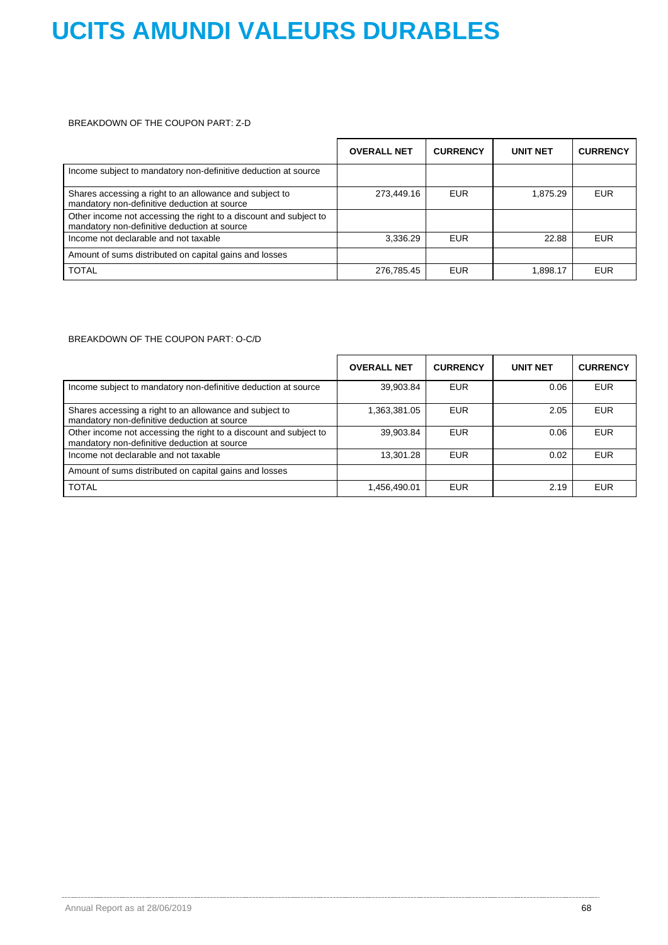### BREAKDOWN OF THE COUPON PART: Z-D

|                                                                                                                   | <b>OVERALL NET</b> | <b>CURRENCY</b> | <b>UNIT NET</b> | <b>CURRENCY</b> |
|-------------------------------------------------------------------------------------------------------------------|--------------------|-----------------|-----------------|-----------------|
| Income subject to mandatory non-definitive deduction at source                                                    |                    |                 |                 |                 |
| Shares accessing a right to an allowance and subject to<br>mandatory non-definitive deduction at source           | 273,449.16         | <b>EUR</b>      | 1,875.29        | <b>EUR</b>      |
| Other income not accessing the right to a discount and subject to<br>mandatory non-definitive deduction at source |                    |                 |                 |                 |
| Income not declarable and not taxable                                                                             | 3,336.29           | <b>EUR</b>      | 22.88           | <b>EUR</b>      |
| Amount of sums distributed on capital gains and losses                                                            |                    |                 |                 |                 |
| <b>TOTAL</b>                                                                                                      | 276,785.45         | <b>EUR</b>      | 1,898.17        | <b>EUR</b>      |

### BREAKDOWN OF THE COUPON PART: O-C/D

|                                                                                                                   | <b>OVERALL NET</b> | <b>CURRENCY</b> | <b>UNIT NET</b> | <b>CURRENCY</b> |
|-------------------------------------------------------------------------------------------------------------------|--------------------|-----------------|-----------------|-----------------|
| Income subject to mandatory non-definitive deduction at source                                                    | 39,903.84          | <b>EUR</b>      | 0.06            | <b>EUR</b>      |
| Shares accessing a right to an allowance and subject to<br>mandatory non-definitive deduction at source           | 1,363,381.05       | <b>EUR</b>      | 2.05            | <b>EUR</b>      |
| Other income not accessing the right to a discount and subject to<br>mandatory non-definitive deduction at source | 39,903.84          | <b>EUR</b>      | 0.06            | EUR             |
| Income not declarable and not taxable                                                                             | 13,301.28          | <b>EUR</b>      | 0.02            | EUR             |
| Amount of sums distributed on capital gains and losses                                                            |                    |                 |                 |                 |
| <b>TOTAL</b>                                                                                                      | 1,456,490.01       | <b>EUR</b>      | 2.19            | <b>EUR</b>      |